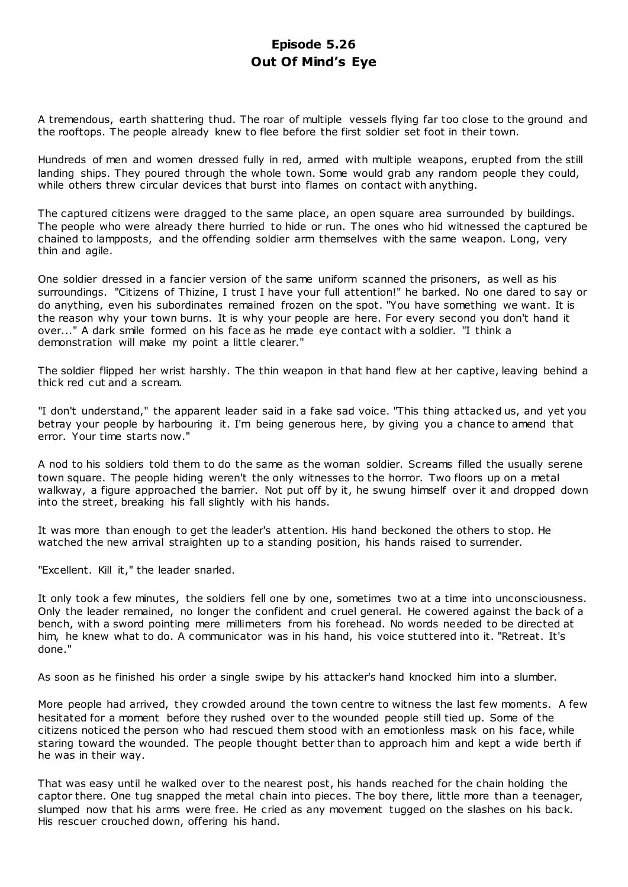# **Episode 5.26 Out Of Mind's Eye**

A tremendous, earth shattering thud. The roar of multiple vessels flying far too close to the ground and the rooftops. The people already knew to flee before the first soldier set foot in their town.

Hundreds of men and women dressed fully in red, armed with multiple weapons, erupted from the still landing ships. They poured through the whole town. Some would grab any random people they could, while others threw circular devices that burst into flames on contact with anything.

The captured citizens were dragged to the same place, an open square area surrounded by buildings. The people who were already there hurried to hide or run. The ones who hid witnessed the captured be chained to lampposts, and the offending soldier arm themselves with the same weapon. Long, very thin and agile.

One soldier dressed in a fancier version of the same uniform scanned the prisoners, as well as his surroundings. "Citizens of Thizine, I trust I have your full attention!" he barked. No one dared to say or do anything, even his subordinates remained frozen on the spot. "You have something we want. It is the reason why your town burns. It is why your people are here. For every second you don't hand it over..." A dark smile formed on his face as he made eye contact with a soldier. "I think a demonstration will make my point a little clearer."

The soldier flipped her wrist harshly. The thin weapon in that hand flew at her captive, leaving behind a thick red cut and a scream.

"I don't understand," the apparent leader said in a fake sad voice. "This thing attacked us, and yet you betray your people by harbouring it. I'm being generous here, by giving you a chance to amend that error. Your time starts now."

A nod to his soldiers told them to do the same as the woman soldier. Screams filled the usually serene town square. The people hiding weren't the only witnesses to the horror. Two floors up on a metal walkway, a figure approached the barrier. Not put off by it, he swung himself over it and dropped down into the street, breaking his fall slightly with his hands.

It was more than enough to get the leader's attention. His hand beckoned the others to stop. He watched the new arrival straighten up to a standing position, his hands raised to surrender.

"Excellent. Kill it," the leader snarled.

It only took a few minutes, the soldiers fell one by one, sometimes two at a time into unconsciousness. Only the leader remained, no longer the confident and cruel general. He cowered against the back of a bench, with a sword pointing mere millimeters from his forehead. No words needed to be directed at him, he knew what to do. A communicator was in his hand, his voice stuttered into it. "Retreat. It's done."

As soon as he finished his order a single swipe by his attacker's hand knocked him into a slumber.

More people had arrived, they crowded around the town centre to witness the last few moments. A few hesitated for a moment before they rushed over to the wounded people still tied up. Some of the citizens noticed the person who had rescued them stood with an emotionless mask on his face, while staring toward the wounded. The people thought better than to approach him and kept a wide berth if he was in their way.

That was easy until he walked over to the nearest post, his hands reached for the chain holding the captor there. One tug snapped the metal chain into pieces. The boy there, little more than a teenager, slumped now that his arms were free. He cried as any movement tugged on the slashes on his back. His rescuer crouched down, offering his hand.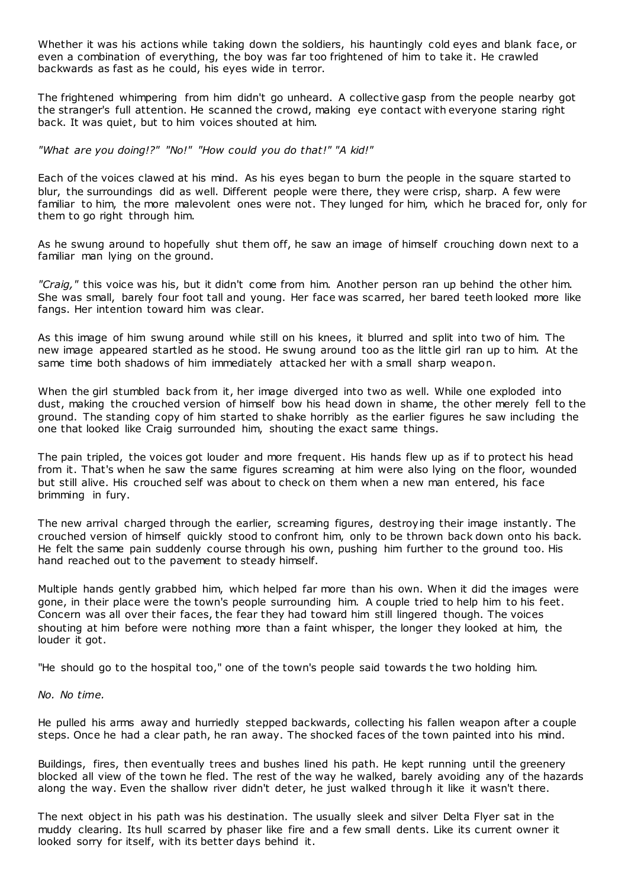Whether it was his actions while taking down the soldiers, his hauntingly cold eyes and blank face, or even a combination of everything, the boy was far too frightened of him to take it. He crawled backwards as fast as he could, his eyes wide in terror.

The frightened whimpering from him didn't go unheard. A collective gasp from the people nearby got the stranger's full attention. He scanned the crowd, making eye contact with everyone staring right back. It was quiet, but to him voices shouted at him.

*"What are you doing!?" "No!" "How could you do that!" "A kid!"*

Each of the voices clawed at his mind. As his eyes began to burn the people in the square started to blur, the surroundings did as well. Different people were there, they were crisp, sharp. A few were familiar to him, the more malevolent ones were not. They lunged for him, which he braced for, only for them to go right through him.

As he swung around to hopefully shut them off, he saw an image of himself crouching down next to a familiar man lying on the ground.

*"Craig,"* this voice was his, but it didn't come from him. Another person ran up behind the other him. She was small, barely four foot tall and young. Her face was scarred, her bared teeth looked more like fangs. Her intention toward him was clear.

As this image of him swung around while still on his knees, it blurred and split into two of him. The new image appeared startled as he stood. He swung around too as the little girl ran up to him. At the same time both shadows of him immediately attacked her with a small sharp weapon.

When the girl stumbled back from it, her image diverged into two as well. While one exploded into dust, making the crouched version of himself bow his head down in shame, the other merely fell to the ground. The standing copy of him started to shake horribly as the earlier figures he saw including the one that looked like Craig surrounded him, shouting the exact same things.

The pain tripled, the voices got louder and more frequent. His hands flew up as if to protect his head from it. That's when he saw the same figures screaming at him were also lying on the floor, wounded but still alive. His crouched self was about to check on them when a new man entered, his face brimming in fury.

The new arrival charged through the earlier, screaming figures, destroying their image instantly. The crouched version of himself quickly stood to confront him, only to be thrown back down onto his back. He felt the same pain suddenly course through his own, pushing him further to the ground too. His hand reached out to the pavement to steady himself.

Multiple hands gently grabbed him, which helped far more than his own. When it did the images were gone, in their place were the town's people surrounding him. A couple tried to help him to his feet. Concern was all over their faces, the fear they had toward him still lingered though. The voices shouting at him before were nothing more than a faint whisper, the longer they looked at him, the louder it got.

"He should go to the hospital too," one of the town's people said towards t he two holding him.

### *No. No time.*

He pulled his arms away and hurriedly stepped backwards, collecting his fallen weapon after a couple steps. Once he had a clear path, he ran away. The shocked faces of the town painted into his mind.

Buildings, fires, then eventually trees and bushes lined his path. He kept running until the greenery blocked all view of the town he fled. The rest of the way he walked, barely avoiding any of the hazards along the way. Even the shallow river didn't deter, he just walked through it like it wasn't there.

The next object in his path was his destination. The usually sleek and silver Delta Flyer sat in the muddy clearing. Its hull scarred by phaser like fire and a few small dents. Like its current owner it looked sorry for itself, with its better days behind it.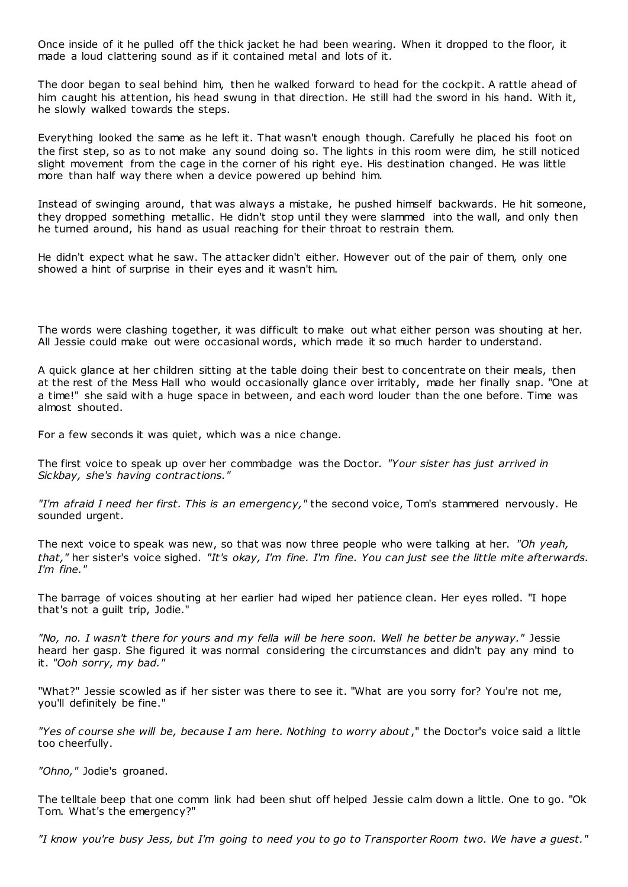Once inside of it he pulled off the thick jacket he had been wearing. When it dropped to the floor, it made a loud clattering sound as if it contained metal and lots of it.

The door began to seal behind him, then he walked forward to head for the cockpit. A rattle ahead of him caught his attention, his head swung in that direction. He still had the sword in his hand. With it, he slowly walked towards the steps.

Everything looked the same as he left it. That wasn't enough though. Carefully he placed his foot on the first step, so as to not make any sound doing so. The lights in this room were dim, he still noticed slight movement from the cage in the corner of his right eye. His destination changed. He was little more than half way there when a device powered up behind him.

Instead of swinging around, that was always a mistake, he pushed himself backwards. He hit someone, they dropped something metallic. He didn't stop until they were slammed into the wall, and only then he turned around, his hand as usual reaching for their throat to restrain them.

He didn't expect what he saw. The attacker didn't either. However out of the pair of them, only one showed a hint of surprise in their eyes and it wasn't him.

The words were clashing together, it was difficult to make out what either person was shouting at her. All Jessie could make out were occasional words, which made it so much harder to understand.

A quick glance at her children sitting at the table doing their best to concentrate on their meals, then at the rest of the Mess Hall who would occasionally glance over irritably, made her finally snap. "One at a time!" she said with a huge space in between, and each word louder than the one before. Time was almost shouted.

For a few seconds it was quiet, which was a nice change.

The first voice to speak up over her commbadge was the Doctor. *"Your sister has just arrived in Sickbay, she's having contractions."*

*"I'm afraid I need her first. This is an emergency,"* the second voice, Tom's stammered nervously. He sounded urgent.

The next voice to speak was new, so that was now three people who were talking at her. *"Oh yeah, that,"* her sister's voice sighed. *"It's okay, I'm fine. I'm fine. You can just see the little mite afterwards. I'm fine."*

The barrage of voices shouting at her earlier had wiped her patience clean. Her eyes rolled. "I hope that's not a guilt trip, Jodie."

*"No, no. I wasn't there for yours and my fella will be here soon. Well he better be anyway."* Jessie heard her gasp. She figured it was normal considering the circumstances and didn't pay any mind to it. *"Ooh sorry, my bad."*

"What?" Jessie scowled as if her sister was there to see it. "What are you sorry for? You're not me, you'll definitely be fine."

*"Yes of course she will be, because I am here. Nothing to worry about*," the Doctor's voice said a little too cheerfully.

*"Ohno,"* Jodie's groaned.

The telltale beep that one comm link had been shut off helped Jessie calm down a little. One to go. "Ok Tom. What's the emergency?"

*"I know you're busy Jess, but I'm going to need you to go to Transporter Room two. We have a guest."*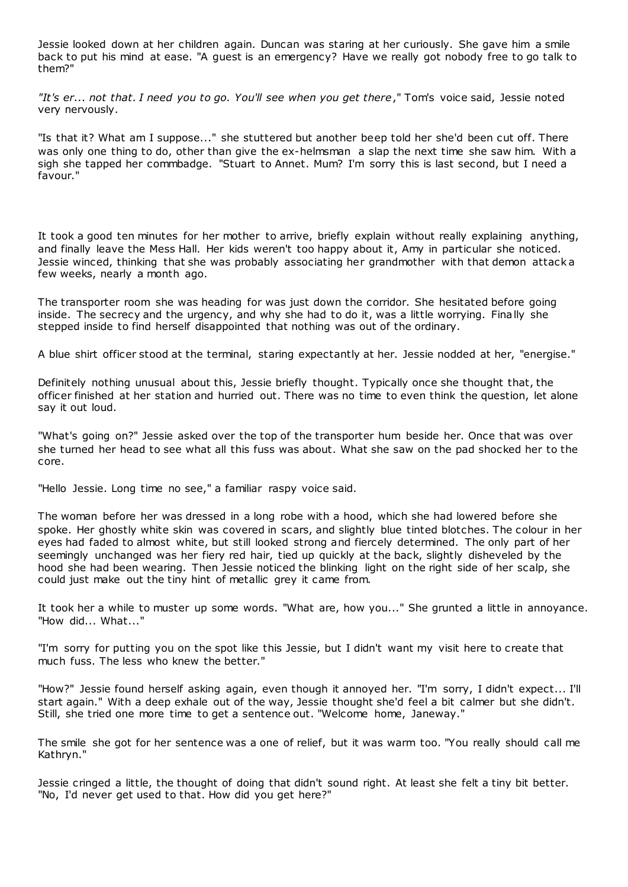Jessie looked down at her children again. Duncan was staring at her curiously. She gave him a smile back to put his mind at ease. "A guest is an emergency? Have we really got nobody free to go talk to them?"

*"It's er... not that. I need you to go. You'll see when you get there*," Tom's voice said, Jessie noted very nervously.

"Is that it? What am I suppose..." she stuttered but another beep told her she'd been cut off. There was only one thing to do, other than give the ex-helmsman a slap the next time she saw him. With a sigh she tapped her commbadge. "Stuart to Annet. Mum? I'm sorry this is last second, but I need a favour."

It took a good ten minutes for her mother to arrive, briefly explain without really explaining anything, and finally leave the Mess Hall. Her kids weren't too happy about it, Amy in particular she noticed. Jessie winced, thinking that she was probably associating her grandmother with that demon attack a few weeks, nearly a month ago.

The transporter room she was heading for was just down the corridor. She hesitated before going inside. The secrecy and the urgency, and why she had to do it, was a little worrying. Finally she stepped inside to find herself disappointed that nothing was out of the ordinary.

A blue shirt officer stood at the terminal, staring expectantly at her. Jessie nodded at her, "energise."

Definitely nothing unusual about this, Jessie briefly thought. Typically once she thought that, the officer finished at her station and hurried out. There was no time to even think the question, let alone say it out loud.

"What's going on?" Jessie asked over the top of the transporter hum beside her. Once that was over she turned her head to see what all this fuss was about. What she saw on the pad shocked her to the core.

"Hello Jessie. Long time no see," a familiar raspy voice said.

The woman before her was dressed in a long robe with a hood, which she had lowered before she spoke. Her ghostly white skin was covered in scars, and slightly blue tinted blotches. The colour in her eyes had faded to almost white, but still looked strong and fiercely determined. The only part of her seemingly unchanged was her fiery red hair, tied up quickly at the back, slightly disheveled by the hood she had been wearing. Then Jessie noticed the blinking light on the right side of her scalp, she could just make out the tiny hint of metallic grey it came from.

It took her a while to muster up some words. "What are, how you..." She grunted a little in annoyance. "How did... What..."

"I'm sorry for putting you on the spot like this Jessie, but I didn't want my visit here to create that much fuss. The less who knew the better."

"How?" Jessie found herself asking again, even though it annoyed her. "I'm sorry, I didn't expect... I'll start again." With a deep exhale out of the way, Jessie thought she'd feel a bit calmer but she didn't. Still, she tried one more time to get a sentence out. "Welcome home, Janeway."

The smile she got for her sentence was a one of relief, but it was warm too. "You really should call me Kathryn."

Jessie cringed a little, the thought of doing that didn't sound right. At least she felt a tiny bit better. "No, I'd never get used to that. How did you get here?"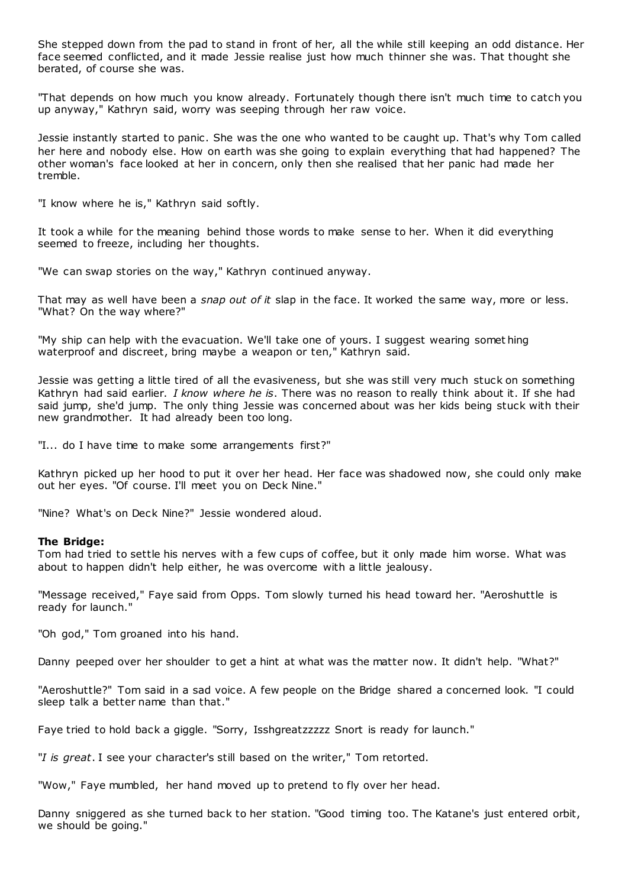She stepped down from the pad to stand in front of her, all the while still keeping an odd distance. Her face seemed conflicted, and it made Jessie realise just how much thinner she was. That thought she berated, of course she was.

"That depends on how much you know already. Fortunately though there isn't much time to catch you up anyway," Kathryn said, worry was seeping through her raw voice.

Jessie instantly started to panic . She was the one who wanted to be caught up. That's why Tom called her here and nobody else. How on earth was she going to explain everything that had happened? The other woman's face looked at her in concern, only then she realised that her panic had made her tremble.

"I know where he is," Kathryn said softly.

It took a while for the meaning behind those words to make sense to her. When it did everything seemed to freeze, including her thoughts.

"We can swap stories on the way," Kathryn continued anyway.

That may as well have been a *snap out of it* slap in the face. It worked the same way, more or less. "What? On the way where?"

"My ship can help with the evacuation. We'll take one of yours. I suggest wearing somet hing waterproof and discreet, bring maybe a weapon or ten," Kathryn said.

Jessie was getting a little tired of all the evasiveness, but she was still very much stuck on something Kathryn had said earlier. *I know where he is*. There was no reason to really think about it. If she had said jump, she'd jump. The only thing Jessie was concerned about was her kids being stuck with their new grandmother. It had already been too long.

"I... do I have time to make some arrangements first?"

Kathryn picked up her hood to put it over her head. Her face was shadowed now, she could only make out her eyes. "Of course. I'll meet you on Deck Nine."

"Nine? What's on Deck Nine?" Jessie wondered aloud.

#### **The Bridge:**

Tom had tried to settle his nerves with a few cups of coffee, but it only made him worse. What was about to happen didn't help either, he was overcome with a little jealousy.

"Message received," Faye said from Opps. Tom slowly turned his head toward her. "Aeroshuttle is ready for launch."

"Oh god," Tom groaned into his hand.

Danny peeped over her shoulder to get a hint at what was the matter now. It didn't help. "What?"

"Aeroshuttle?" Tom said in a sad voice. A few people on the Bridge shared a concerned look. "I could sleep talk a better name than that."

Faye tried to hold back a giggle. "Sorry, Isshgreatzzzzz Snort is ready for launch."

"*I is great*. I see your character's still based on the writer," Tom retorted.

"Wow," Faye mumbled, her hand moved up to pretend to fly over her head.

Danny sniggered as she turned back to her station. "Good timing too. The Katane's just entered orbit, we should be going."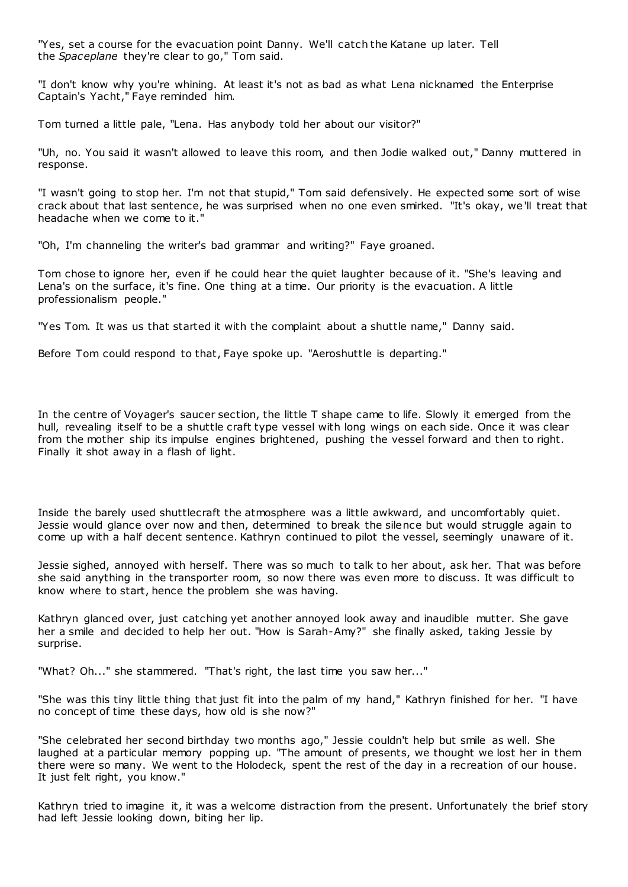"Yes, set a course for the evacuation point Danny. We'll catch the Katane up later. Tell the *Spaceplane* they're clear to go," Tom said.

"I don't know why you're whining. At least it's not as bad as what Lena nicknamed the Enterprise Captain's Yacht," Faye reminded him.

Tom turned a little pale, "Lena. Has anybody told her about our visitor?"

"Uh, no. You said it wasn't allowed to leave this room, and then Jodie walked out," Danny muttered in response.

"I wasn't going to stop her. I'm not that stupid," Tom said defensively. He expected some sort of wise crack about that last sentence, he was surprised when no one even smirked. "It's okay, we'll treat that headache when we come to it."

"Oh, I'm channeling the writer's bad grammar and writing?" Faye groaned.

Tom chose to ignore her, even if he could hear the quiet laughter because of it. "She's leaving and Lena's on the surface, it's fine. One thing at a time. Our priority is the evacuation. A little professionalism people."

"Yes Tom. It was us that started it with the complaint about a shuttle name," Danny said.

Before Tom could respond to that, Faye spoke up. "Aeroshuttle is departing."

In the centre of Voyager's saucer section, the little T shape came to life. Slowly it emerged from the hull, revealing itself to be a shuttle craft type vessel with long wings on each side. Once it was clear from the mother ship its impulse engines brightened, pushing the vessel forward and then to right. Finally it shot away in a flash of light.

Inside the barely used shuttlecraft the atmosphere was a little awkward, and uncomfortably quiet. Jessie would glance over now and then, determined to break the silence but would struggle again to come up with a half decent sentence. Kathryn continued to pilot the vessel, seemingly unaware of it.

Jessie sighed, annoyed with herself. There was so much to talk to her about, ask her. That was before she said anything in the transporter room, so now there was even more to discuss. It was difficult to know where to start, hence the problem she was having.

Kathryn glanced over, just catching yet another annoyed look away and inaudible mutter. She gave her a smile and decided to help her out. "How is Sarah-Amy?" she finally asked, taking Jessie by surprise.

"What? Oh..." she stammered. "That's right, the last time you saw her..."

"She was this tiny little thing that just fit into the palm of my hand," Kathryn finished for her. "I have no concept of time these days, how old is she now?"

"She celebrated her second birthday two months ago," Jessie couldn't help but smile as well. She laughed at a particular memory popping up. "The amount of presents, we thought we lost her in them there were so many. We went to the Holodeck, spent the rest of the day in a recreation of our house. It just felt right, you know."

Kathryn tried to imagine it, it was a welcome distraction from the present. Unfortunately the brief story had left Jessie looking down, biting her lip.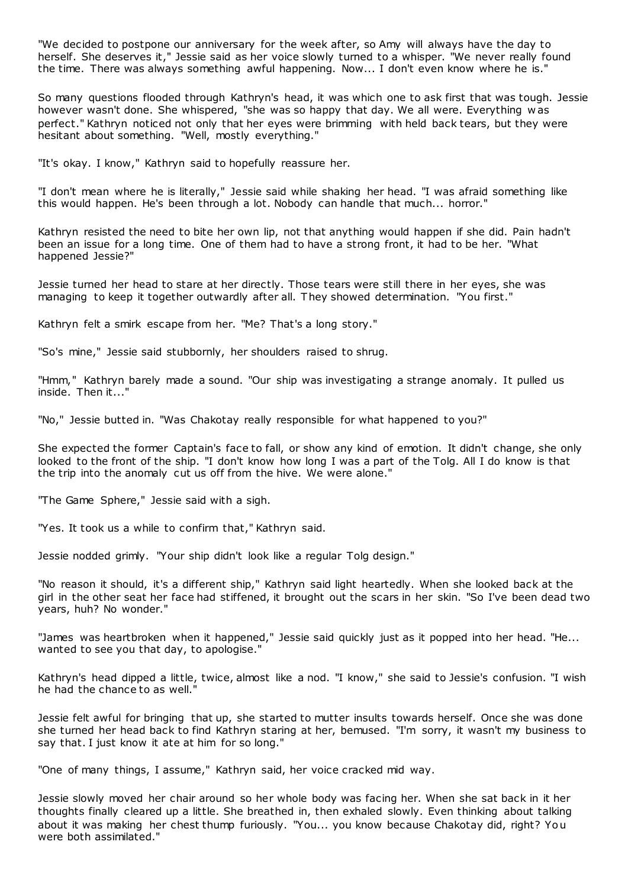"We decided to postpone our anniversary for the week after, so Amy will always have the day to herself. She deserves it," Jessie said as her voice slowly turned to a whisper. "We never really found the time. There was always something awful happening. Now... I don't even know where he is."

So many questions flooded through Kathryn's head, it was which one to ask first that was tough. Jessie however wasn't done. She whispered, "she was so happy that day. We all were. Everything w as perfect." Kathryn noticed not only that her eyes were brimming with held back tears, but they were hesitant about something. "Well, mostly everything."

"It's okay. I know," Kathryn said to hopefully reassure her.

"I don't mean where he is literally," Jessie said while shaking her head. "I was afraid something like this would happen. He's been through a lot. Nobody can handle that much... horror."

Kathryn resisted the need to bite her own lip, not that anything would happen if she did. Pain hadn't been an issue for a long time. One of them had to have a strong front, it had to be her. "What happened Jessie?"

Jessie turned her head to stare at her directly. Those tears were still there in her eyes, she was managing to keep it together outwardly after all. They showed determination. "You first."

Kathryn felt a smirk escape from her. "Me? That's a long story."

"So's mine," Jessie said stubbornly, her shoulders raised to shrug.

"Hmm," Kathryn barely made a sound. "Our ship was investigating a strange anomaly. It pulled us inside. Then it..."

"No," Jessie butted in. "Was Chakotay really responsible for what happened to you?"

She expected the former Captain's face to fall, or show any kind of emotion. It didn't change, she only looked to the front of the ship. "I don't know how long I was a part of the Tolg. All I do know is that the trip into the anomaly cut us off from the hive. We were alone."

"The Game Sphere," Jessie said with a sigh.

"Yes. It took us a while to confirm that," Kathryn said.

Jessie nodded grimly. "Your ship didn't look like a regular Tolg design."

"No reason it should, it's a different ship," Kathryn said light heartedly. When she looked back at the girl in the other seat her face had stiffened, it brought out the scars in her skin. "So I've been dead two years, huh? No wonder."

"James was heartbroken when it happened," Jessie said quickly just as it popped into her head. "He... wanted to see you that day, to apologise."

Kathryn's head dipped a little, twice, almost like a nod. "I know," she said to Jessie's confusion. "I wish he had the chance to as well."

Jessie felt awful for bringing that up, she started to mutter insults towards herself. Once she was done she turned her head back to find Kathryn staring at her, bemused. "I'm sorry, it wasn't my business to say that. I just know it ate at him for so long."

"One of many things, I assume," Kathryn said, her voice cracked mid way.

Jessie slowly moved her chair around so her whole body was facing her. When she sat back in it her thoughts finally cleared up a little. She breathed in, then exhaled slowly. Even thinking about talking about it was making her chest thump furiously. "You... you know because Chakotay did, right? You were both assimilated."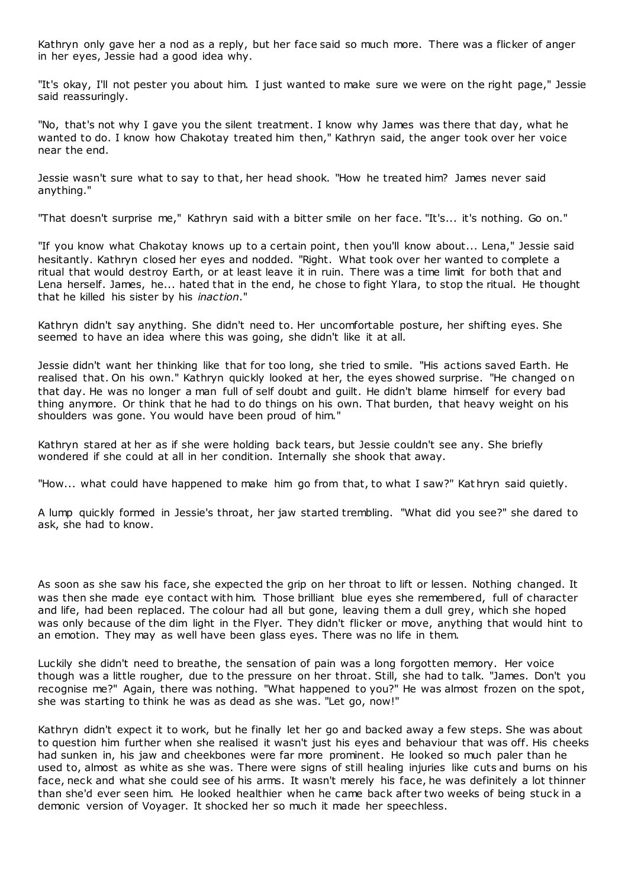Kathryn only gave her a nod as a reply, but her face said so much more. There was a flicker of anger in her eyes, Jessie had a good idea why.

"It's okay, I'll not pester you about him. I just wanted to make sure we were on the right page," Jessie said reassuringly.

"No, that's not why I gave you the silent treatment. I know why James was there that day, what he wanted to do. I know how Chakotay treated him then," Kathryn said, the anger took over her voice near the end.

Jessie wasn't sure what to say to that, her head shook. "How he treated him? James never said anything."

"That doesn't surprise me," Kathryn said with a bitter smile on her face. "It's... it's nothing. Go on."

"If you know what Chakotay knows up to a certain point, then you'll know about... Lena," Jessie said hesitantly. Kathryn closed her eyes and nodded. "Right. What took over her wanted to complete a ritual that would destroy Earth, or at least leave it in ruin. There was a time limit for both that and Lena herself. James, he... hated that in the end, he chose to fight Ylara, to stop the ritual. He thought that he killed his sister by his *inaction*."

Kathryn didn't say anything. She didn't need to. Her uncomfortable posture, her shifting eyes. She seemed to have an idea where this was going, she didn't like it at all.

Jessie didn't want her thinking like that for too long, she tried to smile. "His actions saved Earth. He realised that. On his own." Kathryn quickly looked at her, the eyes showed surprise. "He changed on that day. He was no longer a man full of self doubt and guilt. He didn't blame himself for every bad thing anymore. Or think that he had to do things on his own. That burden, that heavy weight on his shoulders was gone. You would have been proud of him."

Kathryn stared at her as if she were holding back tears, but Jessie couldn't see any. She briefly wondered if she could at all in her condition. Internally she shook that away.

"How... what could have happened to make him go from that, to what I saw?" Kat hryn said quietly.

A lump quickly formed in Jessie's throat, her jaw started trembling. "What did you see?" she dared to ask, she had to know.

As soon as she saw his face, she expected the grip on her throat to lift or lessen. Nothing changed. It was then she made eye contact with him. Those brilliant blue eyes she remembered, full of character and life, had been replaced. The colour had all but gone, leaving them a dull grey, which she hoped was only because of the dim light in the Flyer. They didn't flicker or move, anything that would hint to an emotion. They may as well have been glass eyes. There was no life in them.

Luckily she didn't need to breathe, the sensation of pain was a long forgotten memory. Her voice though was a little rougher, due to the pressure on her throat. Still, she had to talk. "James. Don't you recognise me?" Again, there was nothing. "What happened to you?" He was almost frozen on the spot, she was starting to think he was as dead as she was. "Let go, now!"

Kathryn didn't expect it to work, but he finally let her go and backed away a few steps. She was about to question him further when she realised it wasn't just his eyes and behaviour that was off. His cheeks had sunken in, his jaw and cheekbones were far more prominent. He looked so much paler than he used to, almost as white as she was. There were signs of still healing injuries like cuts and burns on his face, neck and what she could see of his arms. It wasn't merely his face, he was definitely a lot thinner than she'd ever seen him. He looked healthier when he came back after two weeks of being stuck in a demonic version of Voyager. It shocked her so much it made her speechless.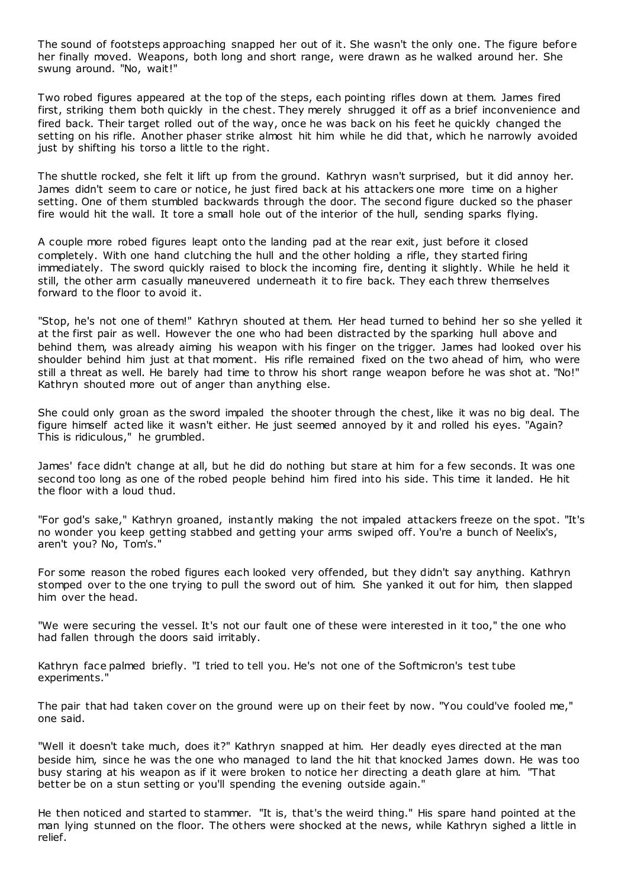The sound of footsteps approaching snapped her out of it. She wasn't the only one. The figure before her finally moved. Weapons, both long and short range, were drawn as he walked around her. She swung around. "No, wait!"

Two robed figures appeared at the top of the steps, each pointing rifles down at them. James fired first, striking them both quickly in the chest. They merely shrugged it off as a brief inconvenience and fired back. Their target rolled out of the way, once he was back on his feet he quickly changed the setting on his rifle. Another phaser strike almost hit him while he did that, which he narrowly avoided just by shifting his torso a little to the right.

The shuttle rocked, she felt it lift up from the ground. Kathryn wasn't surprised, but it did annoy her. James didn't seem to care or notice, he just fired back at his attackers one more time on a higher setting. One of them stumbled backwards through the door. The second figure ducked so the phaser fire would hit the wall. It tore a small hole out of the interior of the hull, sending sparks flying.

A couple more robed figures leapt onto the landing pad at the rear exit, just before it closed completely. With one hand clutching the hull and the other holding a rifle, they started firing immediately. The sword quickly raised to block the incoming fire, denting it slightly. While he held it still, the other arm casually maneuvered underneath it to fire back. They each threw themselves forward to the floor to avoid it.

"Stop, he's not one of them!" Kathryn shouted at them. Her head turned to behind her so she yelled it at the first pair as well. However the one who had been distracted by the sparking hull above and behind them, was already aiming his weapon with his finger on the trigger. James had looked over his shoulder behind him just at that moment. His rifle remained fixed on the two ahead of him, who were still a threat as well. He barely had time to throw his short range weapon before he was shot at. "No!" Kathryn shouted more out of anger than anything else.

She could only groan as the sword impaled the shooter through the chest, like it was no big deal. The figure himself acted like it wasn't either. He just seemed annoyed by it and rolled his eyes. "Again? This is ridiculous," he grumbled.

James' face didn't change at all, but he did do nothing but stare at him for a few seconds. It was one second too long as one of the robed people behind him fired into his side. This time it landed. He hit the floor with a loud thud.

"For god's sake," Kathryn groaned, instantly making the not impaled attackers freeze on the spot. "It's no wonder you keep getting stabbed and getting your arms swiped off. You're a bunch of Neelix's, aren't you? No, Tom's."

For some reason the robed figures each looked very offended, but they didn't say anything. Kathryn stomped over to the one trying to pull the sword out of him. She yanked it out for him, then slapped him over the head.

"We were securing the vessel. It's not our fault one of these were interested in it too," the one who had fallen through the doors said irritably.

Kathryn face palmed briefly. "I tried to tell you. He's not one of the Softmicron's test tube experiments."

The pair that had taken cover on the ground were up on their feet by now. "You could've fooled me," one said.

"Well it doesn't take much, does it?" Kathryn snapped at him. Her deadly eyes directed at the man beside him, since he was the one who managed to land the hit that knocked James down. He was too busy staring at his weapon as if it were broken to notice her directing a death glare at him. "That better be on a stun setting or you'll spending the evening outside again."

He then noticed and started to stammer. "It is, that's the weird thing." His spare hand pointed at the man lying stunned on the floor. The others were shocked at the news, while Kathryn sighed a little in relief.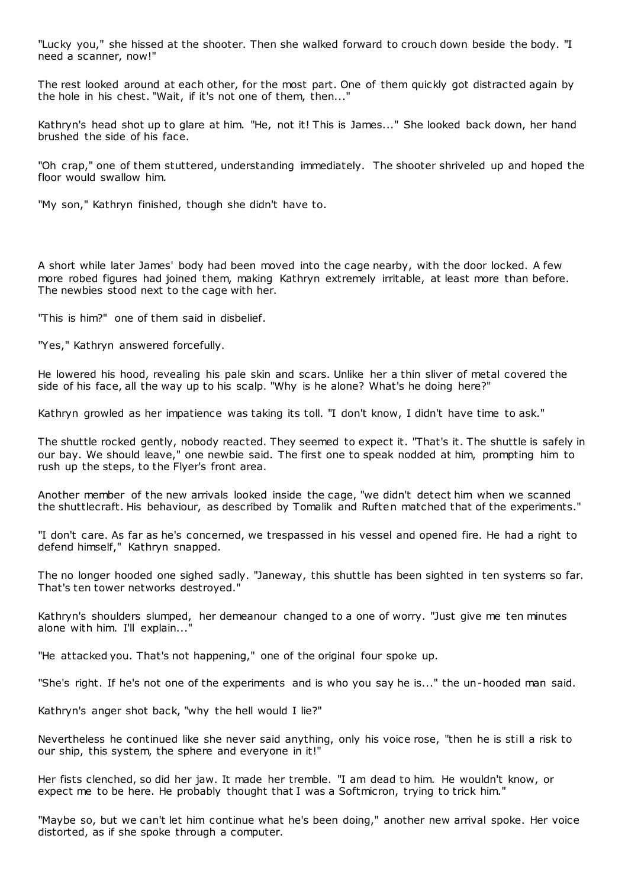"Lucky you," she hissed at the shooter. Then she walked forward to crouch down beside the body. "I need a scanner, now!"

The rest looked around at each other, for the most part. One of them quickly got distracted again by the hole in his chest. "Wait, if it's not one of them, then..."

Kathryn's head shot up to glare at him. "He, not it! This is James..." She looked back down, her hand brushed the side of his face.

"Oh crap," one of them stuttered, understanding immediately. The shooter shriveled up and hoped the floor would swallow him.

"My son," Kathryn finished, though she didn't have to.

A short while later James' body had been moved into the cage nearby, with the door locked. A few more robed figures had joined them, making Kathryn extremely irritable, at least more than before. The newbies stood next to the cage with her.

"This is him?" one of them said in disbelief.

"Yes," Kathryn answered forcefully.

He lowered his hood, revealing his pale skin and scars. Unlike her a thin sliver of metal covered the side of his face, all the way up to his scalp. "Why is he alone? What's he doing here?"

Kathryn growled as her impatience was taking its toll. "I don't know, I didn't have time to ask."

The shuttle rocked gently, nobody reacted. They seemed to expect it. "That's it. The shuttle is safely in our bay. We should leave," one newbie said. The first one to speak nodded at him, prompting him to rush up the steps, to the Flyer's front area.

Another member of the new arrivals looked inside the cage, "we didn't detect him when we scanned the shuttlecraft. His behaviour, as described by Tomalik and Ruften matched that of the experiments."

"I don't care. As far as he's concerned, we trespassed in his vessel and opened fire. He had a right to defend himself," Kathryn snapped.

The no longer hooded one sighed sadly. "Janeway, this shuttle has been sighted in ten systems so far. That's ten tower networks destroyed."

Kathryn's shoulders slumped, her demeanour changed to a one of worry. "Just give me ten minutes alone with him. I'll explain..."

"He attacked you. That's not happening," one of the original four spoke up.

"She's right. If he's not one of the experiments and is who you say he is..." the un-hooded man said.

Kathryn's anger shot back, "why the hell would I lie?"

Nevertheless he continued like she never said anything, only his voice rose, "then he is still a risk to our ship, this system, the sphere and everyone in it!"

Her fists clenched, so did her jaw. It made her tremble. "I am dead to him. He wouldn't know, or expect me to be here. He probably thought that I was a Softmicron, trying to trick him."

"Maybe so, but we can't let him continue what he's been doing," another new arrival spoke. Her voice distorted, as if she spoke through a computer.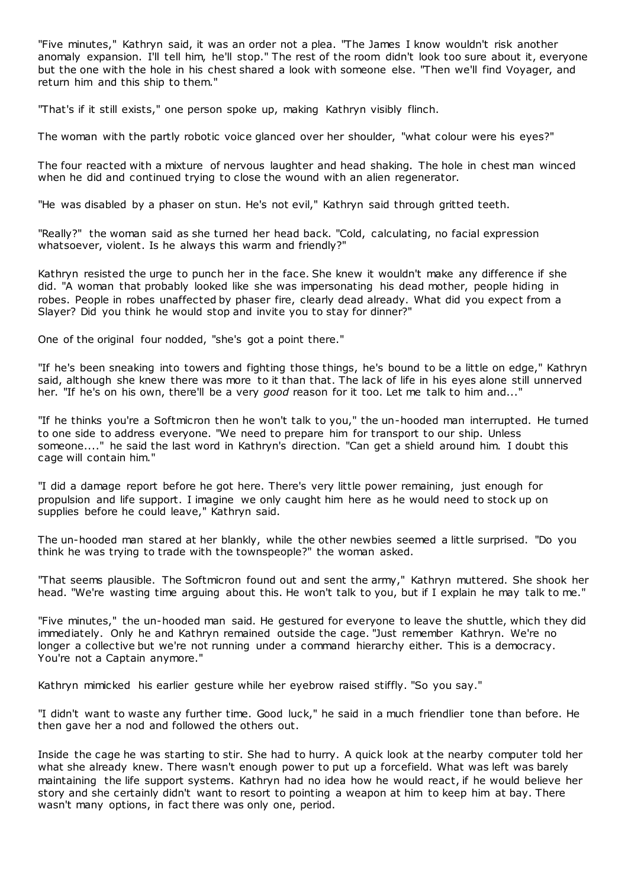"Five minutes," Kathryn said, it was an order not a plea. "The James I know wouldn't risk another anomaly expansion. I'll tell him, he'll stop." The rest of the room didn't look too sure about it, everyone but the one with the hole in his chest shared a look with someone else. "Then we'll find Voyager, and return him and this ship to them."

"That's if it still exists," one person spoke up, making Kathryn visibly flinch.

The woman with the partly robotic voice glanced over her shoulder, "what colour were his eyes?"

The four reacted with a mixture of nervous laughter and head shaking. The hole in chest man winced when he did and continued trying to close the wound with an alien regenerator.

"He was disabled by a phaser on stun. He's not evil," Kathryn said through gritted teeth.

"Really?" the woman said as she turned her head back. "Cold, calculating, no facial expression whatsoever, violent. Is he always this warm and friendly?"

Kathryn resisted the urge to punch her in the face. She knew it wouldn't make any difference if she did. "A woman that probably looked like she was impersonating his dead mother, people hiding in robes. People in robes unaffected by phaser fire, clearly dead already. What did you expect from a Slayer? Did you think he would stop and invite you to stay for dinner?"

One of the original four nodded, "she's got a point there."

"If he's been sneaking into towers and fighting those things, he's bound to be a little on edge," Kathryn said, although she knew there was more to it than that. The lack of life in his eyes alone still unnerved her. "If he's on his own, there'll be a very *good* reason for it too. Let me talk to him and..."

"If he thinks you're a Softmicron then he won't talk to you," the un-hooded man interrupted. He turned to one side to address everyone. "We need to prepare him for transport to our ship. Unless someone...." he said the last word in Kathryn's direction. "Can get a shield around him. I doubt this cage will contain him."

"I did a damage report before he got here. There's very little power remaining, just enough for propulsion and life support. I imagine we only caught him here as he would need to stock up on supplies before he could leave," Kathryn said.

The un-hooded man stared at her blankly, while the other newbies seemed a little surprised. "Do you think he was trying to trade with the townspeople?" the woman asked.

"That seems plausible. The Softmicron found out and sent the army," Kathryn muttered. She shook her head. "We're wasting time arguing about this. He won't talk to you, but if I explain he may talk to me."

"Five minutes," the un-hooded man said. He gestured for everyone to leave the shuttle, which they did immediately. Only he and Kathryn remained outside the cage. "Just remember Kathryn. We're no longer a collective but we're not running under a command hierarchy either. This is a democracy. You're not a Captain anymore."

Kathryn mimicked his earlier gesture while her eyebrow raised stiffly. "So you say."

"I didn't want to waste any further time. Good luck," he said in a much friendlier tone than before. He then gave her a nod and followed the others out.

Inside the cage he was starting to stir. She had to hurry. A quick look at the nearby computer told her what she already knew. There wasn't enough power to put up a forcefield. What was left was barely maintaining the life support systems. Kathryn had no idea how he would react, if he would believe her story and she certainly didn't want to resort to pointing a weapon at him to keep him at bay. There wasn't many options, in fact there was only one, period.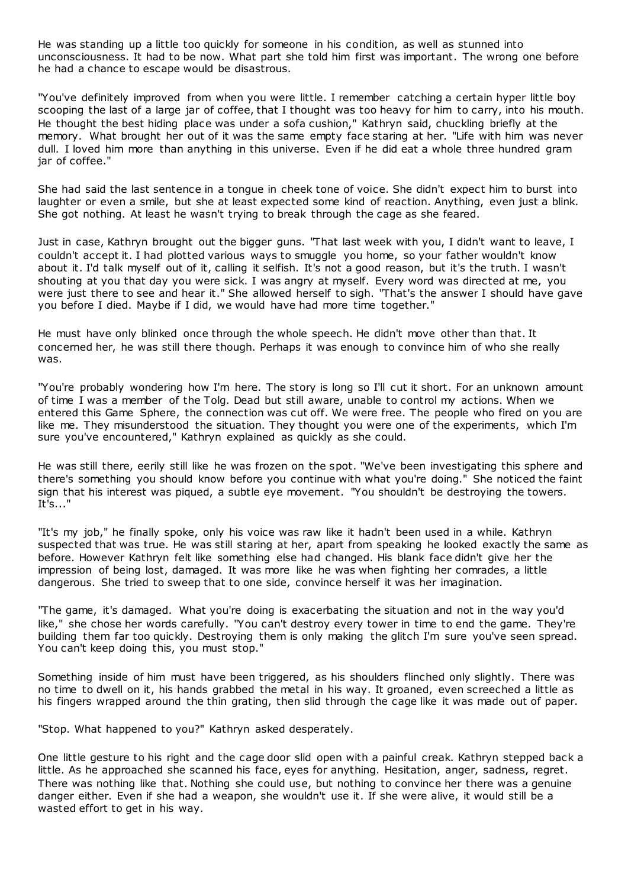He was standing up a little too quickly for someone in his condition, as well as stunned into unconsciousness. It had to be now. What part she told him first was important. The wrong one before he had a chance to escape would be disastrous.

"You've definitely improved from when you were little. I remember catching a certain hyper little boy scooping the last of a large jar of coffee, that I thought was too heavy for him to carry, into his mouth. He thought the best hiding place was under a sofa cushion," Kathryn said, chuckling briefly at the memory. What brought her out of it was the same empty face staring at her. "Life with him was never dull. I loved him more than anything in this universe. Even if he did eat a whole three hundred gram jar of coffee."

She had said the last sentence in a tongue in cheek tone of voice. She didn't expect him to burst into laughter or even a smile, but she at least expected some kind of reaction. Anything, even just a blink. She got nothing. At least he wasn't trying to break through the cage as she feared.

Just in case, Kathryn brought out the bigger guns. "That last week with you, I didn't want to leave, I couldn't accept it. I had plotted various ways to smuggle you home, so your father wouldn't know about it. I'd talk myself out of it, calling it selfish. It's not a good reason, but it's the truth. I wasn't shouting at you that day you were sick. I was angry at myself. Every word was directed at me, you were just there to see and hear it." She allowed herself to sigh. "That's the answer I should have gave you before I died. Maybe if I did, we would have had more time together."

He must have only blinked once through the whole speech. He didn't move other than that. It concerned her, he was still there though. Perhaps it was enough to convince him of who she really was.

"You're probably wondering how I'm here. The story is long so I'll cut it short. For an unknown amount of time I was a member of the Tolg. Dead but still aware, unable to control my actions. When we entered this Game Sphere, the connection was cut off. We were free. The people who fired on you are like me. They misunderstood the situation. They thought you were one of the experiments, which I'm sure you've encountered," Kathryn explained as quickly as she could.

He was still there, eerily still like he was frozen on the spot. "We've been investigating this sphere and there's something you should know before you continue with what you're doing." She noticed the faint sign that his interest was piqued, a subtle eye movement. "You shouldn't be destroying the towers. It's..."

"It's my job," he finally spoke, only his voice was raw like it hadn't been used in a while. Kathryn suspected that was true. He was still staring at her, apart from speaking he looked exactly the same as before. However Kathryn felt like something else had changed. His blank face didn't give her the impression of being lost, damaged. It was more like he was when fighting her comrades, a little dangerous. She tried to sweep that to one side, convince herself it was her imagination.

"The game, it's damaged. What you're doing is exacerbating the situation and not in the way you'd like," she chose her words carefully. "You can't destroy every tower in time to end the game. They're building them far too quickly. Destroying them is only making the glitch I'm sure you've seen spread. You can't keep doing this, you must stop."

Something inside of him must have been triggered, as his shoulders flinched only slightly. There was no time to dwell on it, his hands grabbed the metal in his way. It groaned, even screeched a little as his fingers wrapped around the thin grating, then slid through the cage like it was made out of paper.

"Stop. What happened to you?" Kathryn asked desperately.

One little gesture to his right and the cage door slid open with a painful creak. Kathryn stepped back a little. As he approached she scanned his face, eyes for anything. Hesitation, anger, sadness, regret. There was nothing like that. Nothing she could use, but nothing to convince her there was a genuine danger either. Even if she had a weapon, she wouldn't use it. If she were alive, it would still be a wasted effort to get in his way.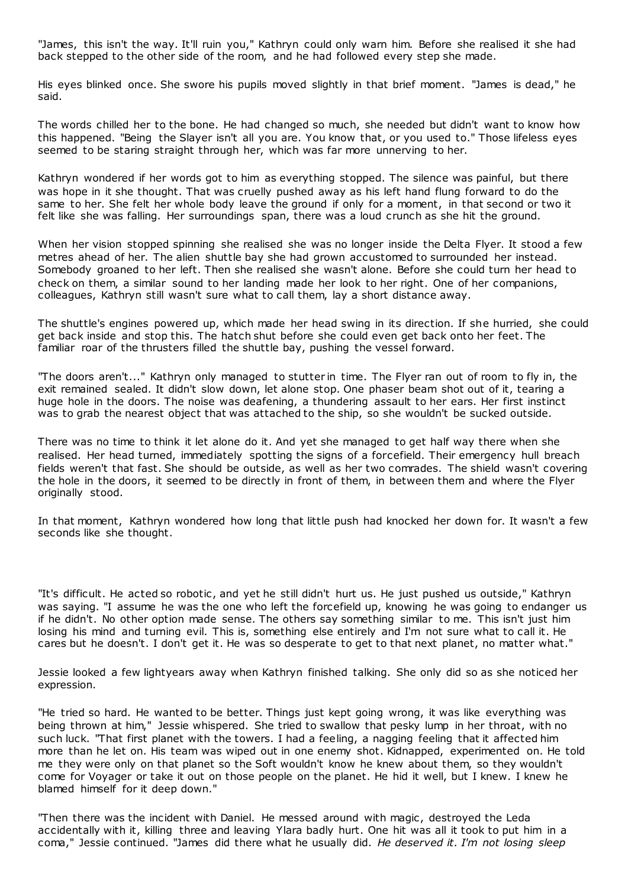"James, this isn't the way. It'll ruin you," Kathryn could only warn him. Before she realised it she had back stepped to the other side of the room, and he had followed every step she made.

His eyes blinked once. She swore his pupils moved slightly in that brief moment. "James is dead," he said.

The words chilled her to the bone. He had changed so much, she needed but didn't want to know how this happened. "Being the Slayer isn't all you are. You know that, or you used to." Those lifeless eyes seemed to be staring straight through her, which was far more unnerving to her.

Kathryn wondered if her words got to him as everything stopped. The silence was painful, but there was hope in it she thought. That was cruelly pushed away as his left hand flung forward to do the same to her. She felt her whole body leave the ground if only for a moment, in that second or two it felt like she was falling. Her surroundings span, there was a loud crunch as she hit the ground.

When her vision stopped spinning she realised she was no longer inside the Delta Flyer. It stood a few metres ahead of her. The alien shuttle bay she had grown accustomed to surrounded her instead. Somebody groaned to her left. Then she realised she wasn't alone. Before she could turn her head to check on them, a similar sound to her landing made her look to her right. One of her companions, colleagues, Kathryn still wasn't sure what to call them, lay a short distance away.

The shuttle's engines powered up, which made her head swing in its direction. If she hurried, she could get back inside and stop this. The hatch shut before she could even get back onto her feet. The familiar roar of the thrusters filled the shuttle bay, pushing the vessel forward.

"The doors aren't..." Kathryn only managed to stutter in time. The Flyer ran out of room to fly in, the exit remained sealed. It didn't slow down, let alone stop. One phaser beam shot out of it, tearing a huge hole in the doors. The noise was deafening, a thundering assault to her ears. Her first instinct was to grab the nearest object that was attached to the ship, so she wouldn't be sucked outside.

There was no time to think it let alone do it. And yet she managed to get half way there when she realised. Her head turned, immediately spotting the signs of a forcefield. Their emergency hull breach fields weren't that fast. She should be outside, as well as her two comrades. The shield wasn't covering the hole in the doors, it seemed to be directly in front of them, in between them and where the Flyer originally stood.

In that moment, Kathryn wondered how long that little push had knocked her down for. It wasn't a few seconds like she thought.

"It's difficult. He acted so robotic, and yet he still didn't hurt us. He just pushed us outside," Kathryn was saying. "I assume he was the one who left the forcefield up, knowing he was going to endanger us if he didn't. No other option made sense. The others say something similar to me. This isn't just him losing his mind and turning evil. This is, something else entirely and I'm not sure what to call it. He cares but he doesn't. I don't get it. He was so desperate to get to that next planet, no matter what."

Jessie looked a few lightyears away when Kathryn finished talking. She only did so as she noticed her expression.

"He tried so hard. He wanted to be better. Things just kept going wrong, it was like everything was being thrown at him," Jessie whispered. She tried to swallow that pesky lump in her throat, with no such luck. "That first planet with the towers. I had a feeling, a nagging feeling that it affected him more than he let on. His team was wiped out in one enemy shot. Kidnapped, experimented on. He told me they were only on that planet so the Soft wouldn't know he knew about them, so they wouldn't come for Voyager or take it out on those people on the planet. He hid it well, but I knew. I knew he blamed himself for it deep down."

"Then there was the incident with Daniel. He messed around with magic , destroyed the Leda accidentally with it, killing three and leaving Ylara badly hurt. One hit was all it took to put him in a coma," Jessie continued. "James did there what he usually did. *He deserved it. I'm not losing sleep*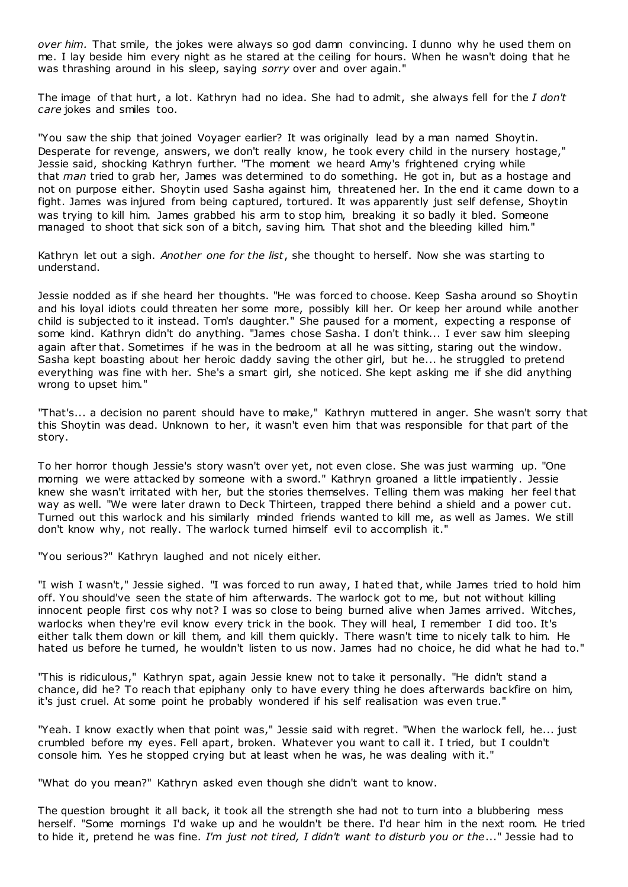*over him.* That smile, the jokes were always so god damn convincing. I dunno why he used them on me. I lay beside him every night as he stared at the ceiling for hours. When he wasn't doing that he was thrashing around in his sleep, saying *sorry* over and over again."

The image of that hurt, a lot. Kathryn had no idea. She had to admit, she always fell for the *I don't care* jokes and smiles too.

"You saw the ship that joined Voyager earlier? It was originally lead by a man named Shoytin. Desperate for revenge, answers, we don't really know, he took every child in the nursery hostage," Jessie said, shocking Kathryn further. "The moment we heard Amy's frightened crying while that *man* tried to grab her, James was determined to do something. He got in, but as a hostage and not on purpose either. Shoytin used Sasha against him, threatened her. In the end it came down to a fight. James was injured from being captured, tortured. It was apparently just self defense, Shoytin was trying to kill him. James grabbed his arm to stop him, breaking it so badly it bled. Someone managed to shoot that sick son of a bitch, saving him. That shot and the bleeding killed him."

Kathryn let out a sigh. *Another one for the list*, she thought to herself. Now she was starting to understand.

Jessie nodded as if she heard her thoughts. "He was forced to choose. Keep Sasha around so Shoytin and his loyal idiots could threaten her some more, possibly kill her. Or keep her around while another child is subjected to it instead. Tom's daughter." She paused for a moment, expecting a response of some kind. Kathryn didn't do anything. "James chose Sasha. I don't think... I ever saw him sleeping again after that. Sometimes if he was in the bedroom at all he was sitting, staring out the window. Sasha kept boasting about her heroic daddy saving the other girl, but he... he struggled to pretend everything was fine with her. She's a smart girl, she noticed. She kept asking me if she did anything wrong to upset him."

"That's... a decision no parent should have to make," Kathryn muttered in anger. She wasn't sorry that this Shoytin was dead. Unknown to her, it wasn't even him that was responsible for that part of the story.

To her horror though Jessie's story wasn't over yet, not even close. She was just warming up. "One morning we were attacked by someone with a sword." Kathryn groaned a little impatiently. Jessie knew she wasn't irritated with her, but the stories themselves. Telling them was making her feel that way as well. "We were later drawn to Deck Thirteen, trapped there behind a shield and a power cut. Turned out this warlock and his similarly minded friends wanted to kill me, as well as James. We still don't know why, not really. The warlock turned himself evil to accomplish it."

"You serious?" Kathryn laughed and not nicely either.

"I wish I wasn't," Jessie sighed. "I was forced to run away, I hat ed that, while James tried to hold him off. You should've seen the state of him afterwards. The warlock got to me, but not without killing innocent people first cos why not? I was so close to being burned alive when James arrived. Witches, warlocks when they're evil know every trick in the book. They will heal, I remember I did too. It's either talk them down or kill them, and kill them quickly. There wasn't time to nicely talk to him. He hated us before he turned, he wouldn't listen to us now. James had no choice, he did what he had to."

"This is ridiculous," Kathryn spat, again Jessie knew not to take it personally. "He didn't stand a chance, did he? To reach that epiphany only to have every thing he does afterwards backfire on him, it's just cruel. At some point he probably wondered if his self realisation was even true."

"Yeah. I know exactly when that point was," Jessie said with regret. "When the warlock fell, he... just crumbled before my eyes. Fell apart, broken. Whatever you want to call it. I tried, but I couldn't console him. Yes he stopped crying but at least when he was, he was dealing with it."

"What do you mean?" Kathryn asked even though she didn't want to know.

The question brought it all back, it took all the strength she had not to turn into a blubbering mess herself. "Some mornings I'd wake up and he wouldn't be there. I'd hear him in the next room. He tried to hide it, pretend he was fine. *I'm just not tired, I didn't want to disturb you or the*..." Jessie had to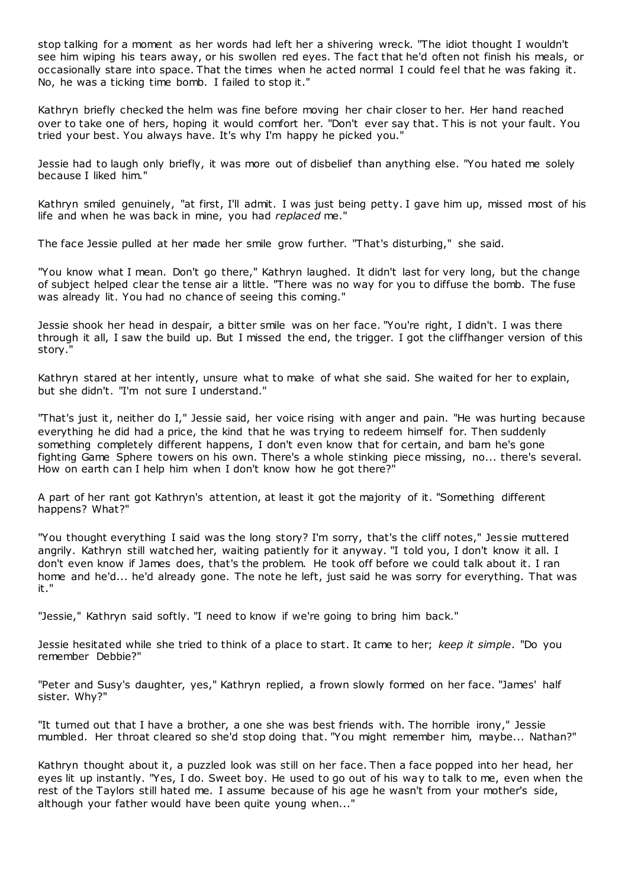stop talking for a moment as her words had left her a shivering wreck. "The idiot thought I wouldn't see him wiping his tears away, or his swollen red eyes. The fact that he'd often not finish his meals, or occasionally stare into space. That the times when he acted normal I could feel that he was faking it. No, he was a ticking time bomb. I failed to stop it."

Kathryn briefly checked the helm was fine before moving her chair closer to her. Her hand reached over to take one of hers, hoping it would comfort her. "Don't ever say that. T his is not your fault. You tried your best. You always have. It's why I'm happy he picked you."

Jessie had to laugh only briefly, it was more out of disbelief than anything else. "You hated me solely because I liked him."

Kathryn smiled genuinely, "at first, I'll admit. I was just being petty. I gave him up, missed most of his life and when he was back in mine, you had *replaced* me."

The face Jessie pulled at her made her smile grow further. "That's disturbing," she said.

"You know what I mean. Don't go there," Kathryn laughed. It didn't last for very long, but the change of subject helped clear the tense air a little. "There was no way for you to diffuse the bomb. The fuse was already lit. You had no chance of seeing this coming."

Jessie shook her head in despair, a bitter smile was on her face. "You're right, I didn't. I was there through it all, I saw the build up. But I missed the end, the trigger. I got the cliffhanger version of this story."

Kathryn stared at her intently, unsure what to make of what she said. She waited for her to explain, but she didn't. "I'm not sure I understand."

"That's just it, neither do I," Jessie said, her voice rising with anger and pain. "He was hurting because everything he did had a price, the kind that he was trying to redeem himself for. Then suddenly something completely different happens, I don't even know that for certain, and bam he's gone fighting Game Sphere towers on his own. There's a whole stinking piece missing, no... there's several. How on earth can I help him when I don't know how he got there?"

A part of her rant got Kathryn's attention, at least it got the majority of it. "Something different happens? What?"

"You thought everything I said was the long story? I'm sorry, that's the cliff notes," Jessie muttered angrily. Kathryn still watched her, waiting patiently for it anyway. "I told you, I don't know it all. I don't even know if James does, that's the problem. He took off before we could talk about it. I ran home and he'd... he'd already gone. The note he left, just said he was sorry for everything. That was it."

"Jessie," Kathryn said softly. "I need to know if we're going to bring him back."

Jessie hesitated while she tried to think of a place to start. It came to her; *keep it simple*. "Do you remember Debbie?"

"Peter and Susy's daughter, yes," Kathryn replied, a frown slowly formed on her face. "James' half sister. Why?"

"It turned out that I have a brother, a one she was best friends with. The horrible irony," Jessie mumbled. Her throat cleared so she'd stop doing that. "You might remember him, maybe... Nathan?"

Kathryn thought about it, a puzzled look was still on her face. Then a face popped into her head, her eyes lit up instantly. "Yes, I do. Sweet boy. He used to go out of his way to talk to me, even when the rest of the Taylors still hated me. I assume because of his age he wasn't from your mother's side, although your father would have been quite young when..."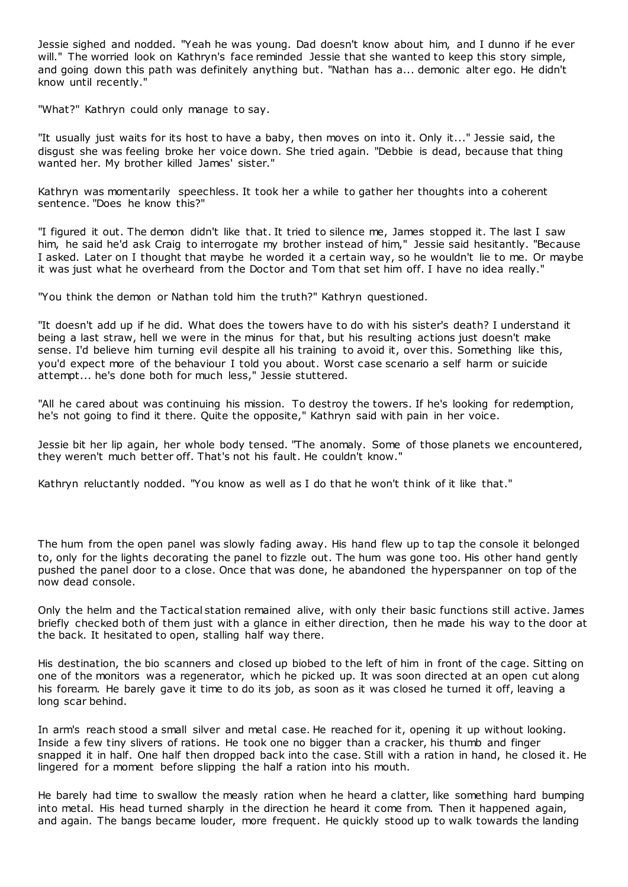Jessie sighed and nodded. "Yeah he was young. Dad doesn't know about him, and I dunno if he ever will." The worried look on Kathryn's face reminded Jessie that she wanted to keep this story simple, and going down this path was definitely anything but. "Nathan has a... demonic alter ego. He didn't know until recently."

"What?" Kathryn could only manage to say.

"It usually just waits for its host to have a baby, then moves on into it. Only it..." Jessie said, the disgust she was feeling broke her voice down. She tried again. "Debbie is dead, because that thing wanted her. My brother killed James' sister."

Kathryn was momentarily speechless. It took her a while to gather her thoughts into a coherent sentence. "Does he know this?"

"I figured it out. The demon didn't like that. It tried to silence me, James stopped it. The last I saw him, he said he'd ask Craig to interrogate my brother instead of him," Jessie said hesitantly. "Because I asked. Later on I thought that maybe he worded it a certain way, so he wouldn't lie to me. Or maybe it was just what he overheard from the Doctor and Tom that set him off. I have no idea really."

"You think the demon or Nathan told him the truth?" Kathryn questioned.

"It doesn't add up if he did. What does the towers have to do with his sister's death? I understand it being a last straw, hell we were in the minus for that, but his resulting actions just doesn't make sense. I'd believe him turning evil despite all his training to avoid it, over this. Something like this, you'd expect more of the behaviour I told you about. Worst case scenario a self harm or suicide attempt... he's done both for much less," Jessie stuttered.

"All he cared about was continuing his mission. To destroy the towers. If he's looking for redemption, he's not going to find it there. Quite the opposite," Kathryn said with pain in her voice.

Jessie bit her lip again, her whole body tensed. "The anomaly. Some of those planets we encountered, they weren't much better off. That's not his fault. He couldn't know."

Kathryn reluctantly nodded. "You know as well as I do that he won't think of it like that."

The hum from the open panel was slowly fading away. His hand flew up to tap the console it belonged to, only for the lights decorating the panel to fizzle out. The hum was gone too. His other hand gently pushed the panel door to a close. Once that was done, he abandoned the hyperspanner on top of the now dead console.

Only the helm and the Tactical station remained alive, with only their basic functions still active. James briefly checked both of them just with a glance in either direction, then he made his way to the door at the back. It hesitated to open, stalling half way there.

His destination, the bio scanners and closed up biobed to the left of him in front of the cage. Sitting on one of the monitors was a regenerator, which he picked up. It was soon directed at an open cut along his forearm. He barely gave it time to do its job, as soon as it was closed he turned it off, leaving a long scar behind.

In arm's reach stood a small silver and metal case. He reached for it, opening it up without looking. Inside a few tiny slivers of rations. He took one no bigger than a cracker, his thumb and finger snapped it in half. One half then dropped back into the case. Still with a ration in hand, he closed it. He lingered for a moment before slipping the half a ration into his mouth.

He barely had time to swallow the measly ration when he heard a clatter, like something hard bumping into metal. His head turned sharply in the direction he heard it come from. Then it happened again, and again. The bangs became louder, more frequent. He quickly stood up to walk towards the landing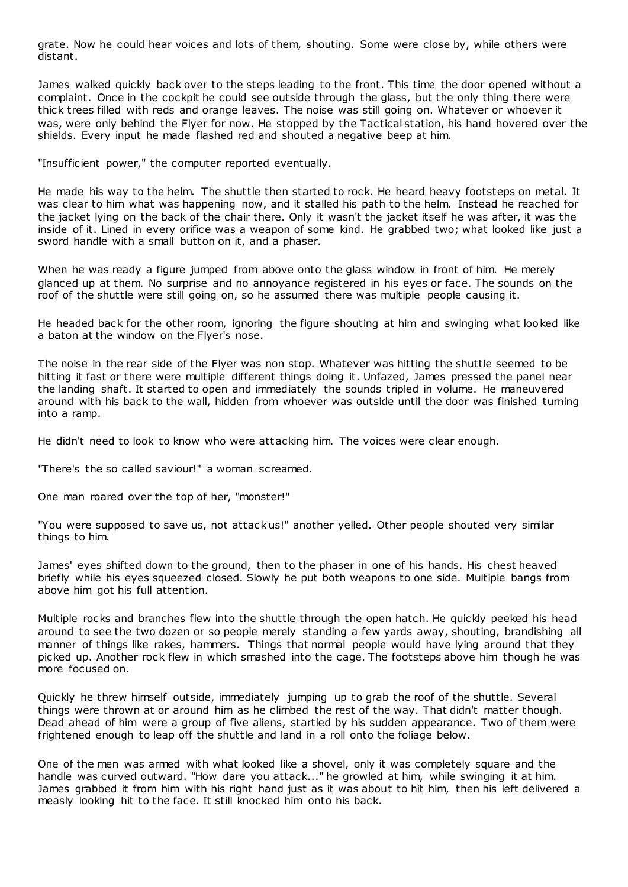grate. Now he could hear voices and lots of them, shouting. Some were close by, while others were distant.

James walked quickly back over to the steps leading to the front. This time the door opened without a complaint. Once in the cockpit he could see outside through the glass, but the only thing there were thick trees filled with reds and orange leaves. The noise was still going on. Whatever or whoever it was, were only behind the Flyer for now. He stopped by the Tactical station, his hand hovered over the shields. Every input he made flashed red and shouted a negative beep at him.

"Insufficient power," the computer reported eventually.

He made his way to the helm. The shuttle then started to rock. He heard heavy footsteps on metal. It was clear to him what was happening now, and it stalled his path to the helm. Instead he reached for the jacket lying on the back of the chair there. Only it wasn't the jacket itself he was after, it was the inside of it. Lined in every orifice was a weapon of some kind. He grabbed two; what looked like just a sword handle with a small button on it, and a phaser.

When he was ready a figure jumped from above onto the glass window in front of him. He merely glanced up at them. No surprise and no annoyance registered in his eyes or face. The sounds on the roof of the shuttle were still going on, so he assumed there was multiple people causing it.

He headed back for the other room, ignoring the figure shouting at him and swinging what looked like a baton at the window on the Flyer's nose.

The noise in the rear side of the Flyer was non stop. Whatever was hitting the shuttle seemed to be hitting it fast or there were multiple different things doing it. Unfazed, James pressed the panel near the landing shaft. It started to open and immediately the sounds tripled in volume. He maneuvered around with his back to the wall, hidden from whoever was outside until the door was finished turning into a ramp.

He didn't need to look to know who were attacking him. The voices were clear enough.

"There's the so called saviour!" a woman screamed.

One man roared over the top of her, "monster!"

"You were supposed to save us, not attack us!" another yelled. Other people shouted very similar things to him.

James' eyes shifted down to the ground, then to the phaser in one of his hands. His chest heaved briefly while his eyes squeezed closed. Slowly he put both weapons to one side. Multiple bangs from above him got his full attention.

Multiple rocks and branches flew into the shuttle through the open hatch. He quickly peeked his head around to see the two dozen or so people merely standing a few yards away, shouting, brandishing all manner of things like rakes, hammers. Things that normal people would have lying around that they picked up. Another rock flew in which smashed into the cage. The footsteps above him though he was more focused on.

Quickly he threw himself outside, immediately jumping up to grab the roof of the shuttle. Several things were thrown at or around him as he climbed the rest of the way. That didn't matter though. Dead ahead of him were a group of five aliens, startled by his sudden appearance. Two of them were frightened enough to leap off the shuttle and land in a roll onto the foliage below.

One of the men was armed with what looked like a shovel, only it was completely square and the handle was curved outward. "How dare you attack..." he growled at him, while swinging it at him. James grabbed it from him with his right hand just as it was about to hit him, then his left delivered a measly looking hit to the face. It still knocked him onto his back.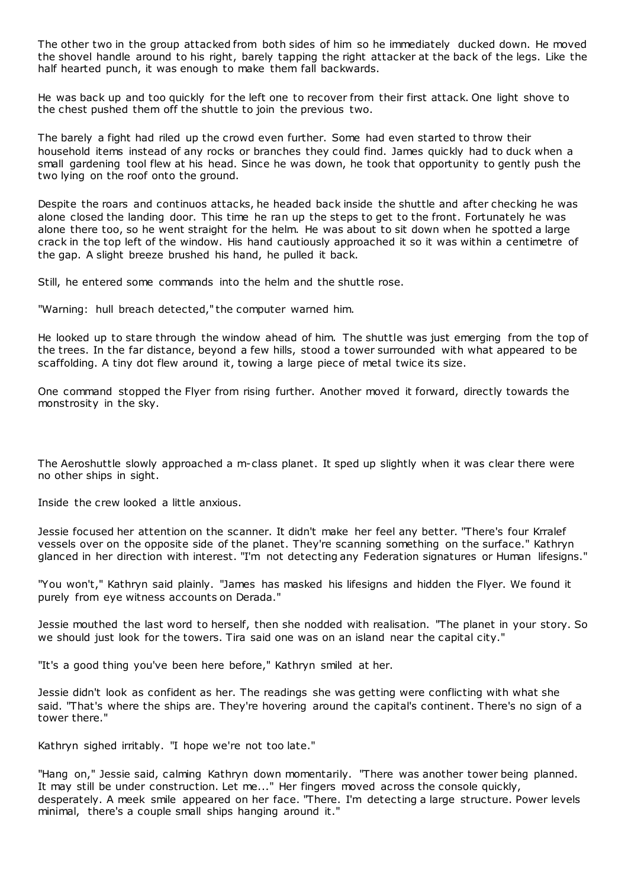The other two in the group attacked from both sides of him so he immediately ducked down. He moved the shovel handle around to his right, barely tapping the right attacker at the back of the legs. Like the half hearted punch, it was enough to make them fall backwards.

He was back up and too quickly for the left one to recover from their first attack. One light shove to the chest pushed them off the shuttle to join the previous two.

The barely a fight had riled up the crowd even further. Some had even started to throw their household items instead of any rocks or branches they could find. James quickly had to duck when a small gardening tool flew at his head. Since he was down, he took that opportunity to gently push the two lying on the roof onto the ground.

Despite the roars and continuos attacks, he headed back inside the shuttle and after checking he was alone closed the landing door. This time he ran up the steps to get to the front. Fortunately he was alone there too, so he went straight for the helm. He was about to sit down when he spotted a large crack in the top left of the window. His hand cautiously approached it so it was within a centimetre of the gap. A slight breeze brushed his hand, he pulled it back.

Still, he entered some commands into the helm and the shuttle rose.

"Warning: hull breach detected," the computer warned him.

He looked up to stare through the window ahead of him. The shuttle was just emerging from the top of the trees. In the far distance, beyond a few hills, stood a tower surrounded with what appeared to be scaffolding. A tiny dot flew around it, towing a large piece of metal twice its size.

One command stopped the Flyer from rising further. Another moved it forward, directly towards the monstrosity in the sky.

The Aeroshuttle slowly approached a m-class planet. It sped up slightly when it was clear there were no other ships in sight.

Inside the crew looked a little anxious.

Jessie focused her attention on the scanner. It didn't make her feel any better. "There's four Krralef vessels over on the opposite side of the planet. They're scanning something on the surface." Kathryn glanced in her direction with interest. "I'm not detecting any Federation signatures or Human lifesigns."

"You won't," Kathryn said plainly. "James has masked his lifesigns and hidden the Flyer. We found it purely from eye witness accounts on Derada."

Jessie mouthed the last word to herself, then she nodded with realisation. "The planet in your story. So we should just look for the towers. Tira said one was on an island near the capital city."

"It's a good thing you've been here before," Kathryn smiled at her.

Jessie didn't look as confident as her. The readings she was getting were conflicting with what she said. "That's where the ships are. They're hovering around the capital's continent. There's no sign of a tower there."

Kathryn sighed irritably. "I hope we're not too late."

"Hang on," Jessie said, calming Kathryn down momentarily. "There was another tower being planned. It may still be under construction. Let me..." Her fingers moved across the console quickly, desperately. A meek smile appeared on her face. "There. I'm detecting a large structure. Power levels minimal, there's a couple small ships hanging around it."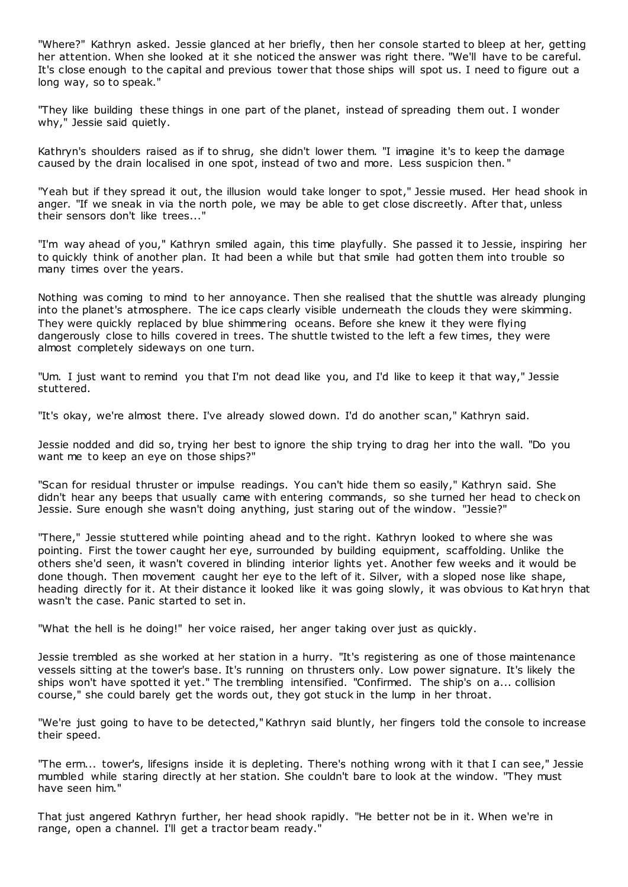"Where?" Kathryn asked. Jessie glanced at her briefly, then her console started to bleep at her, getting her attention. When she looked at it she noticed the answer was right there. "We'll have to be careful. It's close enough to the capital and previous tower that those ships will spot us. I need to figure out a long way, so to speak."

"They like building these things in one part of the planet, instead of spreading them out. I wonder why," Jessie said quietly.

Kathryn's shoulders raised as if to shrug, she didn't lower them. "I imagine it's to keep the damage caused by the drain localised in one spot, instead of two and more. Less suspicion then. "

"Yeah but if they spread it out, the illusion would take longer to spot," Jessie mused. Her head shook in anger. "If we sneak in via the north pole, we may be able to get close discreetly. After that, unless their sensors don't like trees..."

"I'm way ahead of you," Kathryn smiled again, this time playfully. She passed it to Jessie, inspiring her to quickly think of another plan. It had been a while but that smile had gotten them into trouble so many times over the years.

Nothing was coming to mind to her annoyance. Then she realised that the shuttle was already plunging into the planet's atmosphere. The ice caps clearly visible underneath the clouds they were skimming. They were quickly replaced by blue shimmering oceans. Before she knew it they were flying dangerously close to hills covered in trees. The shuttle twisted to the left a few times, they were almost completely sideways on one turn.

"Um. I just want to remind you that I'm not dead like you, and I'd like to keep it that way," Jessie stuttered.

"It's okay, we're almost there. I've already slowed down. I'd do another scan," Kathryn said.

Jessie nodded and did so, trying her best to ignore the ship trying to drag her into the wall. "Do you want me to keep an eye on those ships?"

"Scan for residual thruster or impulse readings. You can't hide them so easily," Kathryn said. She didn't hear any beeps that usually came with entering commands, so she turned her head to check on Jessie. Sure enough she wasn't doing anything, just staring out of the window. "Jessie?"

"There," Jessie stuttered while pointing ahead and to the right. Kathryn looked to where she was pointing. First the tower caught her eye, surrounded by building equipment, scaffolding. Unlike the others she'd seen, it wasn't covered in blinding interior lights yet. Another few weeks and it would be done though. Then movement caught her eye to the left of it. Silver, with a sloped nose like shape, heading directly for it. At their distance it looked like it was going slowly, it was obvious to Kat hryn that wasn't the case. Panic started to set in.

"What the hell is he doing!" her voice raised, her anger taking over just as quickly.

Jessie trembled as she worked at her station in a hurry. "It's registering as one of those maintenance vessels sitting at the tower's base. It's running on thrusters only. Low power signature. It's likely the ships won't have spotted it yet." The trembling intensified. "Confirmed. The ship's on a... collision course," she could barely get the words out, they got stuck in the lump in her throat.

"We're just going to have to be detected," Kathryn said bluntly, her fingers told the console to increase their speed.

"The erm... tower's, lifesigns inside it is depleting. There's nothing wrong with it that I can see," Jessie mumbled while staring directly at her station. She couldn't bare to look at the window. "They must have seen him."

That just angered Kathryn further, her head shook rapidly. "He better not be in it. When we're in range, open a channel. I'll get a tractor beam ready."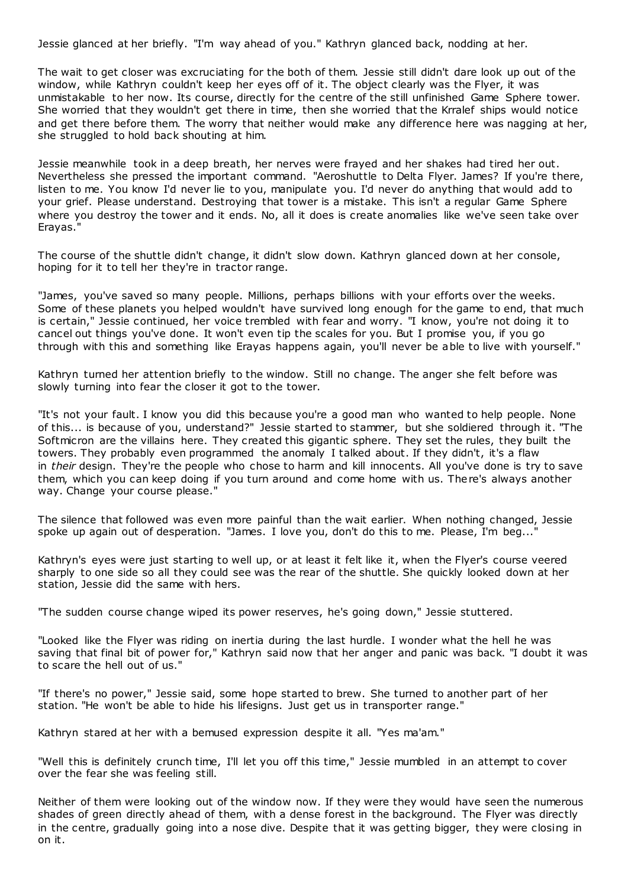Jessie glanced at her briefly. "I'm way ahead of you." Kathryn glanced back, nodding at her.

The wait to get closer was excruciating for the both of them. Jessie still didn't dare look up out of the window, while Kathryn couldn't keep her eyes off of it. The object clearly was the Flyer, it was unmistakable to her now. Its course, directly for the centre of the still unfinished Game Sphere tower. She worried that they wouldn't get there in time, then she worried that the Krralef ships would notice and get there before them. The worry that neither would make any difference here was nagging at her, she struggled to hold back shouting at him.

Jessie meanwhile took in a deep breath, her nerves were frayed and her shakes had tired her out. Nevertheless she pressed the important command. "Aeroshuttle to Delta Flyer. James? If you're there, listen to me. You know I'd never lie to you, manipulate you. I'd never do anything that would add to your grief. Please understand. Destroying that tower is a mistake. This isn't a regular Game Sphere where you destroy the tower and it ends. No, all it does is create anomalies like we've seen take over Erayas."

The course of the shuttle didn't change, it didn't slow down. Kathryn glanced down at her console, hoping for it to tell her they're in tractor range.

"James, you've saved so many people. Millions, perhaps billions with your efforts over the weeks. Some of these planets you helped wouldn't have survived long enough for the game to end, that much is certain," Jessie continued, her voice trembled with fear and worry. "I know, you're not doing it to cancel out things you've done. It won't even tip the scales for you. But I promise you, if you go through with this and something like Erayas happens again, you'll never be able to live with yourself."

Kathryn turned her attention briefly to the window. Still no change. The anger she felt before was slowly turning into fear the closer it got to the tower.

"It's not your fault. I know you did this because you're a good man who wanted to help people. None of this... is because of you, understand?" Jessie started to stammer, but she soldiered through it. "The Softmicron are the villains here. They created this gigantic sphere. They set the rules, they built the towers. They probably even programmed the anomaly I talked about. If they didn't, it's a flaw in *their* design. They're the people who chose to harm and kill innocents. All you've done is try to save them, which you can keep doing if you turn around and come home with us. There's always another way. Change your course please."

The silence that followed was even more painful than the wait earlier. When nothing changed, Jessie spoke up again out of desperation. "James. I love you, don't do this to me. Please, I'm beg...

Kathryn's eyes were just starting to well up, or at least it felt like it, when the Flyer's course veered sharply to one side so all they could see was the rear of the shuttle. She quickly looked down at her station, Jessie did the same with hers.

"The sudden course change wiped its power reserves, he's going down," Jessie stuttered.

"Looked like the Flyer was riding on inertia during the last hurdle. I wonder what the hell he was saving that final bit of power for," Kathryn said now that her anger and panic was back. "I doubt it was to scare the hell out of us."

"If there's no power," Jessie said, some hope started to brew. She turned to another part of her station. "He won't be able to hide his lifesigns. Just get us in transporter range."

Kathryn stared at her with a bemused expression despite it all. "Yes ma'am."

"Well this is definitely crunch time, I'll let you off this time," Jessie mumbled in an attempt to cover over the fear she was feeling still.

Neither of them were looking out of the window now. If they were they would have seen the numerous shades of green directly ahead of them, with a dense forest in the background. The Flyer was directly in the centre, gradually going into a nose dive. Despite that it was getting bigger, they were closing in on it.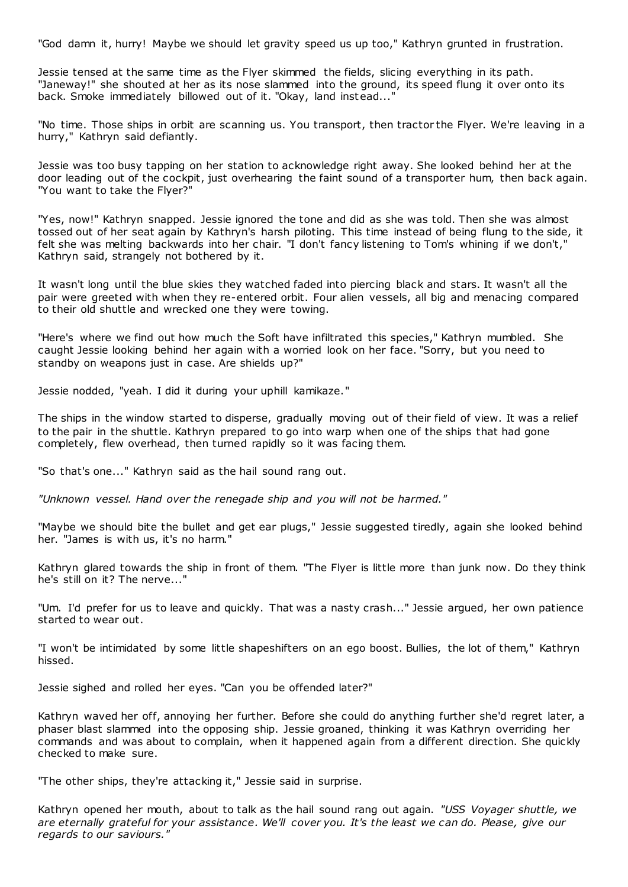"God damn it, hurry! Maybe we should let gravity speed us up too," Kathryn grunted in frustration.

Jessie tensed at the same time as the Flyer skimmed the fields, slicing everything in its path. "Janeway!" she shouted at her as its nose slammed into the ground, its speed flung it over onto its back. Smoke immediately billowed out of it. "Okay, land instead..."

"No time. Those ships in orbit are scanning us. You transport, then tractor the Flyer. We're leaving in a hurry," Kathryn said defiantly.

Jessie was too busy tapping on her station to acknowledge right away. She looked behind her at the door leading out of the cockpit, just overhearing the faint sound of a transporter hum, then back again. "You want to take the Flyer?"

"Yes, now!" Kathryn snapped. Jessie ignored the tone and did as she was told. Then she was almost tossed out of her seat again by Kathryn's harsh piloting. This time instead of being flung to the side, it felt she was melting backwards into her chair. "I don't fancy listening to Tom's whining if we don't," Kathryn said, strangely not bothered by it.

It wasn't long until the blue skies they watched faded into piercing black and stars. It wasn't all the pair were greeted with when they re-entered orbit. Four alien vessels, all big and menacing compared to their old shuttle and wrecked one they were towing.

"Here's where we find out how much the Soft have infiltrated this species," Kathryn mumbled. She caught Jessie looking behind her again with a worried look on her face. "Sorry, but you need to standby on weapons just in case. Are shields up?"

Jessie nodded, "yeah. I did it during your uphill kamikaze."

The ships in the window started to disperse, gradually moving out of their field of view. It was a relief to the pair in the shuttle. Kathryn prepared to go into warp when one of the ships that had gone completely, flew overhead, then turned rapidly so it was facing them.

"So that's one..." Kathryn said as the hail sound rang out.

*"Unknown vessel. Hand over the renegade ship and you will not be harmed."*

"Maybe we should bite the bullet and get ear plugs," Jessie suggested tiredly, again she looked behind her. "James is with us, it's no harm."

Kathryn glared towards the ship in front of them. "The Flyer is little more than junk now. Do they think he's still on it? The nerve..."

"Um. I'd prefer for us to leave and quickly. That was a nasty crash..." Jessie argued, her own patience started to wear out.

"I won't be intimidated by some little shapeshifters on an ego boost. Bullies, the lot of them," Kathryn hissed.

Jessie sighed and rolled her eyes. "Can you be offended later?"

Kathryn waved her off, annoying her further. Before she could do anything further she'd regret later, a phaser blast slammed into the opposing ship. Jessie groaned, thinking it was Kathryn overriding her commands and was about to complain, when it happened again from a different direction. She quickly checked to make sure.

"The other ships, they're attacking it," Jessie said in surprise.

Kathryn opened her mouth, about to talk as the hail sound rang out again. *"USS Voyager shuttle, we are eternally grateful for your assistance. We'll cover you. It's the least we can do. Please, give our regards to our saviours."*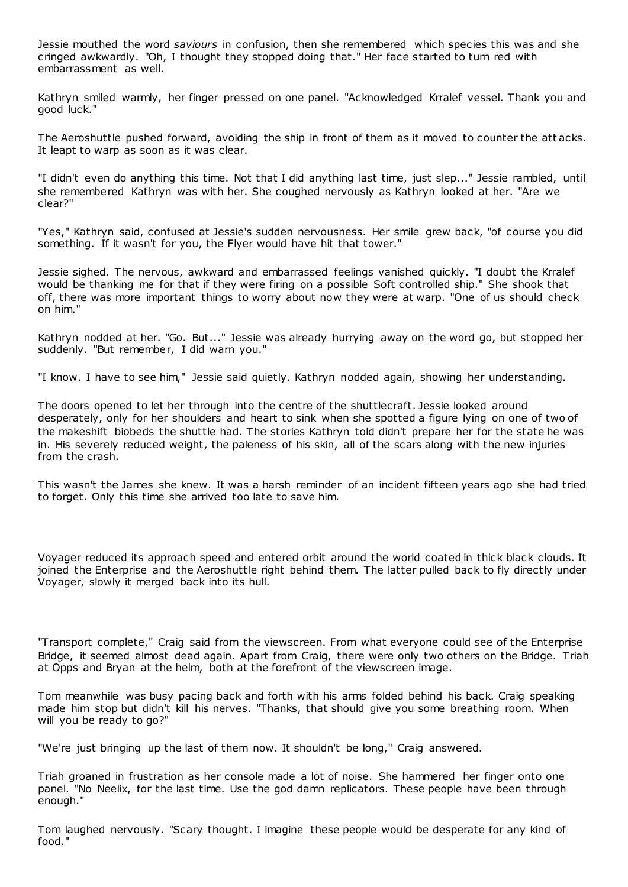Jessie mouthed the word *saviours* in confusion, then she remembered which species this was and she cringed awkwardly. "Oh, I thought they stopped doing that." Her face started to turn red with embarrassment as well.

Kathryn smiled warmly, her finger pressed on one panel. "Acknowledged Krralef vessel. Thank you and good luck."

The Aeroshuttle pushed forward, avoiding the ship in front of them as it moved to counter the att acks. It leapt to warp as soon as it was clear.

"I didn't even do anything this time. Not that I did anything last time, just slep..." Jessie rambled, until she remembered Kathryn was with her. She coughed nervously as Kathryn looked at her. "Are we clear?"

"Yes," Kathryn said, confused at Jessie's sudden nervousness. Her smile grew back, "of course you did something. If it wasn't for you, the Flyer would have hit that tower."

Jessie sighed. The nervous, awkward and embarrassed feelings vanished quickly. "I doubt the Krralef would be thanking me for that if they were firing on a possible Soft controlled ship." She shook that off, there was more important things to worry about now they were at warp. "One of us should check on him."

Kathryn nodded at her. "Go. But..." Jessie was already hurrying away on the word go, but stopped her suddenly. "But remember, I did warn you."

"I know. I have to see him," Jessie said quietly. Kathryn nodded again, showing her understanding.

The doors opened to let her through into the centre of the shuttlecraft. Jessie looked around desperately, only for her shoulders and heart to sink when she spotted a figure lying on one of two of the makeshift biobeds the shuttle had. The stories Kathryn told didn't prepare her for the state he was in. His severely reduced weight, the paleness of his skin, all of the scars along with the new injuries from the crash.

This wasn't the James she knew. It was a harsh reminder of an incident fifteen years ago she had tried to forget. Only this time she arrived too late to save him.

Voyager reduced its approach speed and entered orbit around the world coated in thick black clouds. It joined the Enterprise and the Aeroshuttle right behind them. The latter pulled back to fly directly under Voyager, slowly it merged back into its hull.

"Transport complete," Craig said from the viewscreen. From what everyone could see of the Enterprise Bridge, it seemed almost dead again. Apart from Craig, there were only two others on the Bridge. Triah at Opps and Bryan at the helm, both at the forefront of the viewscreen image.

Tom meanwhile was busy pacing back and forth with his arms folded behind his back. Craig speaking made him stop but didn't kill his nerves. "Thanks, that should give you some breathing room. When will you be ready to go?"

"We're just bringing up the last of them now. It shouldn't be long," Craig answered.

Triah groaned in frustration as her console made a lot of noise. She hammered her finger onto one panel. "No Neelix, for the last time. Use the god damn replicators. These people have been through enough."

Tom laughed nervously. "Scary thought. I imagine these people would be desperate for any kind of food."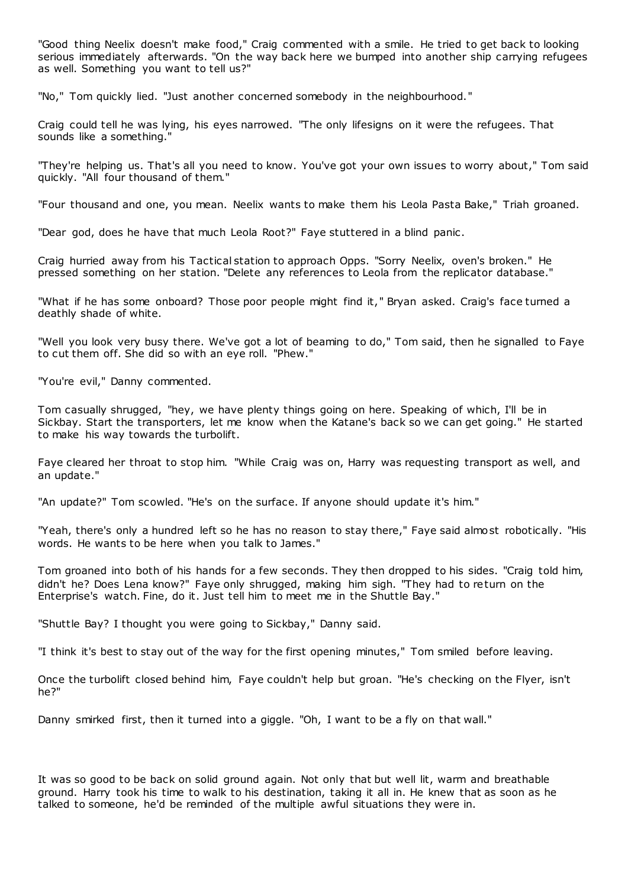"Good thing Neelix doesn't make food," Craig commented with a smile. He tried to get back to looking serious immediately afterwards. "On the way back here we bumped into another ship carrying refugees as well. Something you want to tell us?"

"No," Tom quickly lied. "Just another concerned somebody in the neighbourhood."

Craig could tell he was lying, his eyes narrowed. "The only lifesigns on it were the refugees. That sounds like a something."

"They're helping us. That's all you need to know. You've got your own issues to worry about," Tom said quickly. "All four thousand of them."

"Four thousand and one, you mean. Neelix wants to make them his Leola Pasta Bake," Triah groaned.

"Dear god, does he have that much Leola Root?" Faye stuttered in a blind panic .

Craig hurried away from his Tactical station to approach Opps. "Sorry Neelix, oven's broken." He pressed something on her station. "Delete any references to Leola from the replicator database."

"What if he has some onboard? Those poor people might find it," Bryan asked. Craig's face turned a deathly shade of white.

"Well you look very busy there. We've got a lot of beaming to do," Tom said, then he signalled to Faye to cut them off. She did so with an eye roll. "Phew."

"You're evil," Danny commented.

Tom casually shrugged, "hey, we have plenty things going on here. Speaking of which, I'll be in Sickbay. Start the transporters, let me know when the Katane's back so we can get going." He started to make his way towards the turbolift.

Faye cleared her throat to stop him. "While Craig was on, Harry was requesting transport as well, and an update."

"An update?" Tom scowled. "He's on the surface. If anyone should update it's him."

"Yeah, there's only a hundred left so he has no reason to stay there," Faye said almost robotically. "His words. He wants to be here when you talk to James."

Tom groaned into both of his hands for a few seconds. They then dropped to his sides. "Craig told him, didn't he? Does Lena know?" Faye only shrugged, making him sigh. "They had to return on the Enterprise's watch. Fine, do it. Just tell him to meet me in the Shuttle Bay."

"Shuttle Bay? I thought you were going to Sickbay," Danny said.

"I think it's best to stay out of the way for the first opening minutes," Tom smiled before leaving.

Once the turbolift closed behind him, Faye couldn't help but groan. "He's checking on the Flyer, isn't he?"

Danny smirked first, then it turned into a giggle. "Oh, I want to be a fly on that wall."

It was so good to be back on solid ground again. Not only that but well lit, warm and breathable ground. Harry took his time to walk to his destination, taking it all in. He knew that as soon as he talked to someone, he'd be reminded of the multiple awful situations they were in.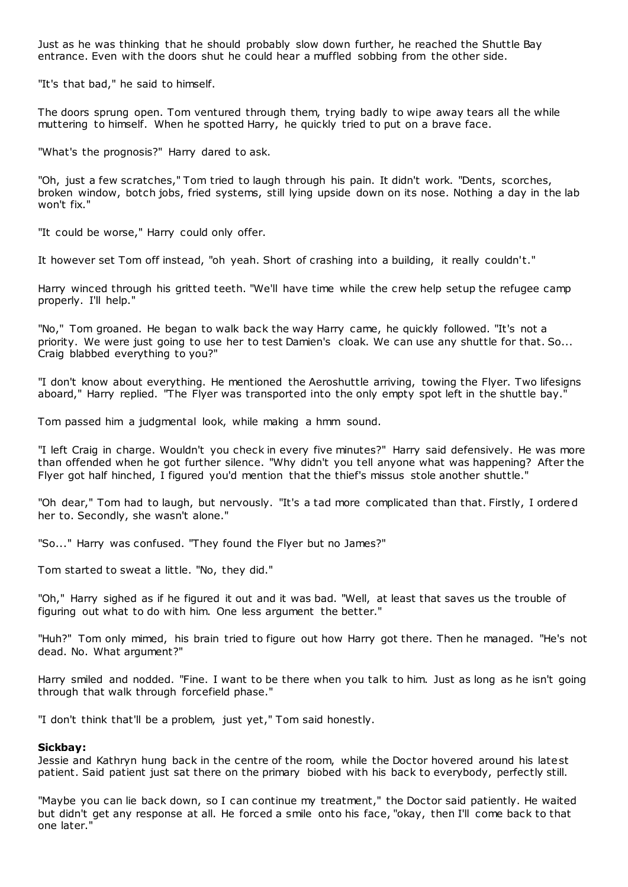Just as he was thinking that he should probably slow down further, he reached the Shuttle Bay entrance. Even with the doors shut he could hear a muffled sobbing from the other side.

"It's that bad," he said to himself.

The doors sprung open. Tom ventured through them, trying badly to wipe away tears all the while muttering to himself. When he spotted Harry, he quickly tried to put on a brave face.

"What's the prognosis?" Harry dared to ask.

"Oh, just a few scratches," Tom tried to laugh through his pain. It didn't work. "Dents, scorches, broken window, botch jobs, fried systems, still lying upside down on its nose. Nothing a day in the lab won't fix."

"It could be worse," Harry could only offer.

It however set Tom off instead, "oh yeah. Short of crashing into a building, it really couldn't."

Harry winced through his gritted teeth. "We'll have time while the crew help setup the refugee camp properly. I'll help."

"No," Tom groaned. He began to walk back the way Harry came, he quickly followed. "It's not a priority. We were just going to use her to test Damien's cloak. We can use any shuttle for that. So... Craig blabbed everything to you?"

"I don't know about everything. He mentioned the Aeroshuttle arriving, towing the Flyer. Two lifesigns aboard," Harry replied. "The Flyer was transported into the only empty spot left in the shuttle bay."

Tom passed him a judgmental look, while making a hmm sound.

"I left Craig in charge. Wouldn't you check in every five minutes?" Harry said defensively. He was more than offended when he got further silence. "Why didn't you tell anyone what was happening? After the Flyer got half hinched, I figured you'd mention that the thief's missus stole another shuttle."

"Oh dear," Tom had to laugh, but nervously. "It's a tad more complicated than that. Firstly, I ordered her to. Secondly, she wasn't alone."

"So..." Harry was confused. "They found the Flyer but no James?"

Tom started to sweat a little. "No, they did."

"Oh," Harry sighed as if he figured it out and it was bad. "Well, at least that saves us the trouble of figuring out what to do with him. One less argument the better."

"Huh?" Tom only mimed, his brain tried to figure out how Harry got there. Then he managed. "He's not dead. No. What argument?"

Harry smiled and nodded. "Fine. I want to be there when you talk to him. Just as long as he isn't going through that walk through forcefield phase."

"I don't think that'll be a problem, just yet," Tom said honestly.

### **Sickbay:**

Jessie and Kathryn hung back in the centre of the room, while the Doctor hovered around his latest patient. Said patient just sat there on the primary biobed with his back to everybody, perfectly still.

"Maybe you can lie back down, so I can continue my treatment," the Doctor said patiently. He waited but didn't get any response at all. He forced a smile onto his face, "okay, then I'll come back to that one later."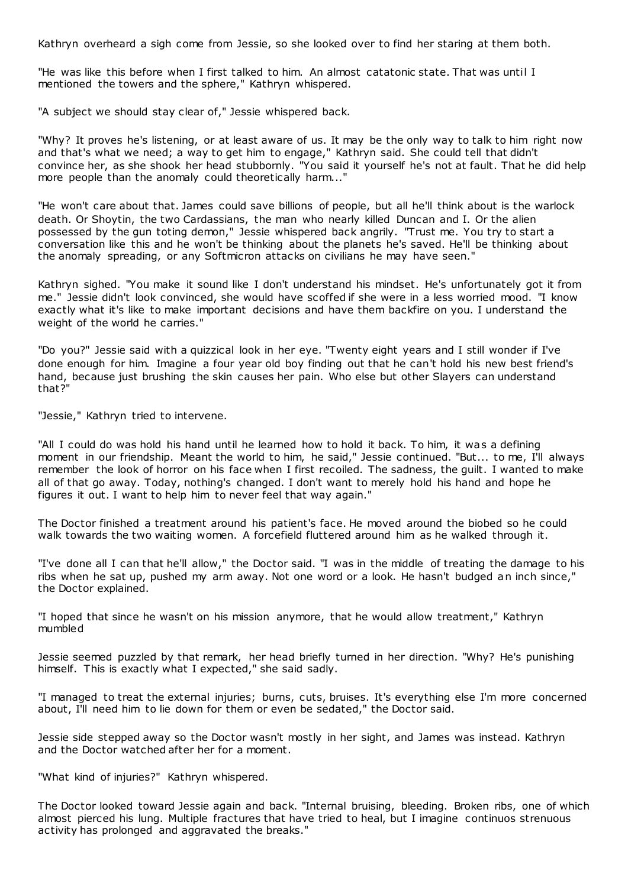Kathryn overheard a sigh come from Jessie, so she looked over to find her staring at them both.

"He was like this before when I first talked to him. An almost catatonic state. That was until I mentioned the towers and the sphere," Kathryn whispered.

"A subject we should stay clear of," Jessie whispered back.

"Why? It proves he's listening, or at least aware of us. It may be the only way to talk to him right now and that's what we need; a way to get him to engage," Kathryn said. She could tell that didn't convince her, as she shook her head stubbornly. "You said it yourself he's not at fault. That he did help more people than the anomaly could theoretically harm..."

"He won't care about that. James could save billions of people, but all he'll think about is the warlock death. Or Shoytin, the two Cardassians, the man who nearly killed Duncan and I. Or the alien possessed by the gun toting demon," Jessie whispered back angrily. "Trust me. You try to start a conversation like this and he won't be thinking about the planets he's saved. He'll be thinking about the anomaly spreading, or any Softmicron attacks on civilians he may have seen."

Kathryn sighed. "You make it sound like I don't understand his mindset. He's unfortunately got it from me." Jessie didn't look convinced, she would have scoffed if she were in a less worried mood. "I know exactly what it's like to make important decisions and have them backfire on you. I understand the weight of the world he carries."

"Do you?" Jessie said with a quizzical look in her eye. "Twenty eight years and I still wonder if I've done enough for him. Imagine a four year old boy finding out that he can't hold his new best friend's hand, because just brushing the skin causes her pain. Who else but other Slayers can understand that?"

"Jessie," Kathryn tried to intervene.

"All I could do was hold his hand until he learned how to hold it back. To him, it was a defining moment in our friendship. Meant the world to him, he said," Jessie continued. "But... to me, I'll always remember the look of horror on his face when I first recoiled. The sadness, the guilt. I wanted to make all of that go away. Today, nothing's changed. I don't want to merely hold his hand and hope he figures it out. I want to help him to never feel that way again."

The Doctor finished a treatment around his patient's face. He moved around the biobed so he could walk towards the two waiting women. A forcefield fluttered around him as he walked through it.

"I've done all I can that he'll allow," the Doctor said. "I was in the middle of treating the damage to his ribs when he sat up, pushed my arm away. Not one word or a look. He hasn't budged an inch since," the Doctor explained.

"I hoped that since he wasn't on his mission anymore, that he would allow treatment," Kathryn mumbled

Jessie seemed puzzled by that remark, her head briefly turned in her direction. "Why? He's punishing himself. This is exactly what I expected," she said sadly.

"I managed to treat the external injuries; burns, cuts, bruises. It's everything else I'm more concerned about, I'll need him to lie down for them or even be sedated," the Doctor said.

Jessie side stepped away so the Doctor wasn't mostly in her sight, and James was instead. Kathryn and the Doctor watched after her for a moment.

"What kind of injuries?" Kathryn whispered.

The Doctor looked toward Jessie again and back. "Internal bruising, bleeding. Broken ribs, one of which almost pierced his lung. Multiple fractures that have tried to heal, but I imagine continuos strenuous activity has prolonged and aggravated the breaks."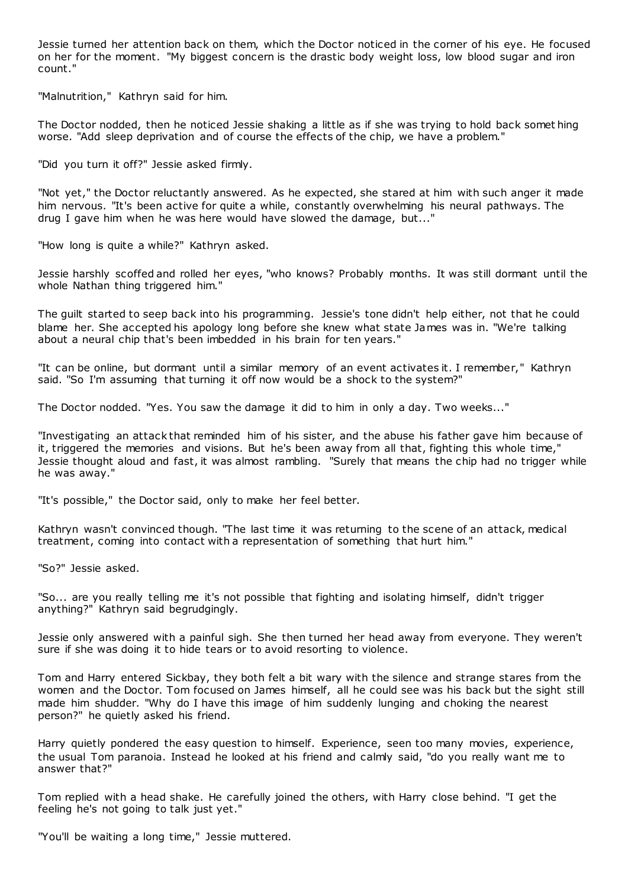Jessie turned her attention back on them, which the Doctor noticed in the corner of his eye. He focused on her for the moment. "My biggest concern is the drastic body weight loss, low blood sugar and iron count."

"Malnutrition," Kathryn said for him.

The Doctor nodded, then he noticed Jessie shaking a little as if she was trying to hold back somet hing worse. "Add sleep deprivation and of course the effects of the chip, we have a problem."

"Did you turn it off?" Jessie asked firmly.

"Not yet," the Doctor reluctantly answered. As he expected, she stared at him with such anger it made him nervous. "It's been active for quite a while, constantly overwhelming his neural pathways. The drug I gave him when he was here would have slowed the damage, but..."

"How long is quite a while?" Kathryn asked.

Jessie harshly scoffed and rolled her eyes, "who knows? Probably months. It was still dormant until the whole Nathan thing triggered him."

The guilt started to seep back into his programming. Jessie's tone didn't help either, not that he could blame her. She accepted his apology long before she knew what state James was in. "We're talking about a neural chip that's been imbedded in his brain for ten years."

"It can be online, but dormant until a similar memory of an event activates it. I remember," Kathryn said. "So I'm assuming that turning it off now would be a shock to the system?"

The Doctor nodded. "Yes. You saw the damage it did to him in only a day. Two weeks..."

"Investigating an attack that reminded him of his sister, and the abuse his father gave him because of it, triggered the memories and visions. But he's been away from all that, fighting this whole time," Jessie thought aloud and fast, it was almost rambling. "Surely that means the chip had no trigger while he was away."

"It's possible," the Doctor said, only to make her feel better.

Kathryn wasn't convinced though. "The last time it was returning to the scene of an attack, medical treatment, coming into contact with a representation of something that hurt him."

"So?" Jessie asked.

"So... are you really telling me it's not possible that fighting and isolating himself, didn't trigger anything?" Kathryn said begrudgingly.

Jessie only answered with a painful sigh. She then turned her head away from everyone. They weren't sure if she was doing it to hide tears or to avoid resorting to violence.

Tom and Harry entered Sickbay, they both felt a bit wary with the silence and strange stares from the women and the Doctor. Tom focused on James himself, all he could see was his back but the sight still made him shudder. "Why do I have this image of him suddenly lunging and choking the nearest person?" he quietly asked his friend.

Harry quietly pondered the easy question to himself. Experience, seen too many movies, experience, the usual Tom paranoia. Instead he looked at his friend and calmly said, "do you really want me to answer that?"

Tom replied with a head shake. He carefully joined the others, with Harry close behind. "I get the feeling he's not going to talk just yet."

"You'll be waiting a long time," Jessie muttered.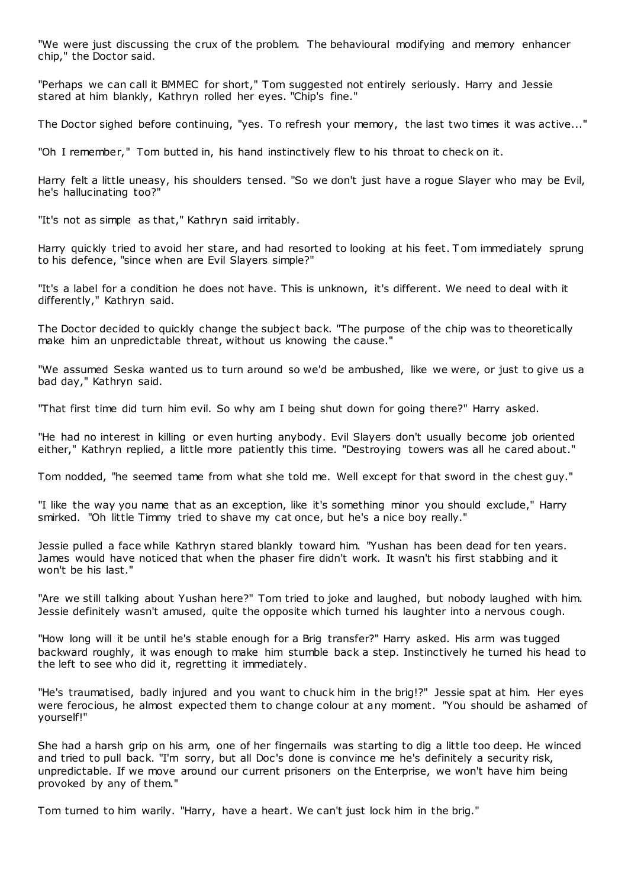"We were just discussing the crux of the problem. The behavioural modifying and memory enhancer chip," the Doctor said.

"Perhaps we can call it BMMEC for short," Tom suggested not entirely seriously. Harry and Jessie stared at him blankly, Kathryn rolled her eyes. "Chip's fine."

The Doctor sighed before continuing, "yes. To refresh your memory, the last two times it was active..."

"Oh I remember," Tom butted in, his hand instinctively flew to his throat to check on it.

Harry felt a little uneasy, his shoulders tensed. "So we don't just have a rogue Slayer who may be Evil, he's hallucinating too?"

"It's not as simple as that," Kathryn said irritably.

Harry quickly tried to avoid her stare, and had resorted to looking at his feet. T om immediately sprung to his defence, "since when are Evil Slayers simple?"

"It's a label for a condition he does not have. This is unknown, it's different. We need to deal with it differently," Kathryn said.

The Doctor decided to quickly change the subject back. "The purpose of the chip was to theoretically make him an unpredictable threat, without us knowing the cause."

"We assumed Seska wanted us to turn around so we'd be ambushed, like we were, or just to give us a bad day," Kathryn said.

"That first time did turn him evil. So why am I being shut down for going there?" Harry asked.

"He had no interest in killing or even hurting anybody. Evil Slayers don't usually become job oriented either," Kathryn replied, a little more patiently this time. "Destroying towers was all he cared about."

Tom nodded, "he seemed tame from what she told me. Well except for that sword in the chest guy."

"I like the way you name that as an exception, like it's something minor you should exclude," Harry smirked. "Oh little Timmy tried to shave my cat once, but he's a nice boy really."

Jessie pulled a face while Kathryn stared blankly toward him. "Yushan has been dead for ten years. James would have noticed that when the phaser fire didn't work. It wasn't his first stabbing and it won't be his last."

"Are we still talking about Yushan here?" Tom tried to joke and laughed, but nobody laughed with him. Jessie definitely wasn't amused, quite the opposite which turned his laughter into a nervous cough.

"How long will it be until he's stable enough for a Brig transfer?" Harry asked. His arm was tugged backward roughly, it was enough to make him stumble back a step. Instinctively he turned his head to the left to see who did it, regretting it immediately.

"He's traumatised, badly injured and you want to chuck him in the brig!?" Jessie spat at him. Her eyes were ferocious, he almost expected them to change colour at any moment. "You should be ashamed of yourself!"

She had a harsh grip on his arm, one of her fingernails was starting to dig a little too deep. He winced and tried to pull back. "I'm sorry, but all Doc's done is convince me he's definitely a security risk, unpredictable. If we move around our current prisoners on the Enterprise, we won't have him being provoked by any of them."

Tom turned to him warily. "Harry, have a heart. We can't just lock him in the brig."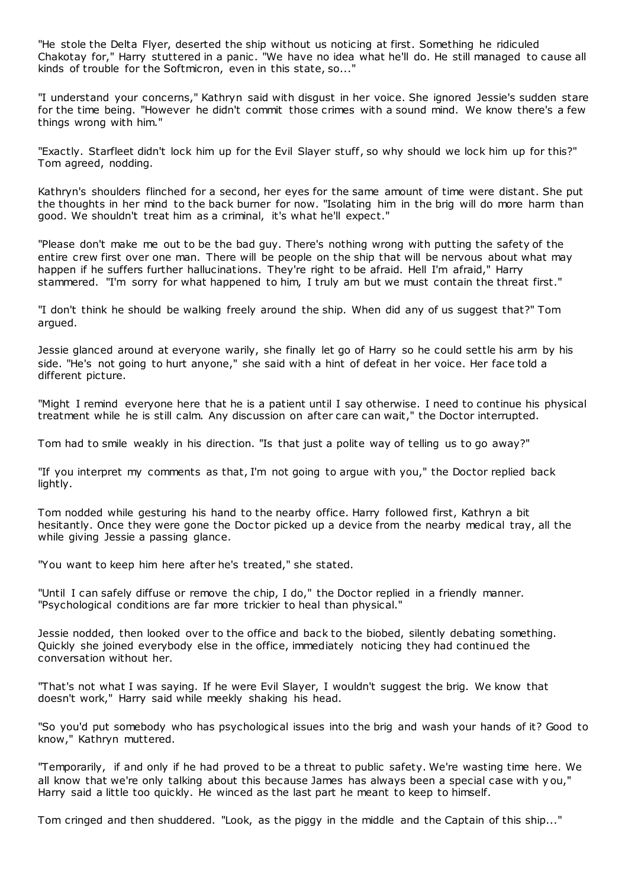"He stole the Delta Flyer, deserted the ship without us noticing at first. Something he ridiculed Chakotay for," Harry stuttered in a panic. "We have no idea what he'll do. He still managed to cause all kinds of trouble for the Softmicron, even in this state, so..."

"I understand your concerns," Kathryn said with disgust in her voice. She ignored Jessie's sudden stare for the time being. "However he didn't commit those crimes with a sound mind. We know there's a few things wrong with him."

"Exactly. Starfleet didn't lock him up for the Evil Slayer stuff, so why should we lock him up for this?" Tom agreed, nodding.

Kathryn's shoulders flinched for a second, her eyes for the same amount of time were distant. She put the thoughts in her mind to the back burner for now. "Isolating him in the brig will do more harm than good. We shouldn't treat him as a criminal, it's what he'll expect."

"Please don't make me out to be the bad guy. There's nothing wrong with putting the safety of the entire crew first over one man. There will be people on the ship that will be nervous about what may happen if he suffers further hallucinations. They're right to be afraid. Hell I'm afraid," Harry stammered. "I'm sorry for what happened to him, I truly am but we must contain the threat first."

"I don't think he should be walking freely around the ship. When did any of us suggest that?" Tom argued.

Jessie glanced around at everyone warily, she finally let go of Harry so he could settle his arm by his side. "He's not going to hurt anyone," she said with a hint of defeat in her voice. Her face told a different picture.

"Might I remind everyone here that he is a patient until I say otherwise. I need to continue his physical treatment while he is still calm. Any discussion on after care can wait," the Doctor interrupted.

Tom had to smile weakly in his direction. "Is that just a polite way of telling us to go away?"

"If you interpret my comments as that, I'm not going to argue with you," the Doctor replied back lightly.

Tom nodded while gesturing his hand to the nearby office. Harry followed first, Kathryn a bit hesitantly. Once they were gone the Doctor picked up a device from the nearby medical tray, all the while giving Jessie a passing glance.

"You want to keep him here after he's treated," she stated.

"Until I can safely diffuse or remove the chip, I do," the Doctor replied in a friendly manner. "Psychological conditions are far more trickier to heal than physical."

Jessie nodded, then looked over to the office and back to the biobed, silently debating something. Quickly she joined everybody else in the office, immediately noticing they had continued the conversation without her.

"That's not what I was saying. If he were Evil Slayer, I wouldn't suggest the brig. We know that doesn't work," Harry said while meekly shaking his head.

"So you'd put somebody who has psychological issues into the brig and wash your hands of it? Good to know," Kathryn muttered.

"Temporarily, if and only if he had proved to be a threat to public safety. We're wasting time here. We all know that we're only talking about this because James has always been a special case with y ou," Harry said a little too quickly. He winced as the last part he meant to keep to himself.

Tom cringed and then shuddered. "Look, as the piggy in the middle and the Captain of this ship..."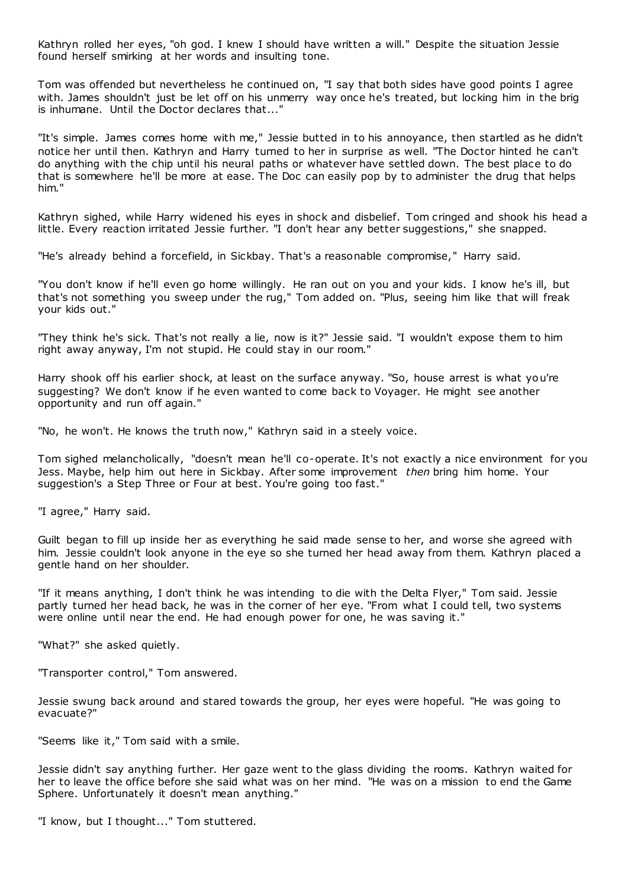Kathryn rolled her eyes, "oh god. I knew I should have written a will." Despite the situation Jessie found herself smirking at her words and insulting tone.

Tom was offended but nevertheless he continued on, "I say that both sides have good points I agree with. James shouldn't just be let off on his unmerry way once he's treated, but locking him in the brig is inhumane. Until the Doctor declares that..."

"It's simple. James comes home with me," Jessie butted in to his annoyance, then startled as he didn't notice her until then. Kathryn and Harry turned to her in surprise as well. "The Doctor hinted he can't do anything with the chip until his neural paths or whatever have settled down. The best place to do that is somewhere he'll be more at ease. The Doc can easily pop by to administer the drug that helps him."

Kathryn sighed, while Harry widened his eyes in shock and disbelief. Tom cringed and shook his head a little. Every reaction irritated Jessie further. "I don't hear any better suggestions," she snapped.

"He's already behind a forcefield, in Sickbay. That's a reasonable compromise," Harry said.

"You don't know if he'll even go home willingly. He ran out on you and your kids. I know he's ill, but that's not something you sweep under the rug," Tom added on. "Plus, seeing him like that will freak your kids out."

"They think he's sick. That's not really a lie, now is it?" Jessie said. "I wouldn't expose them to him right away anyway, I'm not stupid. He could stay in our room."

Harry shook off his earlier shock, at least on the surface anyway. "So, house arrest is what you're suggesting? We don't know if he even wanted to come back to Voyager. He might see another opportunity and run off again."

"No, he won't. He knows the truth now," Kathryn said in a steely voice.

Tom sighed melancholically, "doesn't mean he'll co-operate. It's not exactly a nice environment for you Jess. Maybe, help him out here in Sickbay. After some improvement *then* bring him home. Your suggestion's a Step Three or Four at best. You're going too fast."

"I agree," Harry said.

Guilt began to fill up inside her as everything he said made sense to her, and worse she agreed with him. Jessie couldn't look anyone in the eye so she turned her head away from them. Kathryn placed a gentle hand on her shoulder.

"If it means anything, I don't think he was intending to die with the Delta Flyer," Tom said. Jessie partly turned her head back, he was in the corner of her eye. "From what I could tell, two systems were online until near the end. He had enough power for one, he was saving it."

"What?" she asked quietly.

"Transporter control," Tom answered.

Jessie swung back around and stared towards the group, her eyes were hopeful. "He was going to evacuate?"

"Seems like it," Tom said with a smile.

Jessie didn't say anything further. Her gaze went to the glass dividing the rooms. Kathryn waited for her to leave the office before she said what was on her mind. "He was on a mission to end the Game Sphere. Unfortunately it doesn't mean anything."

"I know, but I thought..." Tom stuttered.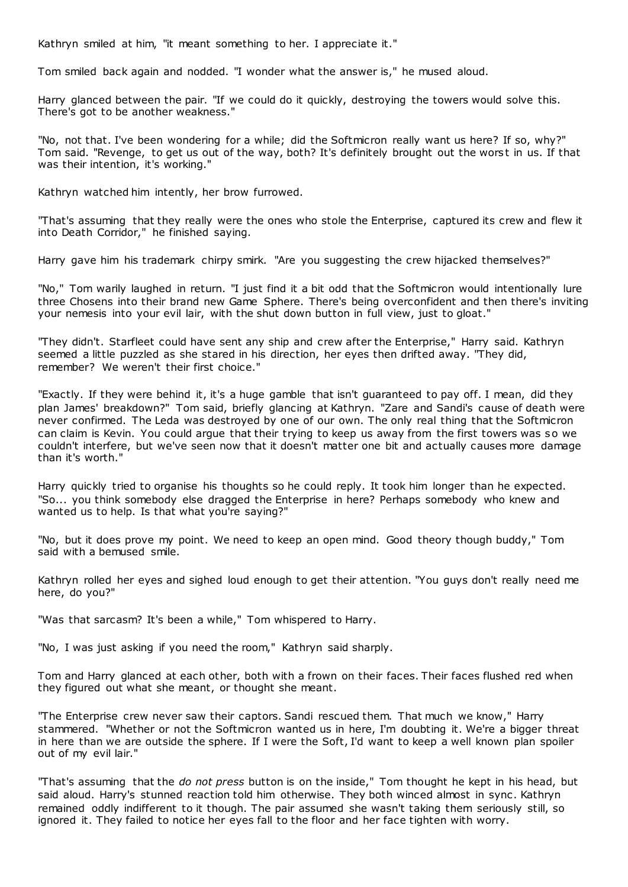Kathryn smiled at him, "it meant something to her. I appreciate it."

Tom smiled back again and nodded. "I wonder what the answer is," he mused aloud.

Harry glanced between the pair. "If we could do it quickly, destroying the towers would solve this. There's got to be another weakness."

"No, not that. I've been wondering for a while; did the Softmicron really want us here? If so, why?" Tom said. "Revenge, to get us out of the way, both? It's definitely brought out the worst in us. If that was their intention, it's working."

Kathryn watched him intently, her brow furrowed.

"That's assuming that they really were the ones who stole the Enterprise, captured its crew and flew it into Death Corridor," he finished saying.

Harry gave him his trademark chirpy smirk. "Are you suggesting the crew hijacked themselves?"

"No," Tom warily laughed in return. "I just find it a bit odd that the Softmicron would intentionally lure three Chosens into their brand new Game Sphere. There's being overconfident and then there's inviting your nemesis into your evil lair, with the shut down button in full view, just to gloat."

"They didn't. Starfleet could have sent any ship and crew after the Enterprise," Harry said. Kathryn seemed a little puzzled as she stared in his direction, her eyes then drifted away. "They did, remember? We weren't their first choice."

"Exactly. If they were behind it, it's a huge gamble that isn't guaranteed to pay off. I mean, did they plan James' breakdown?" Tom said, briefly glancing at Kathryn. "Zare and Sandi's cause of death were never confirmed. The Leda was destroyed by one of our own. The only real thing that the Softmicron can claim is Kevin. You could argue that their trying to keep us away from the first towers was so we couldn't interfere, but we've seen now that it doesn't matter one bit and actually causes more damage than it's worth."

Harry quickly tried to organise his thoughts so he could reply. It took him longer than he expected. "So... you think somebody else dragged the Enterprise in here? Perhaps somebody who knew and wanted us to help. Is that what you're saying?"

"No, but it does prove my point. We need to keep an open mind. Good theory though buddy," Tom said with a bemused smile.

Kathryn rolled her eyes and sighed loud enough to get their attention. "You guys don't really need me here, do you?"

"Was that sarcasm? It's been a while," Tom whispered to Harry.

"No, I was just asking if you need the room," Kathryn said sharply.

Tom and Harry glanced at each other, both with a frown on their faces. Their faces flushed red when they figured out what she meant, or thought she meant.

"The Enterprise crew never saw their captors. Sandi rescued them. That much we know," Harry stammered. "Whether or not the Softmicron wanted us in here, I'm doubting it. We're a bigger threat in here than we are outside the sphere. If I were the Soft, I'd want to keep a well known plan spoiler out of my evil lair."

"That's assuming that the *do not press* button is on the inside," Tom thought he kept in his head, but said aloud. Harry's stunned reaction told him otherwise. They both winced almost in sync . Kathryn remained oddly indifferent to it though. The pair assumed she wasn't taking them seriously still, so ignored it. They failed to notice her eyes fall to the floor and her face tighten with worry.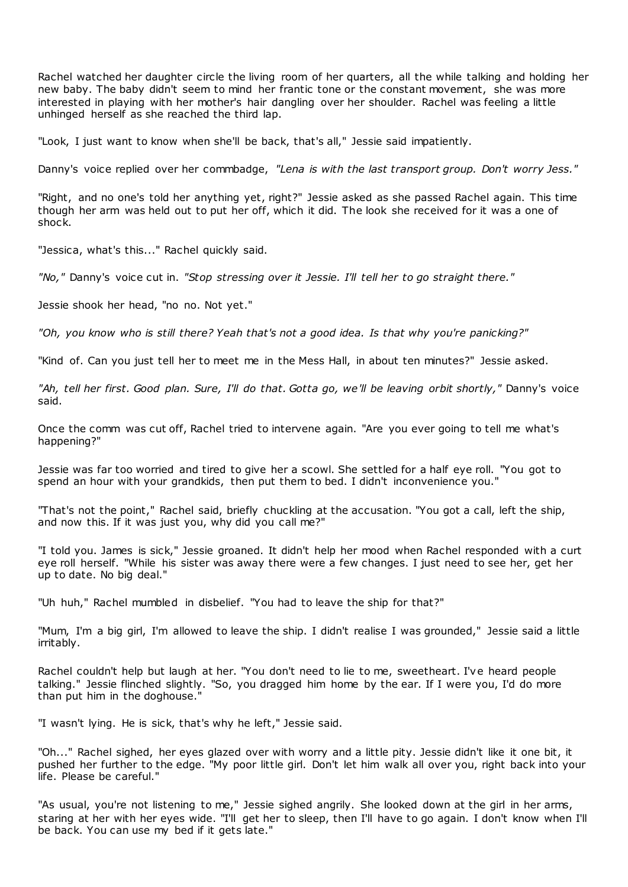Rachel watched her daughter circle the living room of her quarters, all the while talking and holding her new baby. The baby didn't seem to mind her frantic tone or the constant movement, she was more interested in playing with her mother's hair dangling over her shoulder. Rachel was feeling a little unhinged herself as she reached the third lap.

"Look, I just want to know when she'll be back, that's all," Jessie said impatiently.

Danny's voice replied over her commbadge, *"Lena is with the last transport group. Don't worry Jess."*

"Right, and no one's told her anything yet, right?" Jessie asked as she passed Rachel again. This time though her arm was held out to put her off, which it did. The look she received for it was a one of shock.

"Jessica, what's this..." Rachel quickly said.

*"No,"* Danny's voice cut in. *"Stop stressing over it Jessie. I'll tell her to go straight there."*

Jessie shook her head, "no no. Not yet."

*"Oh, you know who is still there? Yeah that's not a good idea. Is that why you're panicking?"*

"Kind of. Can you just tell her to meet me in the Mess Hall, in about ten minutes?" Jessie asked.

*"Ah, tell her first. Good plan. Sure, I'll do that. Gotta go, we'll be leaving orbit shortly,"* Danny's voice said.

Once the comm was cut off, Rachel tried to intervene again. "Are you ever going to tell me what's happening?"

Jessie was far too worried and tired to give her a scowl. She settled for a half eye roll. "You got to spend an hour with your grandkids, then put them to bed. I didn't inconvenience you."

"That's not the point," Rachel said, briefly chuckling at the accusation. "You got a call, left the ship, and now this. If it was just you, why did you call me?"

"I told you. James is sick," Jessie groaned. It didn't help her mood when Rachel responded with a curt eye roll herself. "While his sister was away there were a few changes. I just need to see her, get her up to date. No big deal."

"Uh huh," Rachel mumbled in disbelief. "You had to leave the ship for that?"

"Mum, I'm a big girl, I'm allowed to leave the ship. I didn't realise I was grounded," Jessie said a little irritably.

Rachel couldn't help but laugh at her. "You don't need to lie to me, sweetheart. I've heard people talking." Jessie flinched slightly. "So, you dragged him home by the ear. If I were you, I'd do more than put him in the doghouse."

"I wasn't lying. He is sick, that's why he left," Jessie said.

"Oh..." Rachel sighed, her eyes glazed over with worry and a little pity. Jessie didn't like it one bit, it pushed her further to the edge. "My poor little girl. Don't let him walk all over you, right back into your life. Please be careful."

"As usual, you're not listening to me," Jessie sighed angrily. She looked down at the girl in her arms, staring at her with her eyes wide. "I'll get her to sleep, then I'll have to go again. I don't know when I'll be back. You can use my bed if it gets late."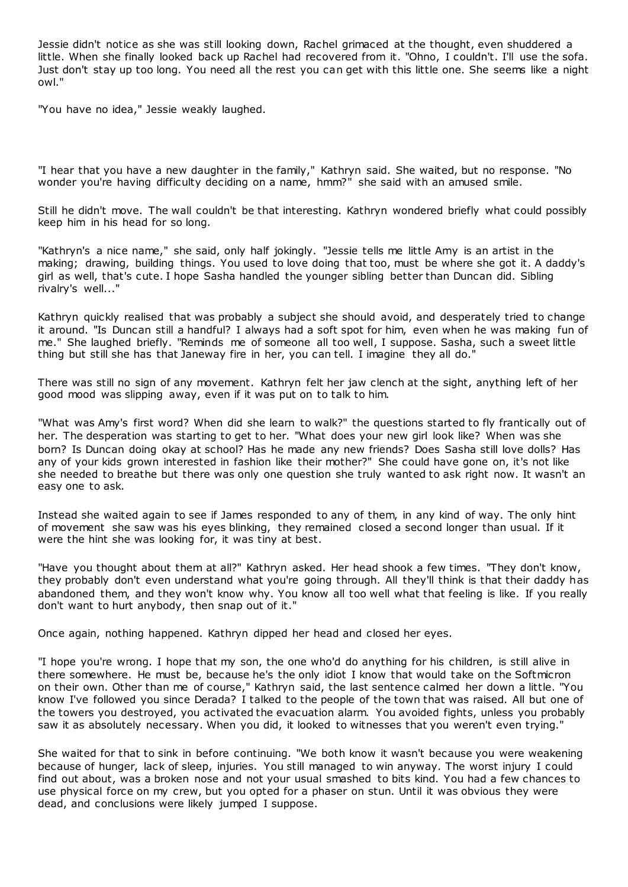Jessie didn't notice as she was still looking down, Rachel grimaced at the thought, even shuddered a little. When she finally looked back up Rachel had recovered from it. "Ohno, I couldn't. I'll use the sofa. Just don't stay up too long. You need all the rest you can get with this little one. She seems like a night owl."

"You have no idea," Jessie weakly laughed.

"I hear that you have a new daughter in the family," Kathryn said. She waited, but no response. "No wonder you're having difficulty deciding on a name, hmm?" she said with an amused smile.

Still he didn't move. The wall couldn't be that interesting. Kathryn wondered briefly what could possibly keep him in his head for so long.

"Kathryn's a nice name," she said, only half jokingly. "Jessie tells me little Amy is an artist in the making; drawing, building things. You used to love doing that too, must be where she got it. A daddy's girl as well, that's cute. I hope Sasha handled the younger sibling better than Duncan did. Sibling rivalry's well..."

Kathryn quickly realised that was probably a subject she should avoid, and desperately tried to change it around. "Is Duncan still a handful? I always had a soft spot for him, even when he was making fun of me." She laughed briefly. "Reminds me of someone all too well, I suppose. Sasha, such a sweet little thing but still she has that Janeway fire in her, you can tell. I imagine they all do."

There was still no sign of any movement. Kathryn felt her jaw clench at the sight, anything left of her good mood was slipping away, even if it was put on to talk to him.

"What was Amy's first word? When did she learn to walk?" the questions started to fly frantically out of her. The desperation was starting to get to her. "What does your new girl look like? When was she born? Is Duncan doing okay at school? Has he made any new friends? Does Sasha still love dolls? Has any of your kids grown interested in fashion like their mother?" She could have gone on, it's not like she needed to breathe but there was only one question she truly wanted to ask right now. It wasn't an easy one to ask.

Instead she waited again to see if James responded to any of them, in any kind of way. The only hint of movement she saw was his eyes blinking, they remained closed a second longer than usual. If it were the hint she was looking for, it was tiny at best.

"Have you thought about them at all?" Kathryn asked. Her head shook a few times. "They don't know, they probably don't even understand what you're going through. All they'll think is that their daddy has abandoned them, and they won't know why. You know all too well what that feeling is like. If you really don't want to hurt anybody, then snap out of it."

Once again, nothing happened. Kathryn dipped her head and closed her eyes.

"I hope you're wrong. I hope that my son, the one who'd do anything for his children, is still alive in there somewhere. He must be, because he's the only idiot I know that would take on the Softmicron on their own. Other than me of course," Kathryn said, the last sentence calmed her down a little. "You know I've followed you since Derada? I talked to the people of the town that was raised. All but one of the towers you destroyed, you activated the evacuation alarm. You avoided fights, unless you probably saw it as absolutely necessary. When you did, it looked to witnesses that you weren't even trying."

She waited for that to sink in before continuing. "We both know it wasn't because you were weakening because of hunger, lack of sleep, injuries. You still managed to win anyway. The worst injury I could find out about, was a broken nose and not your usual smashed to bits kind. You had a few chances to use physical force on my crew, but you opted for a phaser on stun. Until it was obvious they were dead, and conclusions were likely jumped I suppose.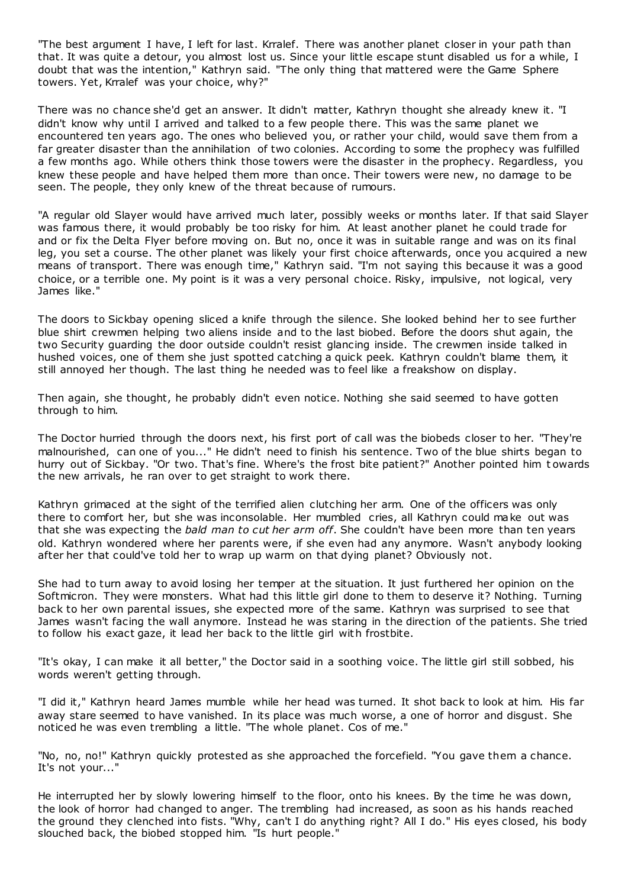"The best argument I have, I left for last. Krralef. There was another planet closer in your path than that. It was quite a detour, you almost lost us. Since your little escape stunt disabled us for a while, I doubt that was the intention," Kathryn said. "The only thing that mattered were the Game Sphere towers. Yet, Krralef was your choice, why?"

There was no chance she'd get an answer. It didn't matter, Kathryn thought she already knew it. "I didn't know why until I arrived and talked to a few people there. This was the same planet we encountered ten years ago. The ones who believed you, or rather your child, would save them from a far greater disaster than the annihilation of two colonies. According to some the prophecy was fulfilled a few months ago. While others think those towers were the disaster in the prophecy. Regardless, you knew these people and have helped them more than once. Their towers were new, no damage to be seen. The people, they only knew of the threat because of rumours.

"A regular old Slayer would have arrived much later, possibly weeks or months later. If that said Slayer was famous there, it would probably be too risky for him. At least another planet he could trade for and or fix the Delta Flyer before moving on. But no, once it was in suitable range and was on its final leg, you set a course. The other planet was likely your first choice afterwards, once you acquired a new means of transport. There was enough time," Kathryn said. "I'm not saying this because it was a good choice, or a terrible one. My point is it was a very personal choice. Risky, impulsive, not logical, very James like."

The doors to Sickbay opening sliced a knife through the silence. She looked behind her to see further blue shirt crewmen helping two aliens inside and to the last biobed. Before the doors shut again, the two Security guarding the door outside couldn't resist glancing inside. The crewmen inside talked in hushed voices, one of them she just spotted catching a quick peek. Kathryn couldn't blame them, it still annoyed her though. The last thing he needed was to feel like a freakshow on display.

Then again, she thought, he probably didn't even notice. Nothing she said seemed to have gotten through to him.

The Doctor hurried through the doors next, his first port of call was the biobeds closer to her. "They're malnourished, can one of you..." He didn't need to finish his sentence. Two of the blue shirts began to hurry out of Sickbay. "Or two. That's fine. Where's the frost bite patient?" Another pointed him t owards the new arrivals, he ran over to get straight to work there.

Kathryn grimaced at the sight of the terrified alien clutching her arm. One of the officers was only there to comfort her, but she was inconsolable. Her mumbled cries, all Kathryn could make out was that she was expecting the *bald man to cut her arm off*. She couldn't have been more than ten years old. Kathryn wondered where her parents were, if she even had any anymore. Wasn't anybody looking after her that could've told her to wrap up warm on that dying planet? Obviously not.

She had to turn away to avoid losing her temper at the situation. It just furthered her opinion on the Softmicron. They were monsters. What had this little girl done to them to deserve it? Nothing. Turning back to her own parental issues, she expected more of the same. Kathryn was surprised to see that James wasn't facing the wall anymore. Instead he was staring in the direction of the patients. She tried to follow his exact gaze, it lead her back to the little girl with frostbite.

"It's okay, I can make it all better," the Doctor said in a soothing voice. The little girl still sobbed, his words weren't getting through.

"I did it," Kathryn heard James mumble while her head was turned. It shot back to look at him. His far away stare seemed to have vanished. In its place was much worse, a one of horror and disgust. She noticed he was even trembling a little. "The whole planet. Cos of me."

"No, no, no!" Kathryn quickly protested as she approached the forcefield. "You gave them a chance. It's not your..."

He interrupted her by slowly lowering himself to the floor, onto his knees. By the time he was down, the look of horror had changed to anger. The trembling had increased, as soon as his hands reached the ground they clenched into fists. "Why, can't I do anything right? All I do." His eyes closed, his body slouched back, the biobed stopped him. "Is hurt people."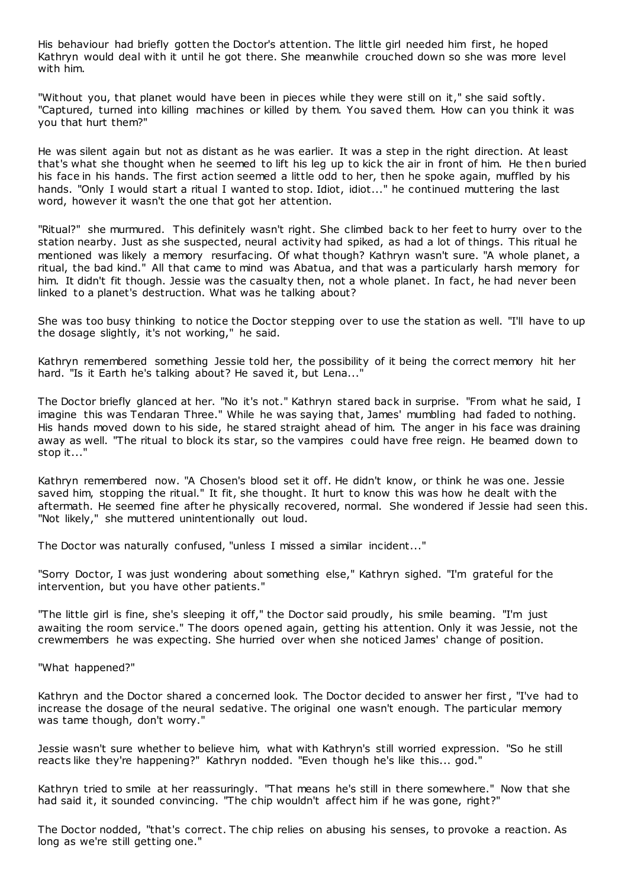His behaviour had briefly gotten the Doctor's attention. The little girl needed him first, he hoped Kathryn would deal with it until he got there. She meanwhile crouched down so she was more level with him.

"Without you, that planet would have been in pieces while they were still on it," she said softly. "Captured, turned into killing machines or killed by them. You saved them. How can you think it was you that hurt them?"

He was silent again but not as distant as he was earlier. It was a step in the right direction. At least that's what she thought when he seemed to lift his leg up to kick the air in front of him. He then buried his face in his hands. The first action seemed a little odd to her, then he spoke again, muffled by his hands. "Only I would start a ritual I wanted to stop. Idiot, idiot..." he continued muttering the last word, however it wasn't the one that got her attention.

"Ritual?" she murmured. This definitely wasn't right. She climbed back to her feet to hurry over to the station nearby. Just as she suspected, neural activity had spiked, as had a lot of things. This ritual he mentioned was likely a memory resurfacing. Of what though? Kathryn wasn't sure. "A whole planet, a ritual, the bad kind." All that came to mind was Abatua, and that was a particularly harsh memory for him. It didn't fit though. Jessie was the casualty then, not a whole planet. In fact, he had never been linked to a planet's destruction. What was he talking about?

She was too busy thinking to notice the Doctor stepping over to use the station as well. "I'll have to up the dosage slightly, it's not working," he said.

Kathryn remembered something Jessie told her, the possibility of it being the correct memory hit her hard. "Is it Earth he's talking about? He saved it, but Lena..."

The Doctor briefly glanced at her. "No it's not." Kathryn stared back in surprise. "From what he said, I imagine this was Tendaran Three." While he was saying that, James' mumbling had faded to nothing. His hands moved down to his side, he stared straight ahead of him. The anger in his face was draining away as well. "The ritual to block its star, so the vampires c ould have free reign. He beamed down to stop it..."

Kathryn remembered now. "A Chosen's blood set it off. He didn't know, or think he was one. Jessie saved him, stopping the ritual." It fit, she thought. It hurt to know this was how he dealt with the aftermath. He seemed fine after he physically recovered, normal. She wondered if Jessie had seen this. "Not likely," she muttered unintentionally out loud.

The Doctor was naturally confused, "unless I missed a similar incident..."

"Sorry Doctor, I was just wondering about something else," Kathryn sighed. "I'm grateful for the intervention, but you have other patients."

"The little girl is fine, she's sleeping it off," the Doctor said proudly, his smile beaming. "I'm just awaiting the room service." The doors opened again, getting his attention. Only it was Jessie, not the crewmembers he was expecting. She hurried over when she noticed James' change of position.

"What happened?"

Kathryn and the Doctor shared a concerned look. The Doctor decided to answer her first, "I've had to increase the dosage of the neural sedative. The original one wasn't enough. The particular memory was tame though, don't worry."

Jessie wasn't sure whether to believe him, what with Kathryn's still worried expression. "So he still reacts like they're happening?" Kathryn nodded. "Even though he's like this... god."

Kathryn tried to smile at her reassuringly. "That means he's still in there somewhere." Now that she had said it, it sounded convincing. "The chip wouldn't affect him if he was gone, right?"

The Doctor nodded, "that's correct. The chip relies on abusing his senses, to provoke a reaction. As long as we're still getting one."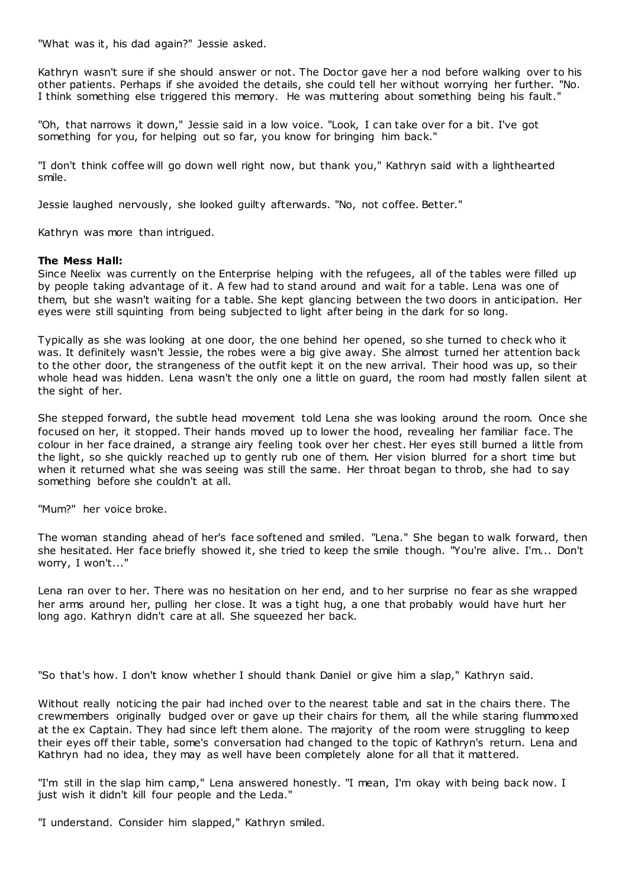"What was it, his dad again?" Jessie asked.

Kathryn wasn't sure if she should answer or not. The Doctor gave her a nod before walking over to his other patients. Perhaps if she avoided the details, she could tell her without worrying her further. "No. I think something else triggered this memory. He was muttering about something being his fault."

"Oh, that narrows it down," Jessie said in a low voice. "Look, I can take over for a bit. I've got something for you, for helping out so far, you know for bringing him back."

"I don't think coffee will go down well right now, but thank you," Kathryn said with a lighthearted smile.

Jessie laughed nervously, she looked guilty afterwards. "No, not coffee. Better."

Kathryn was more than intrigued.

# **The Mess Hall:**

Since Neelix was currently on the Enterprise helping with the refugees, all of the tables were filled up by people taking advantage of it. A few had to stand around and wait for a table. Lena was one of them, but she wasn't waiting for a table. She kept glancing between the two doors in anticipation. Her eyes were still squinting from being subjected to light after being in the dark for so long.

Typically as she was looking at one door, the one behind her opened, so she turned to check who it was. It definitely wasn't Jessie, the robes were a big give away. She almost turned her attention back to the other door, the strangeness of the outfit kept it on the new arrival. Their hood was up, so their whole head was hidden. Lena wasn't the only one a little on guard, the room had mostly fallen silent at the sight of her.

She stepped forward, the subtle head movement told Lena she was looking around the room. Once she focused on her, it stopped. Their hands moved up to lower the hood, revealing her familiar face. The colour in her face drained, a strange airy feeling took over her chest. Her eyes still burned a little from the light, so she quickly reached up to gently rub one of them. Her vision blurred for a short time but when it returned what she was seeing was still the same. Her throat began to throb, she had to say something before she couldn't at all.

"Mum?" her voice broke.

The woman standing ahead of her's face softened and smiled. "Lena." She began to walk forward, then she hesitated. Her face briefly showed it, she tried to keep the smile though. "You're alive. I'm... Don't worry, I won't..."

Lena ran over to her. There was no hesitation on her end, and to her surprise no fear as she wrapped her arms around her, pulling her close. It was a tight hug, a one that probably would have hurt her long ago. Kathryn didn't care at all. She squeezed her back.

"So that's how. I don't know whether I should thank Daniel or give him a slap," Kathryn said.

Without really noticing the pair had inched over to the nearest table and sat in the chairs there. The crewmembers originally budged over or gave up their chairs for them, all the while staring flummoxed at the ex Captain. They had since left them alone. The majority of the room were struggling to keep their eyes off their table, some's conversation had changed to the topic of Kathryn's return. Lena and Kathryn had no idea, they may as well have been completely alone for all that it mattered.

"I'm still in the slap him camp," Lena answered honestly. "I mean, I'm okay with being back now. I just wish it didn't kill four people and the Leda."

"I understand. Consider him slapped," Kathryn smiled.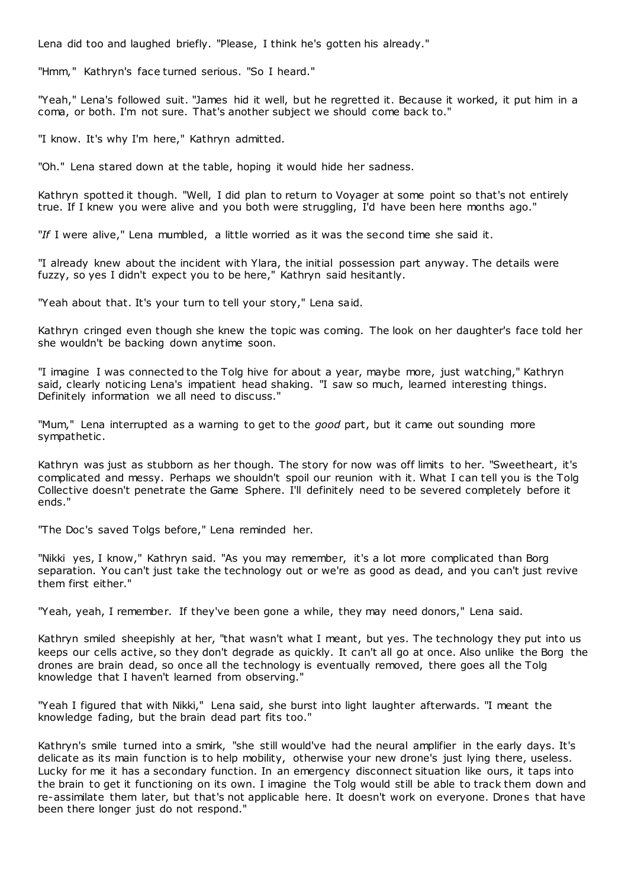Lena did too and laughed briefly. "Please, I think he's gotten his already."

"Hmm," Kathryn's face turned serious. "So I heard."

"Yeah," Lena's followed suit. "James hid it well, but he regretted it. Because it worked, it put him in a coma, or both. I'm not sure. That's another subject we should come back to."

"I know. It's why I'm here," Kathryn admitted.

"Oh." Lena stared down at the table, hoping it would hide her sadness.

Kathryn spotted it though. "Well, I did plan to return to Voyager at some point so that's not entirely true. If I knew you were alive and you both were struggling, I'd have been here months ago."

"*If* I were alive," Lena mumbled, a little worried as it was the second time she said it.

"I already knew about the incident with Ylara, the initial possession part anyway. The details were fuzzy, so yes I didn't expect you to be here," Kathryn said hesitantly.

"Yeah about that. It's your turn to tell your story," Lena said.

Kathryn cringed even though she knew the topic was coming. The look on her daughter's face told her she wouldn't be backing down anytime soon.

"I imagine I was connected to the Tolg hive for about a year, maybe more, just watching," Kathryn said, clearly noticing Lena's impatient head shaking. "I saw so much, learned interesting things. Definitely information we all need to discuss."

"Mum," Lena interrupted as a warning to get to the *good* part, but it came out sounding more sympathetic .

Kathryn was just as stubborn as her though. The story for now was off limits to her. "Sweetheart, it's complicated and messy. Perhaps we shouldn't spoil our reunion with it. What I can tell you is the Tolg Collective doesn't penetrate the Game Sphere. I'll definitely need to be severed completely before it ends."

"The Doc's saved Tolgs before," Lena reminded her.

"Nikki yes, I know," Kathryn said. "As you may remember, it's a lot more complicated than Borg separation. You can't just take the technology out or we're as good as dead, and you can't just revive them first either."

"Yeah, yeah, I remember. If they've been gone a while, they may need donors," Lena said.

Kathryn smiled sheepishly at her, "that wasn't what I meant, but yes. The technology they put into us keeps our cells active, so they don't degrade as quickly. It can't all go at once. Also unlike the Borg the drones are brain dead, so once all the technology is eventually removed, there goes all the Tolg knowledge that I haven't learned from observing."

"Yeah I figured that with Nikki," Lena said, she burst into light laughter afterwards. "I meant the knowledge fading, but the brain dead part fits too."

Kathryn's smile turned into a smirk, "she still would've had the neural amplifier in the early days. It's delicate as its main function is to help mobility, otherwise your new drone's just lying there, useless. Lucky for me it has a secondary function. In an emergency disconnect situation like ours, it taps into the brain to get it functioning on its own. I imagine the Tolg would still be able to track them down and re-assimilate them later, but that's not applicable here. It doesn't work on everyone. Drones that have been there longer just do not respond."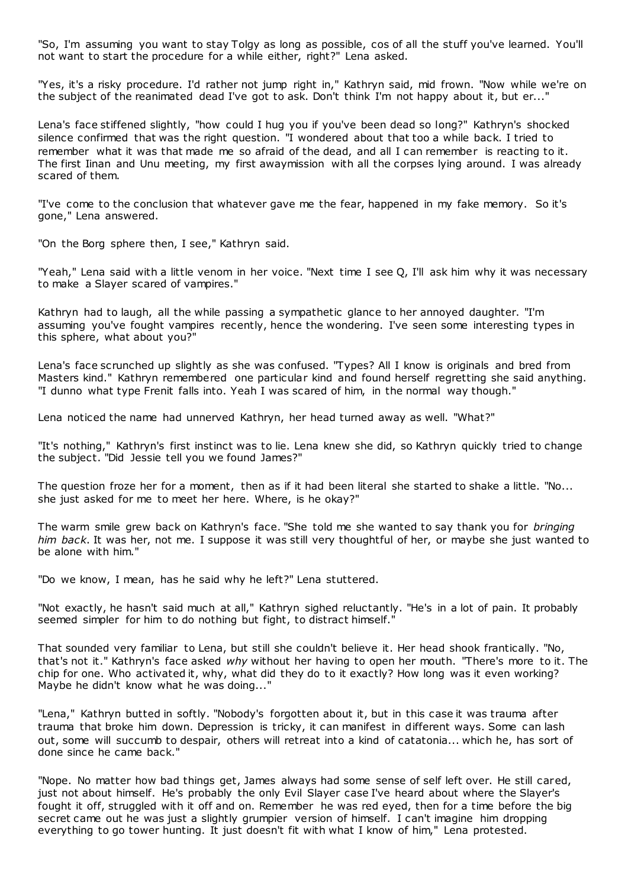"So, I'm assuming you want to stay Tolgy as long as possible, cos of all the stuff you've learned. You'll not want to start the procedure for a while either, right?" Lena asked.

"Yes, it's a risky procedure. I'd rather not jump right in," Kathryn said, mid frown. "Now while we're on the subject of the reanimated dead I've got to ask. Don't think I'm not happy about it, but er..."

Lena's face stiffened slightly, "how could I hug you if you've been dead so long?" Kathryn's shocked silence confirmed that was the right question. "I wondered about that too a while back. I tried to remember what it was that made me so afraid of the dead, and all I can remember is reacting to it. The first Iinan and Unu meeting, my first awaymission with all the corpses lying around. I was already scared of them.

"I've come to the conclusion that whatever gave me the fear, happened in my fake memory. So it's gone," Lena answered.

"On the Borg sphere then, I see," Kathryn said.

"Yeah," Lena said with a little venom in her voice. "Next time I see Q, I'll ask him why it was necessary to make a Slayer scared of vampires."

Kathryn had to laugh, all the while passing a sympathetic glance to her annoyed daughter. "I'm assuming you've fought vampires recently, hence the wondering. I've seen some interesting types in this sphere, what about you?"

Lena's face scrunched up slightly as she was confused. "Types? All I know is originals and bred from Masters kind." Kathryn remembered one particular kind and found herself regretting she said anything. "I dunno what type Frenit falls into. Yeah I was scared of him, in the normal way though."

Lena noticed the name had unnerved Kathryn, her head turned away as well. "What?"

"It's nothing," Kathryn's first instinct was to lie. Lena knew she did, so Kathryn quickly tried to change the subject. "Did Jessie tell you we found James?"

The question froze her for a moment, then as if it had been literal she started to shake a little. "No... she just asked for me to meet her here. Where, is he okay?"

The warm smile grew back on Kathryn's face. "She told me she wanted to say thank you for *bringing him back*. It was her, not me. I suppose it was still very thoughtful of her, or maybe she just wanted to be alone with him."

"Do we know, I mean, has he said why he left?" Lena stuttered.

"Not exactly, he hasn't said much at all," Kathryn sighed reluctantly. "He's in a lot of pain. It probably seemed simpler for him to do nothing but fight, to distract himself."

That sounded very familiar to Lena, but still she couldn't believe it. Her head shook frantically. "No, that's not it." Kathryn's face asked *why* without her having to open her mouth. "There's more to it. The chip for one. Who activated it, why, what did they do to it exactly? How long was it even working? Maybe he didn't know what he was doing..."

"Lena," Kathryn butted in softly. "Nobody's forgotten about it, but in this case it was trauma after trauma that broke him down. Depression is tricky, it can manifest in different ways. Some can lash out, some will succumb to despair, others will retreat into a kind of catatonia... which he, has sort of done since he came back."

"Nope. No matter how bad things get, James always had some sense of self left over. He still cared, just not about himself. He's probably the only Evil Slayer case I've heard about where the Slayer's fought it off, struggled with it off and on. Remember he was red eyed, then for a time before the big secret came out he was just a slightly grumpier version of himself. I can't imagine him dropping everything to go tower hunting. It just doesn't fit with what I know of him," Lena protested.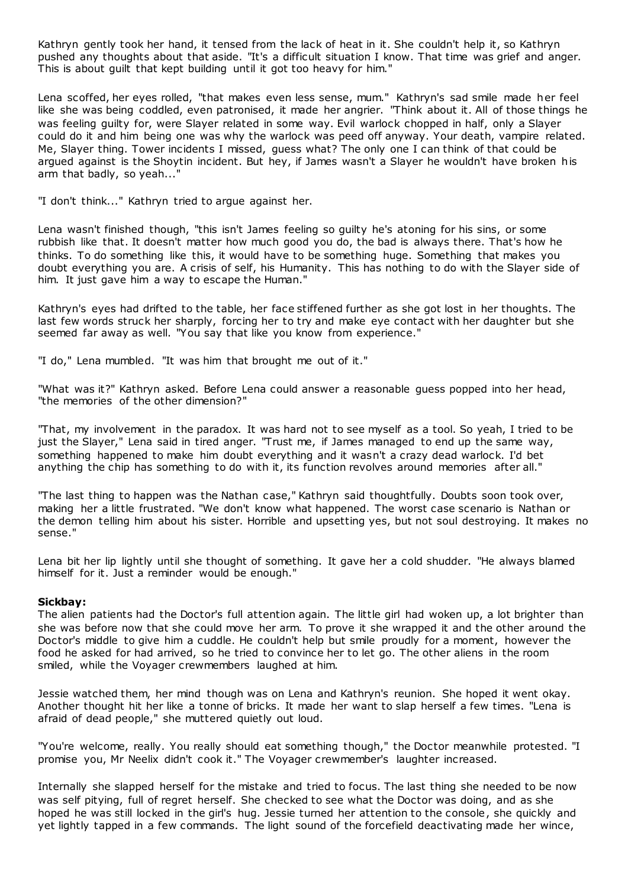Kathryn gently took her hand, it tensed from the lack of heat in it. She couldn't help it, so Kathryn pushed any thoughts about that aside. "It's a difficult situation I know. That time was grief and anger. This is about guilt that kept building until it got too heavy for him."

Lena scoffed, her eyes rolled, "that makes even less sense, mum." Kathryn's sad smile made her feel like she was being coddled, even patronised, it made her angrier. "Think about it. All of those things he was feeling guilty for, were Slayer related in some way. Evil warlock chopped in half, only a Slayer could do it and him being one was why the warlock was peed off anyway. Your death, vampire related. Me, Slayer thing. Tower incidents I missed, guess what? The only one I can think of that could be argued against is the Shoytin incident. But hey, if James wasn't a Slayer he wouldn't have broken his arm that badly, so yeah..."

"I don't think..." Kathryn tried to argue against her.

Lena wasn't finished though, "this isn't James feeling so guilty he's atoning for his sins, or some rubbish like that. It doesn't matter how much good you do, the bad is always there. That's how he thinks. To do something like this, it would have to be something huge. Something that makes you doubt everything you are. A crisis of self, his Humanity. This has nothing to do with the Slayer side of him. It just gave him a way to escape the Human."

Kathryn's eyes had drifted to the table, her face stiffened further as she got lost in her thoughts. The last few words struck her sharply, forcing her to try and make eye contact with her daughter but she seemed far away as well. "You say that like you know from experience."

"I do," Lena mumbled. "It was him that brought me out of it."

"What was it?" Kathryn asked. Before Lena could answer a reasonable guess popped into her head, "the memories of the other dimension?"

"That, my involvement in the paradox. It was hard not to see myself as a tool. So yeah, I tried to be just the Slayer," Lena said in tired anger. "Trust me, if James managed to end up the same way, something happened to make him doubt everything and it wasn't a crazy dead warlock. I'd bet anything the chip has something to do with it, its function revolves around memories after all."

"The last thing to happen was the Nathan case," Kathryn said thoughtfully. Doubts soon took over, making her a little frustrated. "We don't know what happened. The worst case scenario is Nathan or the demon telling him about his sister. Horrible and upsetting yes, but not soul destroying. It makes no sense."

Lena bit her lip lightly until she thought of something. It gave her a cold shudder. "He always blamed himself for it. Just a reminder would be enough."

### **Sickbay:**

The alien patients had the Doctor's full attention again. The little girl had woken up, a lot brighter than she was before now that she could move her arm. To prove it she wrapped it and the other around the Doctor's middle to give him a cuddle. He couldn't help but smile proudly for a moment, however the food he asked for had arrived, so he tried to convince her to let go. The other aliens in the room smiled, while the Voyager crewmembers laughed at him.

Jessie watched them, her mind though was on Lena and Kathryn's reunion. She hoped it went okay. Another thought hit her like a tonne of bricks. It made her want to slap herself a few times. "Lena is afraid of dead people," she muttered quietly out loud.

"You're welcome, really. You really should eat something though," the Doctor meanwhile protested. "I promise you, Mr Neelix didn't cook it." The Voyager crewmember's laughter increased.

Internally she slapped herself for the mistake and tried to focus. The last thing she needed to be now was self pitying, full of regret herself. She checked to see what the Doctor was doing, and as she hoped he was still locked in the girl's hug. Jessie turned her attention to the console, she quickly and yet lightly tapped in a few commands. The light sound of the forcefield deactivating made her wince,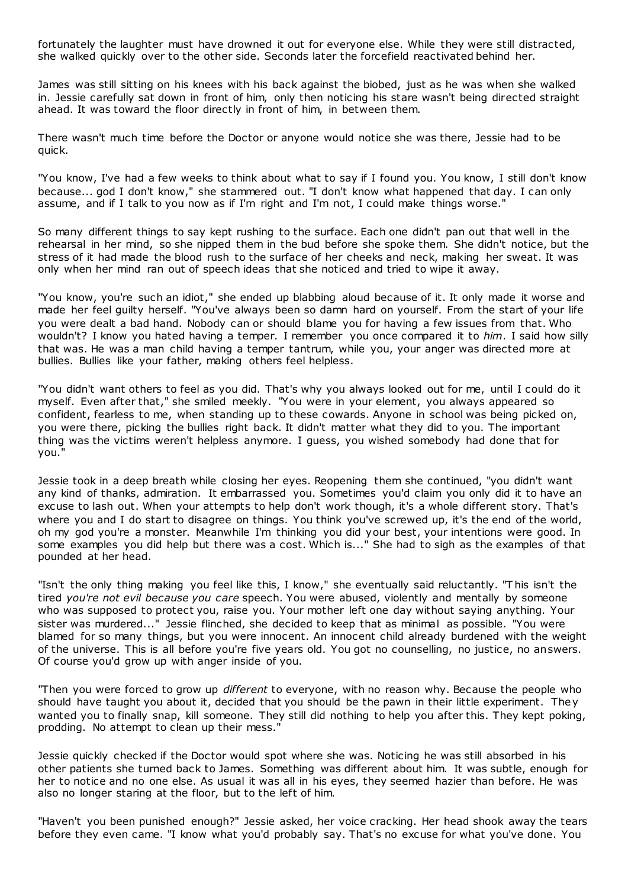fortunately the laughter must have drowned it out for everyone else. While they were still distracted, she walked quickly over to the other side. Seconds later the forcefield reactivated behind her.

James was still sitting on his knees with his back against the biobed, just as he was when she walked in. Jessie carefully sat down in front of him, only then noticing his stare wasn't being directed straight ahead. It was toward the floor directly in front of him, in between them.

There wasn't much time before the Doctor or anyone would notice she was there, Jessie had to be quick.

"You know, I've had a few weeks to think about what to say if I found you. You know, I still don't know because... god I don't know," she stammered out. "I don't know what happened that day. I can only assume, and if I talk to you now as if I'm right and I'm not, I could make things worse."

So many different things to say kept rushing to the surface. Each one didn't pan out that well in the rehearsal in her mind, so she nipped them in the bud before she spoke them. She didn't notice, but the stress of it had made the blood rush to the surface of her cheeks and neck, making her sweat. It was only when her mind ran out of speech ideas that she noticed and tried to wipe it away.

"You know, you're such an idiot," she ended up blabbing aloud because of it. It only made it worse and made her feel guilty herself. "You've always been so damn hard on yourself. From the start of your life you were dealt a bad hand. Nobody can or should blame you for having a few issues from that. Who wouldn't? I know you hated having a temper. I remember you once compared it to *him*. I said how silly that was. He was a man child having a temper tantrum, while you, your anger was directed more at bullies. Bullies like your father, making others feel helpless.

"You didn't want others to feel as you did. That's why you always looked out for me, until I could do it myself. Even after that," she smiled meekly. "You were in your element, you always appeared so confident, fearless to me, when standing up to these cowards. Anyone in school was being picked on, you were there, picking the bullies right back. It didn't matter what they did to you. The important thing was the victims weren't helpless anymore. I guess, you wished somebody had done that for you."

Jessie took in a deep breath while closing her eyes. Reopening them she continued, "you didn't want any kind of thanks, admiration. It embarrassed you. Sometimes you'd claim you only did it to have an excuse to lash out. When your attempts to help don't work though, it's a whole different story. That's where you and I do start to disagree on things. You think you've screwed up, it's the end of the world, oh my god you're a monster. Meanwhile I'm thinking you did your best, your intentions were good. In some examples you did help but there was a cost. Which is..." She had to sigh as the examples of that pounded at her head.

"Isn't the only thing making you feel like this, I know," she eventually said reluctantly. "T his isn't the tired *you're not evil because you care* speech. You were abused, violently and mentally by someone who was supposed to protect you, raise you. Your mother left one day without saying anything. Your sister was murdered..." Jessie flinched, she decided to keep that as minimal as possible. "You were blamed for so many things, but you were innocent. An innocent child already burdened with the weight of the universe. This is all before you're five years old. You got no counselling, no justice, no answers. Of course you'd grow up with anger inside of you.

"Then you were forced to grow up *different* to everyone, with no reason why. Because the people who should have taught you about it, decided that you should be the pawn in their little experiment. They wanted you to finally snap, kill someone. They still did nothing to help you after this. They kept poking, prodding. No attempt to clean up their mess."

Jessie quickly checked if the Doctor would spot where she was. Noticing he was still absorbed in his other patients she turned back to James. Something was different about him. It was subtle, enough for her to notice and no one else. As usual it was all in his eyes, they seemed hazier than before. He was also no longer staring at the floor, but to the left of him.

"Haven't you been punished enough?" Jessie asked, her voice cracking. Her head shook away the tears before they even came. "I know what you'd probably say. That's no excuse for what you've done. You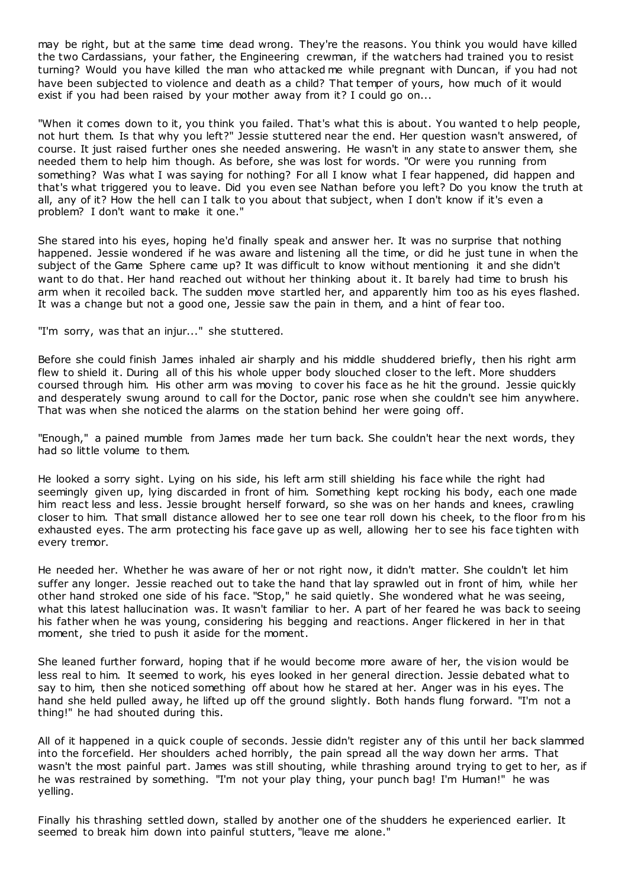may be right, but at the same time dead wrong. They're the reasons. You think you would have killed the two Cardassians, your father, the Engineering crewman, if the watchers had trained you to resist turning? Would you have killed the man who attacked me while pregnant with Duncan, if you had not have been subjected to violence and death as a child? That temper of yours, how much of it would exist if you had been raised by your mother away from it? I could go on...

"When it comes down to it, you think you failed. That's what this is about. You wanted t o help people, not hurt them. Is that why you left?" Jessie stuttered near the end. Her question wasn't answered, of course. It just raised further ones she needed answering. He wasn't in any state to answer them, she needed them to help him though. As before, she was lost for words. "Or were you running from something? Was what I was saying for nothing? For all I know what I fear happened, did happen and that's what triggered you to leave. Did you even see Nathan before you left? Do you know the truth at all, any of it? How the hell can I talk to you about that subject, when I don't know if it's even a problem? I don't want to make it one."

She stared into his eyes, hoping he'd finally speak and answer her. It was no surprise that nothing happened. Jessie wondered if he was aware and listening all the time, or did he just tune in when the subject of the Game Sphere came up? It was difficult to know without mentioning it and she didn't want to do that. Her hand reached out without her thinking about it. It barely had time to brush his arm when it recoiled back. The sudden move startled her, and apparently him too as his eyes flashed. It was a change but not a good one, Jessie saw the pain in them, and a hint of fear too.

"I'm sorry, was that an injur..." she stuttered.

Before she could finish James inhaled air sharply and his middle shuddered briefly, then his right arm flew to shield it. During all of this his whole upper body slouched closer to the left. More shudders coursed through him. His other arm was moving to cover his face as he hit the ground. Jessie quickly and desperately swung around to call for the Doctor, panic rose when she couldn't see him anywhere. That was when she noticed the alarms on the station behind her were going off.

"Enough," a pained mumble from James made her turn back. She couldn't hear the next words, they had so little volume to them.

He looked a sorry sight. Lying on his side, his left arm still shielding his face while the right had seemingly given up, lying discarded in front of him. Something kept rocking his body, each one made him react less and less. Jessie brought herself forward, so she was on her hands and knees, crawling closer to him. That small distance allowed her to see one tear roll down his cheek, to the floor from his exhausted eyes. The arm protecting his face gave up as well, allowing her to see his face tighten with every tremor.

He needed her. Whether he was aware of her or not right now, it didn't matter. She couldn't let him suffer any longer. Jessie reached out to take the hand that lay sprawled out in front of him, while her other hand stroked one side of his face. "Stop," he said quietly. She wondered what he was seeing, what this latest hallucination was. It wasn't familiar to her. A part of her feared he was back to seeing his father when he was young, considering his begging and reactions. Anger flickered in her in that moment, she tried to push it aside for the moment.

She leaned further forward, hoping that if he would become more aware of her, the vision would be less real to him. It seemed to work, his eyes looked in her general direction. Jessie debated what to say to him, then she noticed something off about how he stared at her. Anger was in his eyes. The hand she held pulled away, he lifted up off the ground slightly. Both hands flung forward. "I'm not a thing!" he had shouted during this.

All of it happened in a quick couple of seconds. Jessie didn't register any of this until her back slammed into the forcefield. Her shoulders ached horribly, the pain spread all the way down her arms. That wasn't the most painful part. James was still shouting, while thrashing around trying to get to her, as if he was restrained by something. "I'm not your play thing, your punch bag! I'm Human!" he was yelling.

Finally his thrashing settled down, stalled by another one of the shudders he experienced earlier. It seemed to break him down into painful stutters, "leave me alone."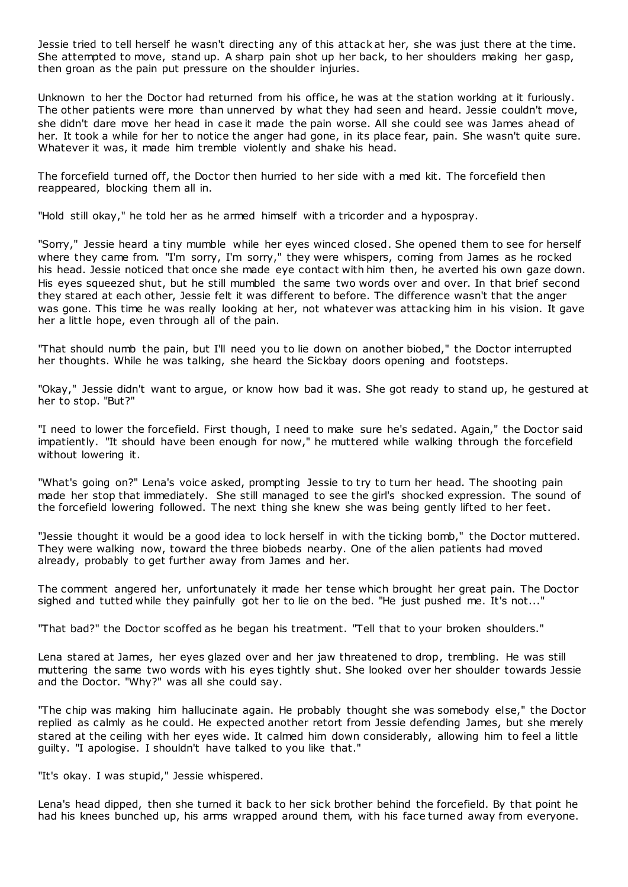Jessie tried to tell herself he wasn't directing any of this attack at her, she was just there at the time. She attempted to move, stand up. A sharp pain shot up her back, to her shoulders making her gasp, then groan as the pain put pressure on the shoulder injuries.

Unknown to her the Doctor had returned from his office, he was at the station working at it furiously. The other patients were more than unnerved by what they had seen and heard. Jessie couldn't move, she didn't dare move her head in case it made the pain worse. All she could see was James ahead of her. It took a while for her to notice the anger had gone, in its place fear, pain. She wasn't quite sure. Whatever it was, it made him tremble violently and shake his head.

The forcefield turned off, the Doctor then hurried to her side with a med kit. The forcefield then reappeared, blocking them all in.

"Hold still okay," he told her as he armed himself with a tricorder and a hypospray.

"Sorry," Jessie heard a tiny mumble while her eyes winced closed. She opened them to see for herself where they came from. "I'm sorry, I'm sorry," they were whispers, coming from James as he rocked his head. Jessie noticed that once she made eye contact with him then, he averted his own gaze down. His eyes squeezed shut, but he still mumbled the same two words over and over. In that brief second they stared at each other, Jessie felt it was different to before. The difference wasn't that the anger was gone. This time he was really looking at her, not whatever was attacking him in his vision. It gave her a little hope, even through all of the pain.

"That should numb the pain, but I'll need you to lie down on another biobed," the Doctor interrupted her thoughts. While he was talking, she heard the Sickbay doors opening and footsteps.

"Okay," Jessie didn't want to argue, or know how bad it was. She got ready to stand up, he gestured at her to stop. "But?"

"I need to lower the forcefield. First though, I need to make sure he's sedated. Again," the Doctor said impatiently. "It should have been enough for now," he muttered while walking through the forcefield without lowering it.

"What's going on?" Lena's voice asked, prompting Jessie to try to turn her head. The shooting pain made her stop that immediately. She still managed to see the girl's shocked expression. The sound of the forcefield lowering followed. The next thing she knew she was being gently lifted to her feet.

"Jessie thought it would be a good idea to lock herself in with the ticking bomb," the Doctor muttered. They were walking now, toward the three biobeds nearby. One of the alien patients had moved already, probably to get further away from James and her.

The comment angered her, unfortunately it made her tense which brought her great pain. The Doctor sighed and tutted while they painfully got her to lie on the bed. "He just pushed me. It's not..."

"That bad?" the Doctor scoffed as he began his treatment. "Tell that to your broken shoulders."

Lena stared at James, her eyes glazed over and her jaw threatened to drop, trembling. He was still muttering the same two words with his eyes tightly shut. She looked over her shoulder towards Jessie and the Doctor. "Why?" was all she could say.

"The chip was making him hallucinate again. He probably thought she was somebody else," the Doctor replied as calmly as he could. He expected another retort from Jessie defending James, but she merely stared at the ceiling with her eyes wide. It calmed him down considerably, allowing him to feel a little guilty. "I apologise. I shouldn't have talked to you like that."

"It's okay. I was stupid," Jessie whispered.

Lena's head dipped, then she turned it back to her sick brother behind the forcefield. By that point he had his knees bunched up, his arms wrapped around them, with his face turned away from everyone.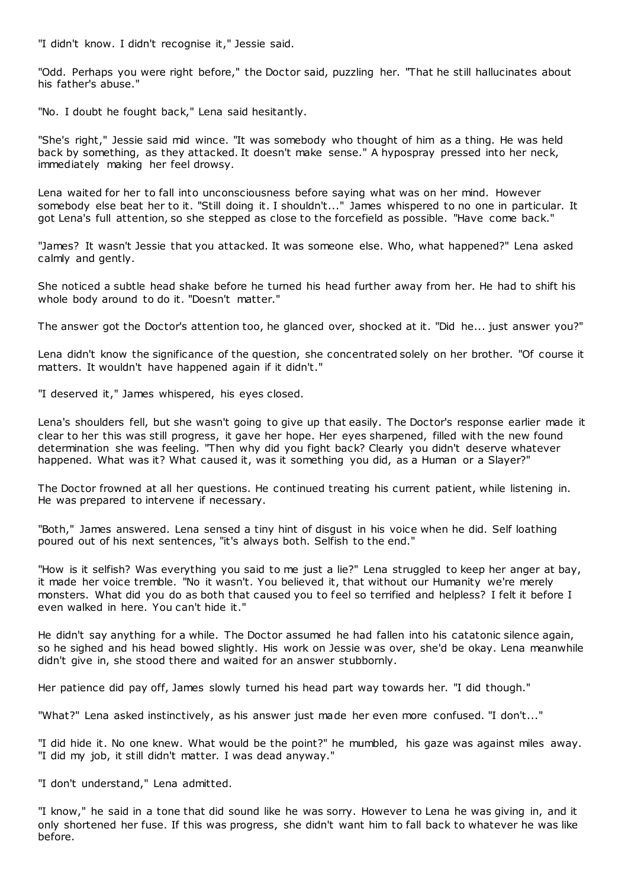"I didn't know. I didn't recognise it," Jessie said.

"Odd. Perhaps you were right before," the Doctor said, puzzling her. "That he still hallucinates about his father's abuse."

"No. I doubt he fought back," Lena said hesitantly.

"She's right," Jessie said mid wince. "It was somebody who thought of him as a thing. He was held back by something, as they attacked. It doesn't make sense." A hypospray pressed into her neck, immediately making her feel drowsy.

Lena waited for her to fall into unconsciousness before saying what was on her mind. However somebody else beat her to it. "Still doing it. I shouldn't..." James whispered to no one in particular. It got Lena's full attention, so she stepped as close to the forcefield as possible. "Have come back."

"James? It wasn't Jessie that you attacked. It was someone else. Who, what happened?" Lena asked calmly and gently.

She noticed a subtle head shake before he turned his head further away from her. He had to shift his whole body around to do it. "Doesn't matter."

The answer got the Doctor's attention too, he glanced over, shocked at it. "Did he... just answer you?"

Lena didn't know the significance of the question, she concentrated solely on her brother. "Of course it matters. It wouldn't have happened again if it didn't."

"I deserved it," James whispered, his eyes closed.

Lena's shoulders fell, but she wasn't going to give up that easily. The Doctor's response earlier made it clear to her this was still progress, it gave her hope. Her eyes sharpened, filled with the new found determination she was feeling. "Then why did you fight back? Clearly you didn't deserve whatever happened. What was it? What caused it, was it something you did, as a Human or a Slayer?"

The Doctor frowned at all her questions. He continued treating his current patient, while listening in. He was prepared to intervene if necessary.

"Both," James answered. Lena sensed a tiny hint of disgust in his voice when he did. Self loathing poured out of his next sentences, "it's always both. Selfish to the end."

"How is it selfish? Was everything you said to me just a lie?" Lena struggled to keep her anger at bay, it made her voice tremble. "No it wasn't. You believed it, that without our Humanity we're merely monsters. What did you do as both that caused you to feel so terrified and helpless? I felt it before I even walked in here. You can't hide it."

He didn't say anything for a while. The Doctor assumed he had fallen into his catatonic silence again, so he sighed and his head bowed slightly. His work on Jessie was over, she'd be okay. Lena meanwhile didn't give in, she stood there and waited for an answer stubbornly.

Her patience did pay off, James slowly turned his head part way towards her. "I did though."

"What?" Lena asked instinctively, as his answer just made her even more confused. "I don't..."

"I did hide it. No one knew. What would be the point?" he mumbled, his gaze was against miles away. "I did my job, it still didn't matter. I was dead anyway."

"I don't understand," Lena admitted.

"I know," he said in a tone that did sound like he was sorry. However to Lena he was giving in, and it only shortened her fuse. If this was progress, she didn't want him to fall back to whatever he was like before.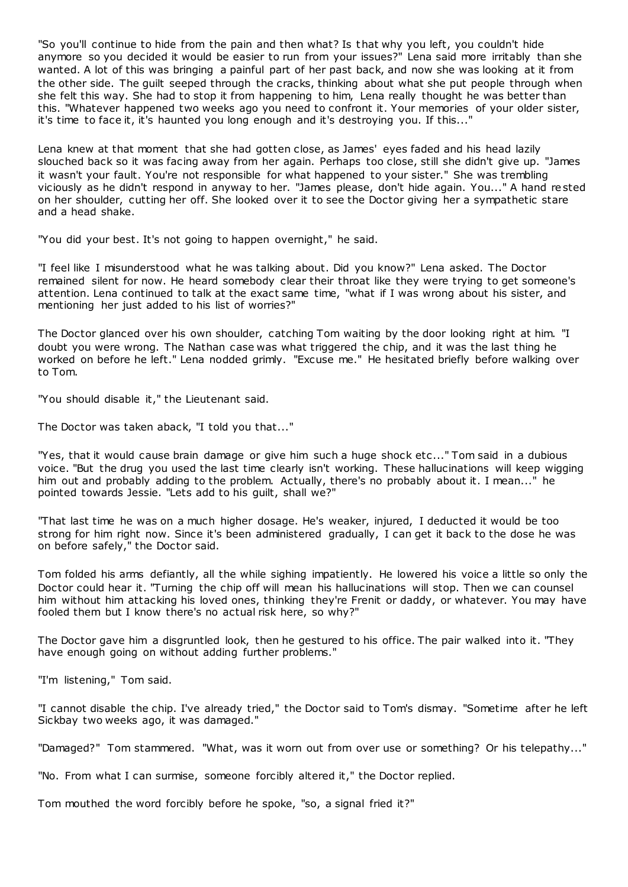"So you'll continue to hide from the pain and then what? Is that why you left, you couldn't hide anymore so you decided it would be easier to run from your issues?" Lena said more irritably than she wanted. A lot of this was bringing a painful part of her past back, and now she was looking at it from the other side. The guilt seeped through the cracks, thinking about what she put people through when she felt this way. She had to stop it from happening to him, Lena really thought he was better than this. "Whatever happened two weeks ago you need to confront it. Your memories of your older sister, it's time to face it, it's haunted you long enough and it's destroying you. If this..."

Lena knew at that moment that she had gotten close, as James' eyes faded and his head lazily slouched back so it was facing away from her again. Perhaps too close, still she didn't give up. "James it wasn't your fault. You're not responsible for what happened to your sister." She was trembling viciously as he didn't respond in anyway to her. "James please, don't hide again. You..." A hand rested on her shoulder, cutting her off. She looked over it to see the Doctor giving her a sympathetic stare and a head shake.

"You did your best. It's not going to happen overnight," he said.

"I feel like I misunderstood what he was talking about. Did you know?" Lena asked. The Doctor remained silent for now. He heard somebody clear their throat like they were trying to get someone's attention. Lena continued to talk at the exact same time, "what if I was wrong about his sister, and mentioning her just added to his list of worries?"

The Doctor glanced over his own shoulder, catching Tom waiting by the door looking right at him. "I doubt you were wrong. The Nathan case was what triggered the chip, and it was the last thing he worked on before he left." Lena nodded grimly. "Excuse me." He hesitated briefly before walking over to Tom.

"You should disable it," the Lieutenant said.

The Doctor was taken aback, "I told you that..."

"Yes, that it would cause brain damage or give him such a huge shock etc..." Tom said in a dubious voice. "But the drug you used the last time clearly isn't working. These hallucinations will keep wigging him out and probably adding to the problem. Actually, there's no probably about it. I mean..." he pointed towards Jessie. "Lets add to his guilt, shall we?"

"That last time he was on a much higher dosage. He's weaker, injured, I deducted it would be too strong for him right now. Since it's been administered gradually, I can get it back to the dose he was on before safely," the Doctor said.

Tom folded his arms defiantly, all the while sighing impatiently. He lowered his voice a little so only the Doctor could hear it. "Turning the chip off will mean his hallucinations will stop. Then we can counsel him without him attacking his loved ones, thinking they're Frenit or daddy, or whatever. You may have fooled them but I know there's no actual risk here, so why?"

The Doctor gave him a disgruntled look, then he gestured to his office. The pair walked into it. "They have enough going on without adding further problems."

"I'm listening," Tom said.

"I cannot disable the chip. I've already tried," the Doctor said to Tom's dismay. "Sometime after he left Sickbay two weeks ago, it was damaged."

"Damaged?" Tom stammered. "What, was it worn out from over use or something? Or his telepathy..."

"No. From what I can surmise, someone forcibly altered it," the Doctor replied.

Tom mouthed the word forcibly before he spoke, "so, a signal fried it?"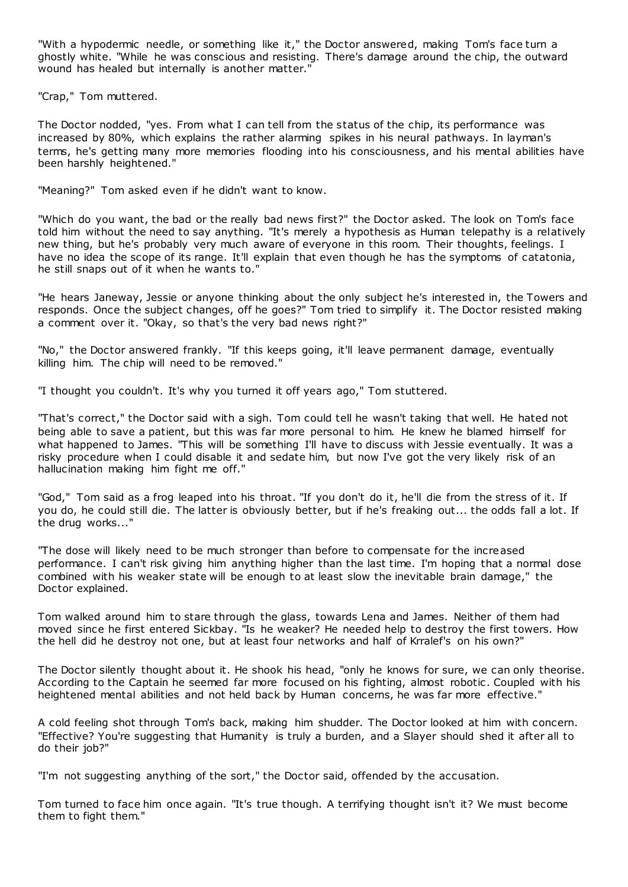"With a hypodermic needle, or something like it," the Doctor answered, making Tom's face turn a ghostly white. "While he was conscious and resisting. There's damage around the chip, the outward wound has healed but internally is another matter."

"Crap," Tom muttered.

The Doctor nodded, "yes. From what I can tell from the status of the chip, its performance was increased by 80%, which explains the rather alarming spikes in his neural pathways. In layman's terms, he's getting many more memories flooding into his consciousness, and his mental abilities have been harshly heightened."

"Meaning?" Tom asked even if he didn't want to know.

"Which do you want, the bad or the really bad news first?" the Doctor asked. The look on Tom's face told him without the need to say anything. "It's merely a hypothesis as Human telepathy is a relatively new thing, but he's probably very much aware of everyone in this room. Their thoughts, feelings. I have no idea the scope of its range. It'll explain that even though he has the symptoms of catatonia, he still snaps out of it when he wants to."

"He hears Janeway, Jessie or anyone thinking about the only subject he's interested in, the Towers and responds. Once the subject changes, off he goes?" Tom tried to simplify it. The Doctor resisted making a comment over it. "Okay, so that's the very bad news right?"

"No," the Doctor answered frankly. "If this keeps going, it'll leave permanent damage, eventually killing him. The chip will need to be removed."

"I thought you couldn't. It's why you turned it off years ago," Tom stuttered.

"That's correct," the Doctor said with a sigh. Tom could tell he wasn't taking that well. He hated not being able to save a patient, but this was far more personal to him. He knew he blamed himself for what happened to James. "This will be something I'll have to discuss with Jessie eventually. It was a risky procedure when I could disable it and sedate him, but now I've got the very likely risk of an hallucination making him fight me off."

"God," Tom said as a frog leaped into his throat. "If you don't do it, he'll die from the stress of it. If you do, he could still die. The latter is obviously better, but if he's freaking out... the odds fall a lot. If the drug works..."

"The dose will likely need to be much stronger than before to compensate for the increased performance. I can't risk giving him anything higher than the last time. I'm hoping that a normal dose combined with his weaker state will be enough to at least slow the inevitable brain damage," the Doctor explained.

Tom walked around him to stare through the glass, towards Lena and James. Neither of them had moved since he first entered Sickbay. "Is he weaker? He needed help to destroy the first towers. How the hell did he destroy not one, but at least four networks and half of Krralef's on his own?"

The Doctor silently thought about it. He shook his head, "only he knows for sure, we can only theorise. According to the Captain he seemed far more focused on his fighting, almost robotic . Coupled with his heightened mental abilities and not held back by Human concerns, he was far more effective."

A cold feeling shot through Tom's back, making him shudder. The Doctor looked at him with concern. "Effective? You're suggesting that Humanity is truly a burden, and a Slayer should shed it after all to do their job?"

"I'm not suggesting anything of the sort," the Doctor said, offended by the accusation.

Tom turned to face him once again. "It's true though. A terrifying thought isn't it? We must become them to fight them."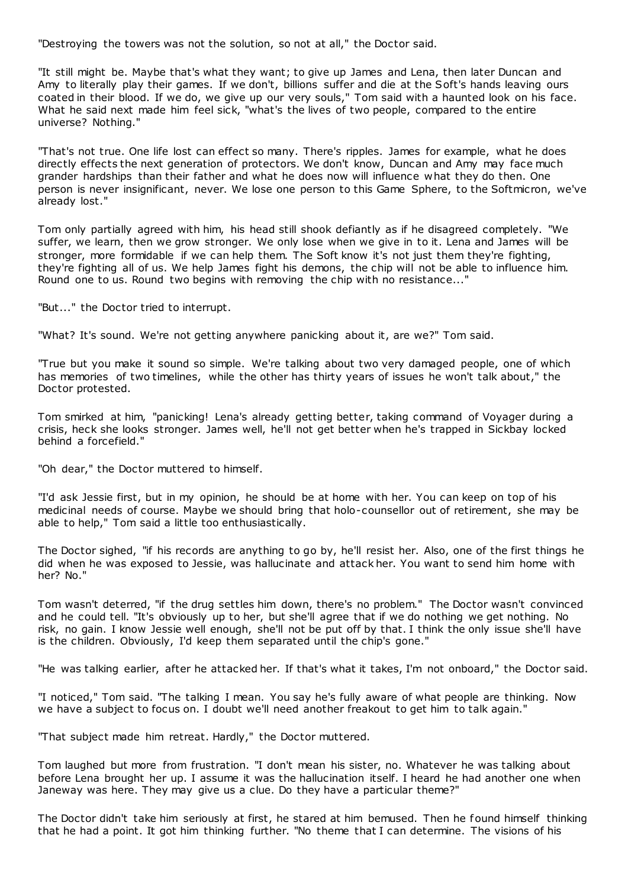"Destroying the towers was not the solution, so not at all," the Doctor said.

"It still might be. Maybe that's what they want; to give up James and Lena, then later Duncan and Amy to literally play their games. If we don't, billions suffer and die at the Soft's hands leaving ours coated in their blood. If we do, we give up our very souls," Tom said with a haunted look on his face. What he said next made him feel sick, "what's the lives of two people, compared to the entire universe? Nothing."

"That's not true. One life lost can effect so many. There's ripples. James for example, what he does directly effects the next generation of protectors. We don't know, Duncan and Amy may face much grander hardships than their father and what he does now will influence what they do then. One person is never insignificant, never. We lose one person to this Game Sphere, to the Softmicron, we've already lost."

Tom only partially agreed with him, his head still shook defiantly as if he disagreed completely. "We suffer, we learn, then we grow stronger. We only lose when we give in to it. Lena and James will be stronger, more formidable if we can help them. The Soft know it's not just them they're fighting, they're fighting all of us. We help James fight his demons, the chip will not be able to influence him. Round one to us. Round two begins with removing the chip with no resistance..."

"But..." the Doctor tried to interrupt.

"What? It's sound. We're not getting anywhere panicking about it, are we?" Tom said.

"True but you make it sound so simple. We're talking about two very damaged people, one of which has memories of two timelines, while the other has thirty years of issues he won't talk about," the Doctor protested.

Tom smirked at him, "panicking! Lena's already getting better, taking command of Voyager during a crisis, heck she looks stronger. James well, he'll not get better when he's trapped in Sickbay locked behind a forcefield."

"Oh dear," the Doctor muttered to himself.

"I'd ask Jessie first, but in my opinion, he should be at home with her. You can keep on top of his medicinal needs of course. Maybe we should bring that holo-counsellor out of retirement, she may be able to help," Tom said a little too enthusiastically.

The Doctor sighed, "if his records are anything to go by, he'll resist her. Also, one of the first things he did when he was exposed to Jessie, was hallucinate and attack her. You want to send him home with her? No."

Tom wasn't deterred, "if the drug settles him down, there's no problem." The Doctor wasn't convinced and he could tell. "It's obviously up to her, but she'll agree that if we do nothing we get nothing. No risk, no gain. I know Jessie well enough, she'll not be put off by that. I think the only issue she'll have is the children. Obviously, I'd keep them separated until the chip's gone."

"He was talking earlier, after he attacked her. If that's what it takes, I'm not onboard," the Doctor said.

"I noticed," Tom said. "The talking I mean. You say he's fully aware of what people are thinking. Now we have a subject to focus on. I doubt we'll need another freakout to get him to talk again."

"That subject made him retreat. Hardly," the Doctor muttered.

Tom laughed but more from frustration. "I don't mean his sister, no. Whatever he was talking about before Lena brought her up. I assume it was the hallucination itself. I heard he had another one when Janeway was here. They may give us a clue. Do they have a particular theme?"

The Doctor didn't take him seriously at first, he stared at him bemused. Then he found himself thinking that he had a point. It got him thinking further. "No theme that I can determine. The visions of his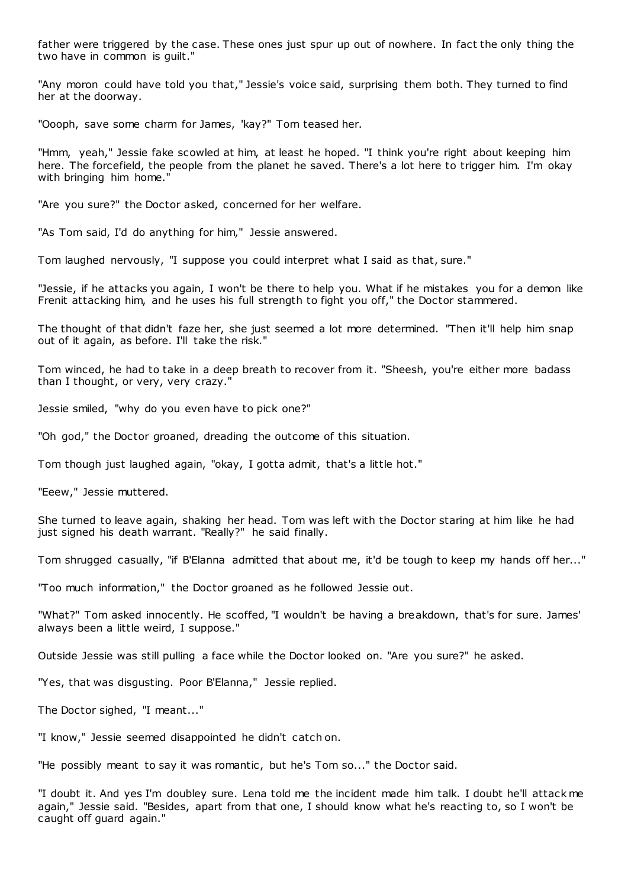father were triggered by the case. These ones just spur up out of nowhere. In fact the only thing the two have in common is guilt."

"Any moron could have told you that," Jessie's voice said, surprising them both. They turned to find her at the doorway.

"Oooph, save some charm for James, 'kay?" Tom teased her.

"Hmm, yeah," Jessie fake scowled at him, at least he hoped. "I think you're right about keeping him here. The forcefield, the people from the planet he saved. There's a lot here to trigger him. I'm okay with bringing him home.'

"Are you sure?" the Doctor asked, concerned for her welfare.

"As Tom said, I'd do anything for him," Jessie answered.

Tom laughed nervously, "I suppose you could interpret what I said as that, sure."

"Jessie, if he attacks you again, I won't be there to help you. What if he mistakes you for a demon like Frenit attacking him, and he uses his full strength to fight you off," the Doctor stammered.

The thought of that didn't faze her, she just seemed a lot more determined. "Then it'll help him snap out of it again, as before. I'll take the risk."

Tom winced, he had to take in a deep breath to recover from it. "Sheesh, you're either more badass than I thought, or very, very crazy."

Jessie smiled, "why do you even have to pick one?"

"Oh god," the Doctor groaned, dreading the outcome of this situation.

Tom though just laughed again, "okay, I gotta admit, that's a little hot."

"Eeew," Jessie muttered.

She turned to leave again, shaking her head. Tom was left with the Doctor staring at him like he had just signed his death warrant. "Really?" he said finally.

Tom shrugged casually, "if B'Elanna admitted that about me, it'd be tough to keep my hands off her..."

"Too much information," the Doctor groaned as he followed Jessie out.

"What?" Tom asked innocently. He scoffed, "I wouldn't be having a breakdown, that's for sure. James' always been a little weird, I suppose."

Outside Jessie was still pulling a face while the Doctor looked on. "Are you sure?" he asked.

"Yes, that was disgusting. Poor B'Elanna," Jessie replied.

The Doctor sighed, "I meant..."

"I know," Jessie seemed disappointed he didn't catch on.

"He possibly meant to say it was romantic , but he's Tom so..." the Doctor said.

"I doubt it. And yes I'm doubley sure. Lena told me the incident made him talk. I doubt he'll attack me again," Jessie said. "Besides, apart from that one, I should know what he's reacting to, so I won't be caught off guard again."